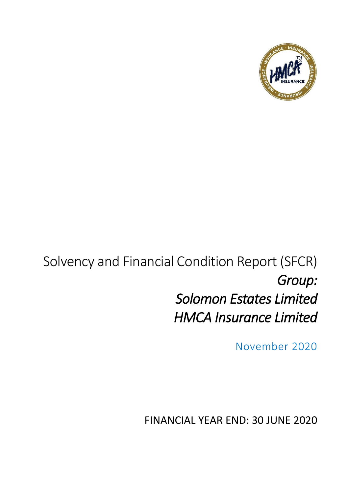

# Solvency and Financial Condition Report (SFCR) *Group: Solomon Estates Limited HMCA Insurance Limited*

November 2020

FINANCIAL YEAR END: 30 JUNE 2020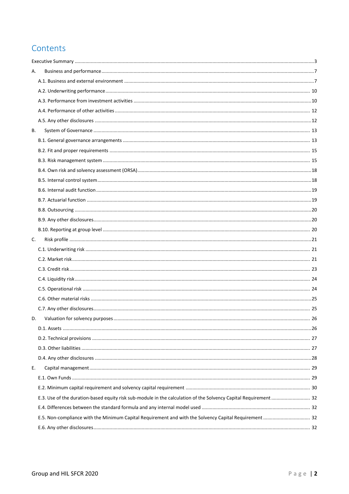## Contents

| А.                                                                                                               |  |
|------------------------------------------------------------------------------------------------------------------|--|
|                                                                                                                  |  |
|                                                                                                                  |  |
|                                                                                                                  |  |
|                                                                                                                  |  |
|                                                                                                                  |  |
| <b>B.</b>                                                                                                        |  |
|                                                                                                                  |  |
|                                                                                                                  |  |
|                                                                                                                  |  |
|                                                                                                                  |  |
|                                                                                                                  |  |
|                                                                                                                  |  |
|                                                                                                                  |  |
|                                                                                                                  |  |
|                                                                                                                  |  |
|                                                                                                                  |  |
| C.                                                                                                               |  |
|                                                                                                                  |  |
|                                                                                                                  |  |
|                                                                                                                  |  |
|                                                                                                                  |  |
|                                                                                                                  |  |
|                                                                                                                  |  |
|                                                                                                                  |  |
| D.                                                                                                               |  |
|                                                                                                                  |  |
|                                                                                                                  |  |
|                                                                                                                  |  |
|                                                                                                                  |  |
| Ε.                                                                                                               |  |
|                                                                                                                  |  |
|                                                                                                                  |  |
| E.3. Use of the duration-based equity risk sub-module in the calculation of the Solvency Capital Requirement  32 |  |
|                                                                                                                  |  |
| E.5. Non-compliance with the Minimum Capital Requirement and with the Solvency Capital Requirement  32           |  |
|                                                                                                                  |  |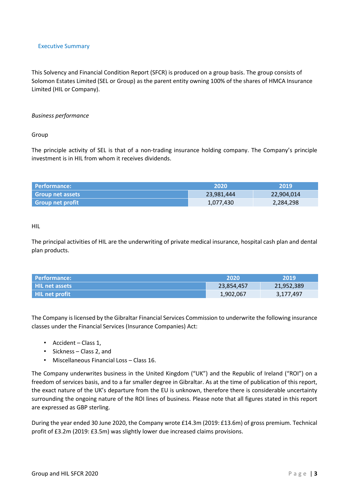#### <span id="page-2-0"></span>Executive Summary

This Solvency and Financial Condition Report (SFCR) is produced on a group basis. The group consists of Solomon Estates Limited (SEL or Group) as the parent entity owning 100% of the shares of HMCA Insurance Limited (HIL or Company).

#### *Business performance*

Group

The principle activity of SEL is that of a non-trading insurance holding company. The Company's principle investment is in HIL from whom it receives dividends.

| l Performance:          | 2020       | 2019       |
|-------------------------|------------|------------|
| <b>Group net assets</b> | 23,981,444 | 22,904,014 |
| <b>Group net profit</b> | 1,077,430  | 2,284,298  |

HIL

The principal activities of HIL are the underwriting of private medical insurance, hospital cash plan and dental plan products.

| Performance:   | .2020      | 2019       |
|----------------|------------|------------|
| HIL net assets | 23,854,457 | 21,952,389 |
| HIL net profit | 1,902,067  | 3,177,497  |

The Company is licensed by the Gibraltar Financial Services Commission to underwrite the following insurance classes under the Financial Services (Insurance Companies) Act:

- Accident Class 1,
- Sickness Class 2, and
- Miscellaneous Financial Loss Class 16.

The Company underwrites business in the United Kingdom ("UK") and the Republic of Ireland ("ROI") on a freedom of services basis, and to a far smaller degree in Gibraltar. As at the time of publication of this report, the exact nature of the UK's departure from the EU is unknown, therefore there is considerable uncertainty surrounding the ongoing nature of the ROI lines of business. Please note that all figures stated in this report are expressed as GBP sterling.

During the year ended 30 June 2020, the Company wrote £14.3m (2019: £13.6m) of gross premium. Technical profit of £3.2m (2019: £3.5m) was slightly lower due increased claims provisions.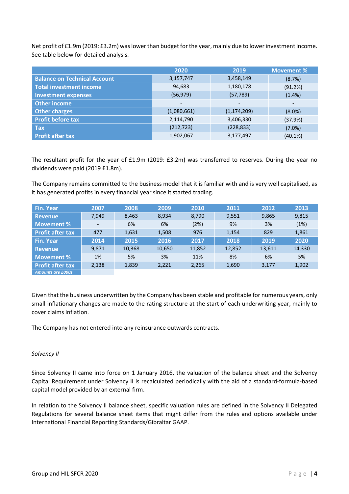Net profit of £1.9m (2019: £3.2m) was lower than budget for the year, mainly due to lower investment income. See table below for detailed analysis.

|                                     | 2020                     | 2019                     | <b>Movement %</b>        |
|-------------------------------------|--------------------------|--------------------------|--------------------------|
| <b>Balance on Technical Account</b> | 3,157,747                | 3,458,149                | (8.7%)                   |
| <b>Total investment income</b>      | 94,683                   | 1,180,178                | (91.2%)                  |
| <b>Investment expenses</b>          | (56, 979)                | (57, 789)                | (1.4% )                  |
| <b>Other income</b>                 | $\overline{\phantom{0}}$ | $\overline{\phantom{a}}$ | $\overline{\phantom{0}}$ |
| <b>Other charges</b>                | (1,080,661)              | (1, 174, 209)            | $(8.0\%)$                |
| <b>Profit before tax</b>            | 2,114,790                | 3,406,330                | (37.9%)                  |
| <b>Tax</b>                          | (212, 723)               | (228, 833)               | $(7.0\%)$                |
| <b>Profit after tax</b>             | 1,902,067                | 3,177,497                | $(40.1\%)$               |

The resultant profit for the year of £1.9m (2019: £3.2m) was transferred to reserves. During the year no dividends were paid (2019 £1.8m).

The Company remains committed to the business model that it is familiar with and is very well capitalised, as it has generated profits in every financial year since it started trading.

| <b>Fin. Year</b>         | 2007  | 2008   | 2009   | 2010   | 2011   | 2012   | 2013   |
|--------------------------|-------|--------|--------|--------|--------|--------|--------|
| <b>Revenue</b>           | 7,949 | 8,463  | 8,934  | 8,790  | 9,551  | 9,865  | 9,815  |
| Movement %               |       | 6%     | 6%     | (2%)   | 9%     | 3%     | (1%)   |
| <b>Profit after tax</b>  | 477   | 1,631  | 1,508  | 976    | 1,154  | 829    | 1,861  |
| <b>Fin. Year</b>         | 2014  | 2015   | 2016   | 2017   | 2018   | 2019   | 2020   |
| <b>Revenue</b>           | 9,871 | 10,368 | 10,650 | 11,852 | 12,852 | 13,611 | 14,330 |
| Movement %               | 1%    | 5%     | 3%     | 11%    | 8%     | 6%     | 5%     |
| <b>Profit after tax</b>  | 2,138 | 1,839  | 2,221  | 2,265  | 1,690  | 3,177  | 1,902  |
| <b>Amounts are £000s</b> |       |        |        |        |        |        |        |

Given that the business underwritten by the Company has been stable and profitable for numerous years, only small inflationary changes are made to the rating structure at the start of each underwriting year, mainly to cover claims inflation.

The Company has not entered into any reinsurance outwards contracts.

#### *Solvency II*

Since Solvency II came into force on 1 January 2016, the valuation of the balance sheet and the Solvency Capital Requirement under Solvency II is recalculated periodically with the aid of a standard-formula-based capital model provided by an external firm.

In relation to the Solvency II balance sheet, specific valuation rules are defined in the Solvency II Delegated Regulations for several balance sheet items that might differ from the rules and options available under International Financial Reporting Standards/Gibraltar GAAP.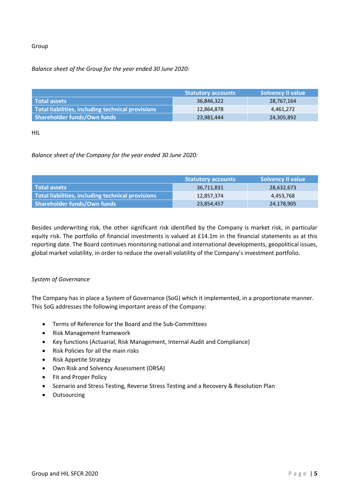#### Group

#### *Balance sheet of the Group for the year ended 30 June 2020:*

|                                                   | <b>Statutory accounts</b> | <b>Solvency II value</b> |
|---------------------------------------------------|---------------------------|--------------------------|
| l Total assets                                    | 36,846,322                | 28,767,164               |
| Total liabilities, including technical provisions | 12,864,878                | 4,461,272                |
| Shareholder funds/Own funds                       | 23,981,444                | 24,305,892               |

HIL

#### *Balance sheet of the Company for the year ended 30 June 2020:*

|                                                   | <b>Statutory accounts</b> | <b>Solvency II value</b> |
|---------------------------------------------------|---------------------------|--------------------------|
| <b>Total assets</b>                               | 36,711,831                | 28,632,673               |
| Total liabilities, including technical provisions | 12,857,374                | 4,453,768                |
| Shareholder funds/Own funds                       | 23,854,457                | 24,178,905               |

Besides underwriting risk, the other significant risk identified by the Company is market risk, in particular equity risk. The portfolio of financial investments is valued at £14.1m in the financial statements as at this reporting date. The Board continues monitoring national and international developments, geopolitical issues, global market volatility, in order to reduce the overall volatility of the Company's investment portfolio.

#### *System of Governance*

The Company has in place a System of Governance (SoG) which it implemented, in a proportionate manner. This SoG addresses the following important areas of the Company:

- Terms of Reference for the Board and the Sub-Committees
- Risk Management framework
- Key functions (Actuarial, Risk Management, Internal Audit and Compliance)
- Risk Policies for all the main risks
- Risk Appetite Strategy
- Own Risk and Solvency Assessment (ORSA)
- Fit and Proper Policy
- Scenario and Stress Testing, Reverse Stress Testing and a Recovery & Resolution Plan
- Outsourcing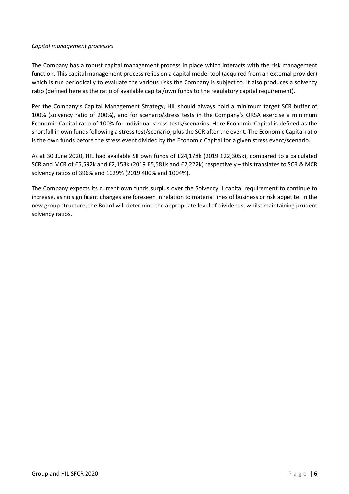#### *Capital management processes*

The Company has a robust capital management process in place which interacts with the risk management function. This capital management process relies on a capital model tool (acquired from an external provider) which is run periodically to evaluate the various risks the Company is subject to. It also produces a solvency ratio (defined here as the ratio of available capital/own funds to the regulatory capital requirement).

Per the Company's Capital Management Strategy, HIL should always hold a minimum target SCR buffer of 100% (solvency ratio of 200%), and for scenario/stress tests in the Company's ORSA exercise a minimum Economic Capital ratio of 100% for individual stress tests/scenarios. Here Economic Capital is defined as the shortfall in own funds following a stress test/scenario, plus the SCR after the event. The Economic Capital ratio is the own funds before the stress event divided by the Economic Capital for a given stress event/scenario.

As at 30 June 2020, HIL had available SII own funds of £24,178k (2019 £22,305k), compared to a calculated SCR and MCR of £5,592k and £2,153k (2019 £5,581k and £2,222k) respectively – this translates to SCR & MCR solvency ratios of 396% and 1029% (2019 400% and 1004%).

The Company expects its current own funds surplus over the Solvency II capital requirement to continue to increase, as no significant changes are foreseen in relation to material lines of business or risk appetite. In the new group structure, the Board will determine the appropriate level of dividends, whilst maintaining prudent solvency ratios.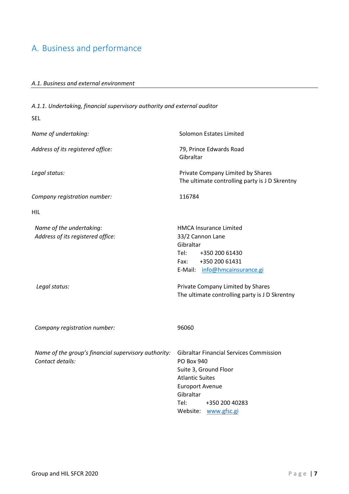## <span id="page-6-1"></span><span id="page-6-0"></span>A. Business and performance

#### *A.1. Business and external environment*

*A.1.1. Undertaking, financial supervisory authority and external auditor* SEL *Name of undertaking:* Solomon Estates Limited *Address of its registered office:* 79, Prince Edwards Road Gibraltar *Legal status:* Private Company Limited by Shares The ultimate controlling party is J D Skrentny *Company registration number:* 116784 HIL *Name of the undertaking:* Maxwell **HMCA** Insurance Limited *Address of its registered office:* 33/2 Cannon Lane Gibraltar Tel: +350 200 61430 Fax: +350 200 61431 E-Mail: [info@hmcainsurance.gi](mailto:info@hmcainsurance.gi) *Legal status:* Private Company Limited by Shares The ultimate controlling party is J D Skrentny *Company registration number:* 96060 *Name of the group's financial supervisory authority:* Gibraltar Financial Services Commission *Contact details:* PO Box 940 Suite 3, Ground Floor Atlantic Suites Europort Avenue Gibraltar Tel: +350 200 40283 Website: [www.gfsc.gi](http://www.gfsc.gi/)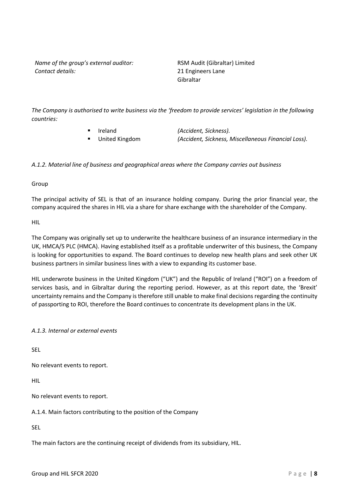*Name of the group's external auditor:* RSM Audit (Gibraltar) Limited *Contact details:* 21 Engineers Lane

Gibraltar

*The Company is authorised to write business via the 'freedom to provide services' legislation in the following countries:*

- Ireland *(Accident, Sickness).*
- 

▪ United Kingdom *(Accident, Sickness, Miscellaneous Financial Loss).*

*A.1.2. Material line of business and geographical areas where the Company carries out business*

Group

The principal activity of SEL is that of an insurance holding company. During the prior financial year, the company acquired the shares in HIL via a share for share exchange with the shareholder of the Company.

HIL

The Company was originally set up to underwrite the healthcare business of an insurance intermediary in the UK, HMCA/S PLC (HMCA). Having established itself as a profitable underwriter of this business, the Company is looking for opportunities to expand. The Board continues to develop new health plans and seek other UK business partners in similar business lines with a view to expanding its customer base.

HIL underwrote business in the United Kingdom ("UK") and the Republic of Ireland ("ROI") on a freedom of services basis, and in Gibraltar during the reporting period. However, as at this report date, the 'Brexit' uncertainty remains and the Company is therefore still unable to make final decisions regarding the continuity of passporting to ROI, therefore the Board continues to concentrate its development plans in the UK.

*A.1.3. Internal or external events*

SEL

No relevant events to report.

HIL

No relevant events to report.

A.1.4. Main factors contributing to the position of the Company

SEL

The main factors are the continuing receipt of dividends from its subsidiary, HIL.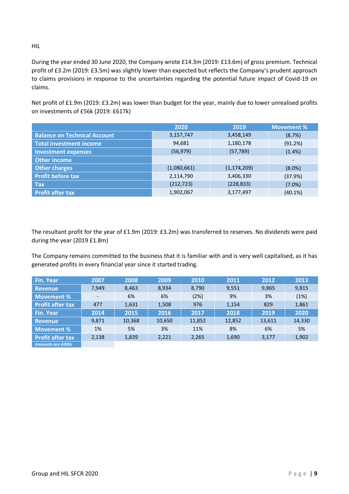HIL

During the year ended 30 June 2020, the Company wrote £14.3m (2019: £13.6m) of gross premium. Technical profit of £3.2m (2019: £3.5m) was slightly lower than expected but reflects the Company's prudent approach to claims provisions in response to the uncertainties regarding the potential future impact of Covid-19 on claims.

Net profit of £1.9m (2019: £3.2m) was lower than budget for the year, mainly due to lower unrealised profits on investments of £56k (2019: £617k)

|                                     | 2020                         | 2019                     | <b>Movement %</b>        |
|-------------------------------------|------------------------------|--------------------------|--------------------------|
| <b>Balance on Technical Account</b> | 3,157,747                    | 3,458,149                | (8.7%)                   |
| <b>Total investment income</b>      | 94,681                       | 1,180,178                | (91.2%)                  |
| <b>Investment expenses</b>          | (56, 979)                    | (57, 789)                | (1.4%)                   |
| <b>Other income</b>                 | $\qquad \qquad \blacksquare$ | $\overline{\phantom{0}}$ | $\overline{\phantom{a}}$ |
| <b>Other charges</b>                | (1,080,661)                  | (1, 174, 209)            | $(8.0\%)$                |
| <b>Profit before tax</b>            | 2,114,790                    | 3,406,330                | (37.9%)                  |
| <b>Tax</b>                          | (212, 723)                   | (228, 833)               | (7.0%)                   |
| <b>Profit after tax</b>             | 1,902,067                    | 3,177,497                | $(40.1\%)$               |

The resultant profit for the year of £1.9m (2019: £3.2m) was transferred to reserves. No dividends were paid during the year (2019 £1.8m)

The Company remains committed to the business that it is familiar with and is very well capitalised, as it has generated profits in every financial year since it started trading.

<span id="page-8-0"></span>

| <b>Fin. Year</b>         | 2007                     | 2008   | 2009   | 2010   | 2011   | 2012   | 2013   |
|--------------------------|--------------------------|--------|--------|--------|--------|--------|--------|
| <b>Revenue</b>           | 7,949                    | 8,463  | 8,934  | 8,790  | 9,551  | 9,865  | 9,815  |
| Movement %               | $\overline{\phantom{0}}$ | 6%     | 6%     | (2%)   | 9%     | 3%     | (1%)   |
| <b>Profit after tax</b>  | 477                      | 1,631  | 1,508  | 976    | 1,154  | 829    | 1,861  |
| <b>Fin. Year</b>         | 2014                     | 2015   | 2016   | 2017   | 2018   | 2019   | 2020   |
| <b>Revenue</b>           | 9,871                    | 10,368 | 10,650 | 11,852 | 12,852 | 13,611 | 14,330 |
| Movement %               | 1%                       | 5%     | 3%     | 11%    | 8%     | 6%     | 5%     |
| <b>Profit after tax</b>  | 2,138                    | 1,839  | 2,221  | 2,265  | 1,690  | 3,177  | 1,902  |
| <b>Amounts are £000s</b> |                          |        |        |        |        |        |        |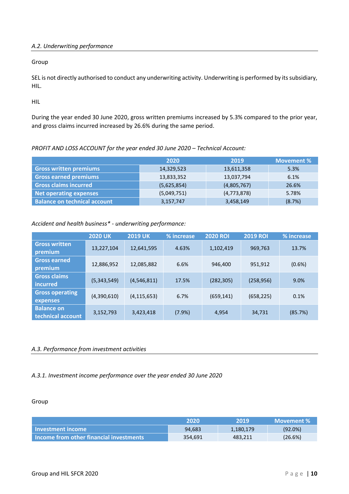#### *A.2. Underwriting performance*

Group

SEL is not directly authorised to conduct any underwriting activity. Underwriting is performed by its subsidiary, HIL.

HIL

During the year ended 30 June 2020, gross written premiums increased by 5.3% compared to the prior year, and gross claims incurred increased by 26.6% during the same period.

#### *PROFIT AND LOSS ACCOUNT for the year ended 30 June 2020 – Technical Account:*

|                                     | 2020        | 2019          | <b>Movement %</b> |
|-------------------------------------|-------------|---------------|-------------------|
| <b>Gross written premiums</b>       | 14,329,523  | 13,611,358    | 5.3%              |
| <b>Gross earned premiums</b>        | 13,833,352  | 13,037,794    | 6.1%              |
| <b>Gross claims incurred</b>        | (5,625,854) | (4,805,767)   | 26.6%             |
| <b>Net operating expenses</b>       | (5,049,751) | (4, 773, 878) | 5.78%             |
| <b>Balance on technical account</b> | 3,157,747   | 3,458,149     | (8.7%)            |

#### *Accident and health business\* - underwriting performance:*

|                                        | <b>2020 UK</b> | <b>2019 UK</b> | % increase | <b>2020 ROI</b> | <b>2019 ROI</b> | % increase |
|----------------------------------------|----------------|----------------|------------|-----------------|-----------------|------------|
| <b>Gross written</b><br>premium        | 13,227,104     | 12,641,595     | 4.63%      | 1,102,419       | 969,763         | 13.7%      |
| <b>Gross earned</b><br>premium         | 12,886,952     | 12,085,882     | 6.6%       | 946,400         | 951,912         | $(0.6\%)$  |
| <b>Gross claims</b><br>incurred        | (5,343,549)    | (4,546,811)    | 17.5%      | (282, 305)      | (258, 956)      | 9.0%       |
| <b>Gross operating</b><br>expenses     | (4,390,610)    | (4, 115, 653)  | 6.7%       | (659, 141)      | (658, 225)      | 0.1%       |
| <b>Balance on</b><br>technical account | 3,152,793      | 3,423,418      | (7.9%)     | 4,954           | 34,731          | (85.7%)    |

#### <span id="page-9-0"></span>*A.3. Performance from investment activities*

#### *A.3.1. Investment income performance over the year ended 30 June 2020*

#### Group

|                                           | 2020    | 2019      | Movement % |
|-------------------------------------------|---------|-----------|------------|
| l Investment income                       | 94,683  | 1,180,179 | $(92.0\%)$ |
| l Income from other financial investments | 354.691 | 483,211   | (26.6%)    |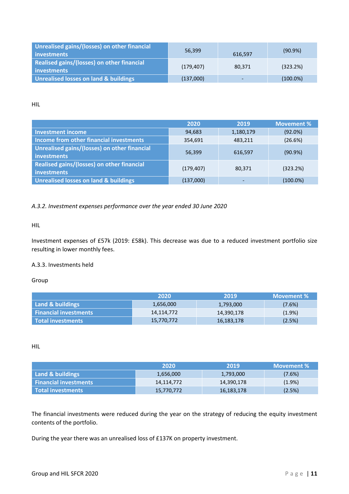| Unrealised gains/(losses) on other financial<br>investments | 56,399     | 616.597 | $(90.9\%)$  |
|-------------------------------------------------------------|------------|---------|-------------|
| Realised gains/(losses) on other financial<br>investments   | (179, 407) | 80.371  | (323.2%)    |
| Unrealised losses on land & buildings                       | (137,000)  | -       | $(100.0\%)$ |

HIL

|                                                             | 2020       | 2019      | <b>Movement %</b> |
|-------------------------------------------------------------|------------|-----------|-------------------|
| <b>Investment income</b>                                    | 94,683     | 1,180,179 | $(92.0\%)$        |
| Income from other financial investments                     | 354,691    | 483,211   | (26.6%)           |
| Unrealised gains/(losses) on other financial<br>investments | 56,399     | 616.597   | $(90.9\%)$        |
| Realised gains/(losses) on other financial<br>investments   | (179, 407) | 80,371    | (323.2%)          |
| <b>Unrealised losses on land &amp; buildings</b>            | (137,000)  |           | $(100.0\%)$       |

#### *A.3.2. Investment expenses performance over the year ended 30 June 2020*

#### HIL

Investment expenses of £57k (2019: £58k). This decrease was due to a reduced investment portfolio size resulting in lower monthly fees.

#### A.3.3. Investments held

Group

|                         | 2020       | 2019       | Movement % |
|-------------------------|------------|------------|------------|
| Land & buildings        | 1,656,000  | 1,793,000  | $(7.6\%)$  |
| l Financial investments | 14,114,772 | 14,390,178 | $(1.9\%)$  |
| l Total investments     | 15,770,772 | 16,183,178 | (2.5%)     |

HIL

|                              | 2020       | 2019       | Movement % |
|------------------------------|------------|------------|------------|
| Land & buildings             | 1,656,000  | 1,793,000  | $(7.6\%)$  |
| <b>Financial investments</b> | 14,114,772 | 14,390,178 | $(1.9\%)$  |
| l Total investments          | 15,770,772 | 16,183,178 | (2.5%)     |

<span id="page-10-0"></span>The financial investments were reduced during the year on the strategy of reducing the equity investment contents of the portfolio.

During the year there was an unrealised loss of £137K on property investment.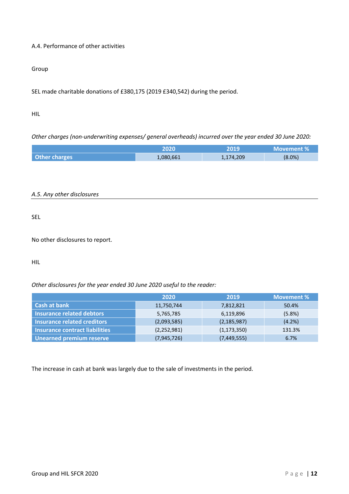#### A.4. Performance of other activities

#### Group

SEL made charitable donations of £380,175 (2019 £340,542) during the period.

#### HIL

*Other charges (non-underwriting expenses/ general overheads) incurred over the year ended 30 June 2020:*

<span id="page-11-0"></span>

|                      | 2020      | 2019      | Movement % |
|----------------------|-----------|-----------|------------|
| <b>Other charges</b> | 1,080,661 | 1,174,209 | $(8.0\%)$  |

#### *A.5. Any other disclosures*

SEL

No other disclosures to report.

HIL

*Other disclosures for the year ended 30 June 2020 useful to the reader:*

|                                       | 2020          | 2019          | <b>Movement %</b> |
|---------------------------------------|---------------|---------------|-------------------|
| Cash at bank                          | 11,750,744    | 7,812,821     | 50.4%             |
| <b>Insurance related debtors</b>      | 5,765,785     | 6,119,896     | (5.8%)            |
| <b>Insurance related creditors</b>    | (2,093,585)   | (2, 185, 987) | (4.2%)            |
| <b>Insurance contract liabilities</b> | (2, 252, 981) | (1, 173, 350) | 131.3%            |
| <b>Unearned premium reserve</b>       | (7,945,726)   | (7,449,555)   | 6.7%              |

<span id="page-11-1"></span>The increase in cash at bank was largely due to the sale of investments in the period.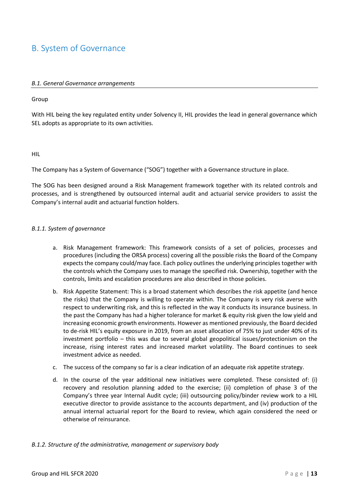### <span id="page-12-0"></span>B. System of Governance

#### *B.1. General Governance arrangements*

#### Group

With HIL being the key regulated entity under Solvency II, HIL provides the lead in general governance which SEL adopts as appropriate to its own activities.

#### HIL

The Company has a System of Governance ("SOG") together with a Governance structure in place.

The SOG has been designed around a Risk Management framework together with its related controls and processes, and is strengthened by outsourced internal audit and actuarial service providers to assist the Company's internal audit and actuarial function holders.

#### *B.1.1. System of governance*

- a. Risk Management framework: This framework consists of a set of policies, processes and procedures (including the ORSA process) covering all the possible risks the Board of the Company expects the company could/may face. Each policy outlines the underlying principles together with the controls which the Company uses to manage the specified risk. Ownership, together with the controls, limits and escalation procedures are also described in those policies.
- b. Risk Appetite Statement: This is a broad statement which describes the risk appetite (and hence the risks) that the Company is willing to operate within. The Company is very risk averse with respect to underwriting risk, and this is reflected in the way it conducts its insurance business. In the past the Company has had a higher tolerance for market & equity risk given the low yield and increasing economic growth environments. However as mentioned previously, the Board decided to de-risk HIL's equity exposure in 2019, from an asset allocation of 75% to just under 40% of its investment portfolio – this was due to several global geopolitical issues/protectionism on the increase, rising interest rates and increased market volatility. The Board continues to seek investment advice as needed.
- c. The success of the company so far is a clear indication of an adequate risk appetite strategy.
- d. In the course of the year additional new initiatives were completed. These consisted of: (i) recovery and resolution planning added to the exercise; (ii) completion of phase 3 of the Company's three year Internal Audit cycle; (iii) outsourcing policy/binder review work to a HIL executive director to provide assistance to the accounts department, and (iv) production of the annual internal actuarial report for the Board to review, which again considered the need or otherwise of reinsurance.

#### *B.1.2. Structure of the administrative, management or supervisory body*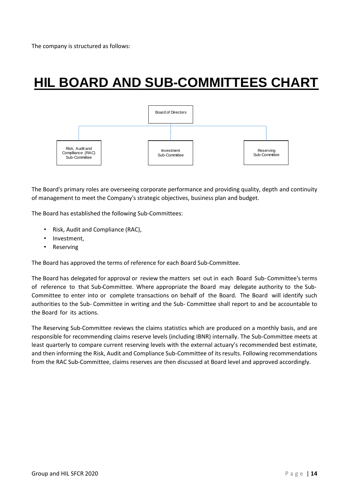## **HIL BOARD AND SUB-COMMITTEES CHART**



The Board's primary roles are overseeing corporate performance and providing quality, depth and continuity of management to meet the Company's strategic objectives, business plan and budget.

The Board has established the following Sub-Committees:

- Risk, Audit and Compliance (RAC),
- Investment,
- Reserving

The Board has approved the terms of reference for each Board Sub-Committee.

The Board has delegated for approval or review the matters set out in each Board Sub- Committee's terms of reference to that Sub-Committee. Where appropriate the Board may delegate authority to the Sub-Committee to enter into or complete transactions on behalf of the Board. The Board will identify such authorities to the Sub- Committee in writing and the Sub- Committee shall report to and be accountable to the Board for its actions.

The Reserving Sub-Committee reviews the claims statistics which are produced on a monthly basis, and are responsible for recommending claims reserve levels (including IBNR) internally. The Sub-Committee meets at least quarterly to compare current reserving levels with the external actuary's recommended best estimate, and then informing the Risk, Audit and Compliance Sub-Committee of its results. Following recommendations from the RAC Sub-Committee, claims reserves are then discussed at Board level and approved accordingly.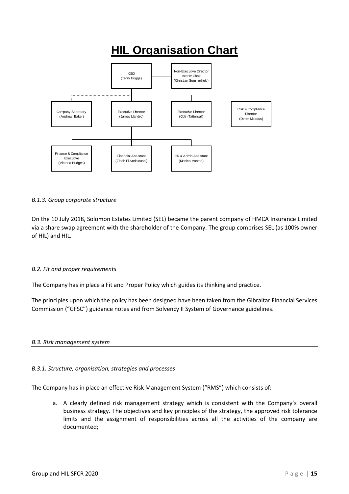## **HIL Organisation Chart**



#### *B.1.3. Group corporate structure*

On the 10 July 2018, Solomon Estates Limited (SEL) became the parent company of HMCA Insurance Limited via a share swap agreement with the shareholder of the Company. The group comprises SEL (as 100% owner of HIL) and HIL.

#### <span id="page-14-0"></span>*B.2. Fit and proper requirements*

The Company has in place a Fit and Proper Policy which guides its thinking and practice.

The principles upon which the policy has been designed have been taken from the Gibraltar Financial Services Commission ("GFSC") guidance notes and from Solvency II System of Governance guidelines.

#### <span id="page-14-1"></span>*B.3. Risk management system*

#### *B.3.1. Structure, organisation, strategies and processes*

The Company has in place an effective Risk Management System ("RMS") which consists of:

a. A clearly defined risk management strategy which is consistent with the Company's overall business strategy. The objectives and key principles of the strategy, the approved risk tolerance limits and the assignment of responsibilities across all the activities of the company are documented;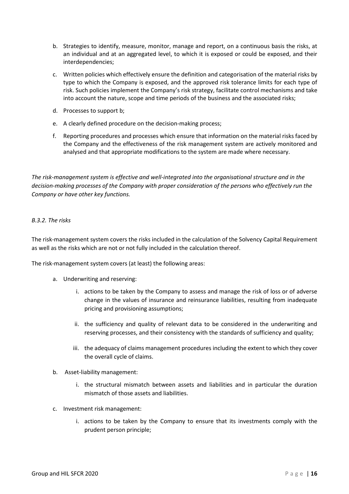- b. Strategies to identify, measure, monitor, manage and report, on a continuous basis the risks, at an individual and at an aggregated level, to which it is exposed or could be exposed, and their interdependencies;
- c. Written policies which effectively ensure the definition and categorisation of the material risks by type to which the Company is exposed, and the approved risk tolerance limits for each type of risk. Such policies implement the Company's risk strategy, facilitate control mechanisms and take into account the nature, scope and time periods of the business and the associated risks;
- d. Processes to support b;
- e. A clearly defined procedure on the decision-making process;
- f. Reporting procedures and processes which ensure that information on the material risks faced by the Company and the effectiveness of the risk management system are actively monitored and analysed and that appropriate modifications to the system are made where necessary.

*The risk-management system is effective and well-integrated into the organisational structure and in the decision-making processes of the Company with proper consideration of the persons who effectively run the Company or have other key functions.*

#### *B.3.2. The risks*

The risk-management system covers the risks included in the calculation of the Solvency Capital Requirement as well as the risks which are not or not fully included in the calculation thereof.

The risk-management system covers (at least) the following areas:

- a. Underwriting and reserving:
	- i. actions to be taken by the Company to assess and manage the risk of loss or of adverse change in the values of insurance and reinsurance liabilities, resulting from inadequate pricing and provisioning assumptions;
	- ii. the sufficiency and quality of relevant data to be considered in the underwriting and reserving processes, and their consistency with the standards of sufficiency and quality;
	- iii. the adequacy of claims management procedures including the extent to which they cover the overall cycle of claims.
- b. Asset-liability management:
	- i. the structural mismatch between assets and liabilities and in particular the duration mismatch of those assets and liabilities.
- c. Investment risk management:
	- i. actions to be taken by the Company to ensure that its investments comply with the prudent person principle;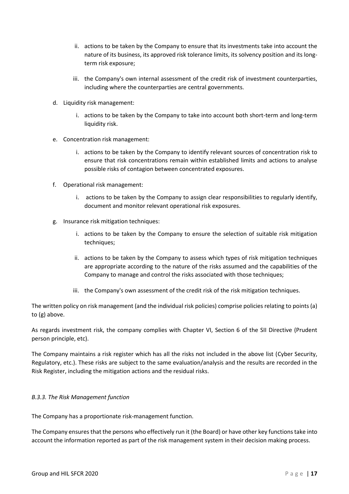- ii. actions to be taken by the Company to ensure that its investments take into account the nature of its business, its approved risk tolerance limits, its solvency position and its longterm risk exposure;
- iii. the Company's own internal assessment of the credit risk of investment counterparties, including where the counterparties are central governments.
- d. Liquidity risk management:
	- i. actions to be taken by the Company to take into account both short-term and long-term liquidity risk.
- e. Concentration risk management:
	- i. actions to be taken by the Company to identify relevant sources of concentration risk to ensure that risk concentrations remain within established limits and actions to analyse possible risks of contagion between concentrated exposures.
- f. Operational risk management:
	- i. actions to be taken by the Company to assign clear responsibilities to regularly identify, document and monitor relevant operational risk exposures.
- g. Insurance risk mitigation techniques:
	- i. actions to be taken by the Company to ensure the selection of suitable risk mitigation techniques;
	- ii. actions to be taken by the Company to assess which types of risk mitigation techniques are appropriate according to the nature of the risks assumed and the capabilities of the Company to manage and control the risks associated with those techniques;
	- iii. the Company's own assessment of the credit risk of the risk mitigation techniques.

The written policy on risk management (and the individual risk policies) comprise policies relating to points (a) to (g) above.

As regards investment risk, the company complies with Chapter VI, Section 6 of the SII Directive (Prudent person principle, etc).

The Company maintains a risk register which has all the risks not included in the above list (Cyber Security, Regulatory, etc.). These risks are subject to the same evaluation/analysis and the results are recorded in the Risk Register, including the mitigation actions and the residual risks.

#### *B.3.3. The Risk Management function*

The Company has a proportionate risk-management function.

The Company ensures that the persons who effectively run it (the Board) or have other key functions take into account the information reported as part of the risk management system in their decision making process.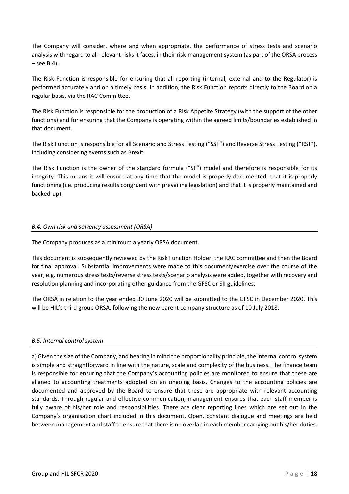The Company will consider, where and when appropriate, the performance of stress tests and scenario analysis with regard to all relevant risks it faces, in their risk-management system (as part of the ORSA process  $-$  see B.4).

The Risk Function is responsible for ensuring that all reporting (internal, external and to the Regulator) is performed accurately and on a timely basis. In addition, the Risk Function reports directly to the Board on a regular basis, via the RAC Committee.

The Risk Function is responsible for the production of a Risk Appetite Strategy (with the support of the other functions) and for ensuring that the Company is operating within the agreed limits/boundaries established in that document.

The Risk Function is responsible for all Scenario and Stress Testing ("SST") and Reverse Stress Testing ("RST"), including considering events such as Brexit.

The Risk Function is the owner of the standard formula ("SF") model and therefore is responsible for its integrity. This means it will ensure at any time that the model is properly documented, that it is properly functioning (i.e. producing results congruent with prevailing legislation) and that it is properly maintained and backed-up).

#### <span id="page-17-0"></span>*B.4. Own risk and solvency assessment (ORSA)*

The Company produces as a minimum a yearly ORSA document.

This document is subsequently reviewed by the Risk Function Holder, the RAC committee and then the Board for final approval. Substantial improvements were made to this document/exercise over the course of the year, e.g. numerous stress tests/reverse stress tests/scenario analysis were added, together with recovery and resolution planning and incorporating other guidance from the GFSC or SII guidelines.

The ORSA in relation to the year ended 30 June 2020 will be submitted to the GFSC in December 2020. This will be HIL's third group ORSA, following the new parent company structure as of 10 July 2018.

#### <span id="page-17-1"></span>*B.5. Internal control system*

a) Given the size of the Company, and bearing in mind the proportionality principle, the internal control system is simple and straightforward in line with the nature, scale and complexity of the business. The finance team is responsible for ensuring that the Company's accounting policies are monitored to ensure that these are aligned to accounting treatments adopted on an ongoing basis. Changes to the accounting policies are documented and approved by the Board to ensure that these are appropriate with relevant accounting standards. Through regular and effective communication, management ensures that each staff member is fully aware of his/her role and responsibilities. There are clear reporting lines which are set out in the Company's organisation chart included in this document. Open, constant dialogue and meetings are held between management and staff to ensure that there is no overlap in each member carrying out his/her duties.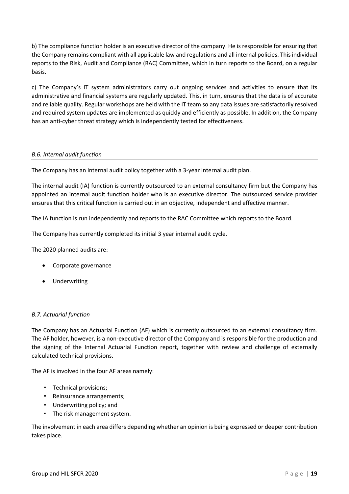b) The compliance function holder is an executive director of the company. He is responsible for ensuring that the Company remains compliant with all applicable law and regulations and all internal policies. This individual reports to the Risk, Audit and Compliance (RAC) Committee, which in turn reports to the Board, on a regular basis.

c) The Company's IT system administrators carry out ongoing services and activities to ensure that its administrative and financial systems are regularly updated. This, in turn, ensures that the data is of accurate and reliable quality. Regular workshops are held with the IT team so any data issues are satisfactorily resolved and required system updates are implemented as quickly and efficiently as possible. In addition, the Company has an anti-cyber threat strategy which is independently tested for effectiveness.

#### <span id="page-18-0"></span>*B.6. Internal audit function*

The Company has an internal audit policy together with a 3-year internal audit plan.

The internal audit (IA) function is currently outsourced to an external consultancy firm but the Company has appointed an internal audit function holder who is an executive director. The outsourced service provider ensures that this critical function is carried out in an objective, independent and effective manner.

The IA function is run independently and reports to the RAC Committee which reports to the Board.

The Company has currently completed its initial 3 year internal audit cycle.

The 2020 planned audits are:

- Corporate governance
- Underwriting

#### <span id="page-18-1"></span>*B.7. Actuarial function*

The Company has an Actuarial Function (AF) which is currently outsourced to an external consultancy firm. The AF holder, however, is a non-executive director of the Company and is responsible for the production and the signing of the Internal Actuarial Function report, together with review and challenge of externally calculated technical provisions.

The AF is involved in the four AF areas namely:

- Technical provisions;
- Reinsurance arrangements;
- Underwriting policy; and
- The risk management system.

The involvement in each area differs depending whether an opinion is being expressed or deeper contribution takes place.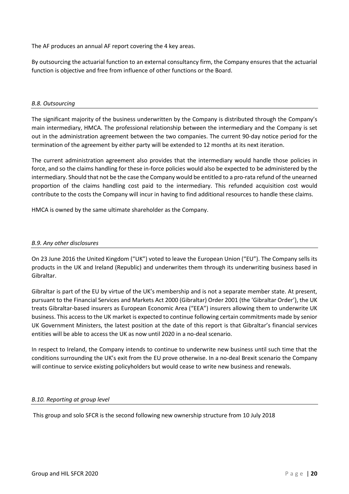The AF produces an annual AF report covering the 4 key areas.

By outsourcing the actuarial function to an external consultancy firm, the Company ensures that the actuarial function is objective and free from influence of other functions or the Board.

#### <span id="page-19-0"></span>*B.8. Outsourcing*

The significant majority of the business underwritten by the Company is distributed through the Company's main intermediary, HMCA. The professional relationship between the intermediary and the Company is set out in the administration agreement between the two companies. The current 90-day notice period for the termination of the agreement by either party will be extended to 12 months at its next iteration.

The current administration agreement also provides that the intermediary would handle those policies in force, and so the claims handling for these in-force policies would also be expected to be administered by the intermediary. Should that not be the case the Company would be entitled to a pro-rata refund of the unearned proportion of the claims handling cost paid to the intermediary. This refunded acquisition cost would contribute to the costs the Company will incur in having to find additional resources to handle these claims.

<span id="page-19-1"></span>HMCA is owned by the same ultimate shareholder as the Company.

#### *B.9. Any other disclosures*

On 23 June 2016 the United Kingdom ("UK") voted to leave the European Union ("EU"). The Company sells its products in the UK and Ireland (Republic) and underwrites them through its underwriting business based in Gibraltar.

Gibraltar is part of the EU by virtue of the UK's membership and is not a separate member state. At present, pursuant to the Financial Services and Markets Act 2000 (Gibraltar) Order 2001 (the 'Gibraltar Order'), the UK treats Gibraltar-based insurers as European Economic Area ("EEA") insurers allowing them to underwrite UK business. This access to the UK market is expected to continue following certain commitments made by senior UK Government Ministers, the latest position at the date of this report is that Gibraltar's financial services entities will be able to access the UK as now until 2020 in a no-deal scenario.

In respect to Ireland, the Company intends to continue to underwrite new business until such time that the conditions surrounding the UK's exit from the EU prove otherwise. In a no-deal Brexit scenario the Company will continue to service existing policyholders but would cease to write new business and renewals.

#### <span id="page-19-2"></span>*B.10. Reporting at group level*

This group and solo SFCR is the second following new ownership structure from 10 July 2018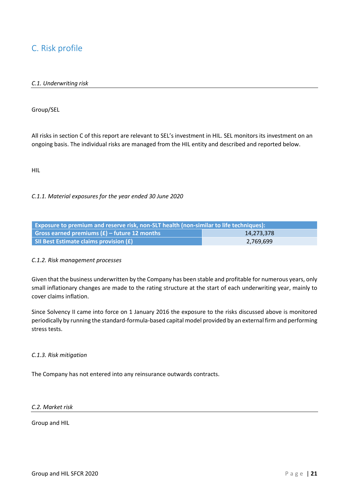### <span id="page-20-1"></span><span id="page-20-0"></span>C. Risk profile

#### *C.1. Underwriting risk*

Group/SEL

All risks in section C of this report are relevant to SEL's investment in HIL. SEL monitors its investment on an ongoing basis. The individual risks are managed from the HIL entity and described and reported below.

HIL

#### *C.1.1. Material exposures for the year ended 30 June 2020*

| Exposure to premium and reserve risk, non-SLT health (non-similar to life techniques): |  |  |
|----------------------------------------------------------------------------------------|--|--|
| Gross earned premiums $(E)$ – future 12 months<br>14.273.378                           |  |  |
| SII Best Estimate claims provision (£)<br>2,769,699                                    |  |  |

#### *C.1.2. Risk management processes*

Given that the business underwritten by the Company has been stable and profitable for numerous years, only small inflationary changes are made to the rating structure at the start of each underwriting year, mainly to cover claims inflation.

Since Solvency II came into force on 1 January 2016 the exposure to the risks discussed above is monitored periodically by running the standard-formula-based capital model provided by an external firm and performing stress tests.

#### *C.1.3. Risk mitigation*

The Company has not entered into any reinsurance outwards contracts.

#### *C.2. Market risk*

Group and HIL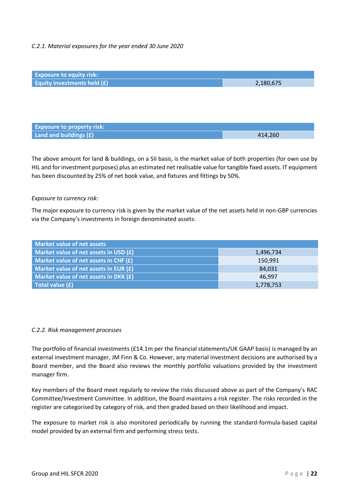#### *C.2.1. Material exposures for the year ended 30 June 2020*



The above amount for land & buildings, on a SII basis, is the market value of both properties (for own use by HIL and for investment purposes) plus an estimated net realisable value for tangible fixed assets. IT equipment has been discounted by 25% of net book value, and fixtures and fittings by 50%.

#### *Exposure to currency risk:*

The major exposure to currency risk is given by the market value of the net assets held in non-GBP currencies via the Company's investments in foreign denominated assets:

| <b>Market value of net assets</b>       |           |
|-----------------------------------------|-----------|
| Market value of net assets in USD $(E)$ | 1,496,734 |
| Market value of net assets in CHF $(f)$ | 150,991   |
| Market value of net assets in EUR $(f)$ | 84,031    |
| Market value of net assets in DKK $(E)$ | 46,997    |
| Total value (£)                         | 1,778,753 |

#### *C.2.2. Risk management processes*

The portfolio of financial investments (£14.1m per the financial statements/UK GAAP basis) is managed by an external investment manager, JM Finn & Co. However, any material investment decisions are authorised by a Board member, and the Board also reviews the monthly portfolio valuations provided by the investment manager firm.

Key members of the Board meet regularly to review the risks discussed above as part of the Company's RAC Committee/Investment Committee. In addition, the Board maintains a risk register. The risks recorded in the register are categorised by category of risk, and then graded based on their likelihood and impact.

The exposure to market risk is also monitored periodically by running the standard-formula-based capital model provided by an external firm and performing stress tests.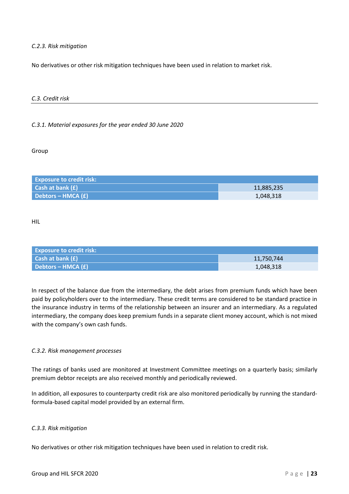*C.2.3. Risk mitigation*

<span id="page-22-0"></span>No derivatives or other risk mitigation techniques have been used in relation to market risk.

#### *C.3. Credit risk*

#### *C.3.1. Material exposures for the year ended 30 June 2020*

Group

| <b>Exposure to credit risk:</b> |            |
|---------------------------------|------------|
| Cash at bank (£)                | 11,885,235 |
| Debtors – HMCA $(f)$            | 1,048,318  |

HIL

| <b>Exposure to credit risk:</b>      |            |
|--------------------------------------|------------|
| <b>Cash at bank <math>(f)</math></b> | 11,750,744 |
| Debtors – HMCA (£) \                 | 1,048,318  |

In respect of the balance due from the intermediary, the debt arises from premium funds which have been paid by policyholders over to the intermediary. These credit terms are considered to be standard practice in the insurance industry in terms of the relationship between an insurer and an intermediary. As a regulated intermediary, the company does keep premium funds in a separate client money account, which is not mixed with the company's own cash funds.

#### *C.3.2. Risk management processes*

The ratings of banks used are monitored at Investment Committee meetings on a quarterly basis; similarly premium debtor receipts are also received monthly and periodically reviewed.

In addition, all exposures to counterparty credit risk are also monitored periodically by running the standardformula-based capital model provided by an external firm.

#### *C.3.3. Risk mitigation*

No derivatives or other risk mitigation techniques have been used in relation to credit risk.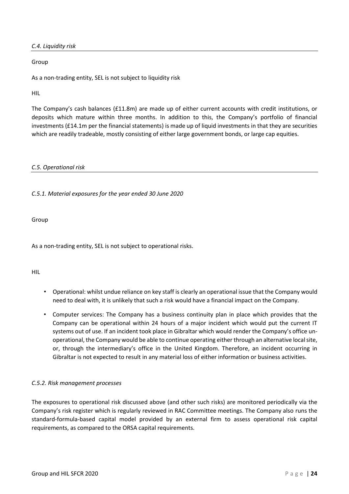<span id="page-23-0"></span>*C.4. Liquidity risk*

Group

As a non-trading entity, SEL is not subject to liquidity risk

HIL

The Company's cash balances (£11.8m) are made up of either current accounts with credit institutions, or deposits which mature within three months. In addition to this, the Company's portfolio of financial investments (£14.1m per the financial statements) is made up of liquid investments in that they are securities which are readily tradeable, mostly consisting of either large government bonds, or large cap equities.

#### <span id="page-23-1"></span>*C.5. Operational risk*

#### *C.5.1. Material exposures for the year ended 30 June 2020*

Group

As a non-trading entity, SEL is not subject to operational risks.

HIL

- Operational: whilst undue reliance on key staff is clearly an operational issue that the Company would need to deal with, it is unlikely that such a risk would have a financial impact on the Company.
- Computer services: The Company has a business continuity plan in place which provides that the Company can be operational within 24 hours of a major incident which would put the current IT systems out of use. If an incident took place in Gibraltar which would render the Company's office unoperational, the Company would be able to continue operating either through an alternative local site, or, through the intermediary's office in the United Kingdom. Therefore, an incident occurring in Gibraltar is not expected to result in any material loss of either information or business activities.

#### *C.5.2. Risk management processes*

The exposures to operational risk discussed above (and other such risks) are monitored periodically via the Company's risk register which is regularly reviewed in RAC Committee meetings. The Company also runs the standard-formula-based capital model provided by an external firm to assess operational risk capital requirements, as compared to the ORSA capital requirements.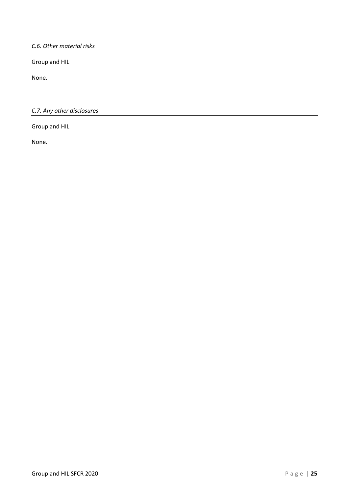<span id="page-24-0"></span>*C.6. Other material risks*

Group and HIL

<span id="page-24-1"></span>None.

*C.7. Any other disclosures*

Group and HIL

None.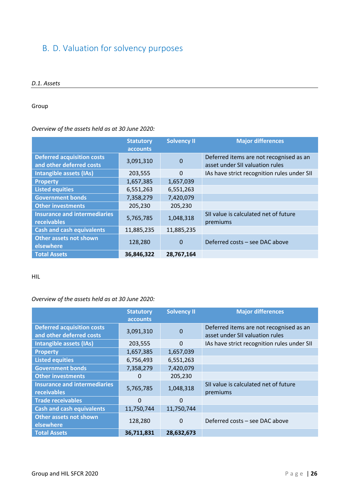## <span id="page-25-1"></span><span id="page-25-0"></span>B. D. Valuation for solvency purposes

#### *D.1. Assets*

#### Group

#### *Overview of the assets held as at 30 June 2020:*

|                                                               | <b>Statutory</b><br>accounts | <b>Solvency II</b> | <b>Major differences</b>                                                   |
|---------------------------------------------------------------|------------------------------|--------------------|----------------------------------------------------------------------------|
| <b>Deferred acquisition costs</b><br>and other deferred costs | 3,091,310                    | $\mathbf 0$        | Deferred items are not recognised as an<br>asset under SII valuation rules |
| Intangible assets (IAs)                                       | 203,555                      | $\Omega$           | IAs have strict recognition rules under SII                                |
| <b>Property</b>                                               | 1,657,385                    | 1,657,039          |                                                                            |
| <b>Listed equities</b>                                        | 6,551,263                    | 6,551,263          |                                                                            |
| <b>Government bonds</b>                                       | 7,358,279                    | 7,420,079          |                                                                            |
| <b>Other investments</b>                                      | 205,230                      | 205,230            |                                                                            |
| <b>Insurance and intermediaries</b><br>receivables            | 5,765,785                    | 1,048,318          | SII value is calculated net of future<br>premiums                          |
| <b>Cash and cash equivalents</b>                              | 11,885,235                   | 11,885,235         |                                                                            |
| <b>Other assets not shown</b><br>elsewhere                    | 128,280                      | $\Omega$           | Deferred costs - see DAC above                                             |
| <b>Total Assets</b>                                           | 36,846,322                   | 28,767,164         |                                                                            |

#### HIL

#### *Overview of the assets held as at 30 June 2020:*

|                                                               | <b>Statutory</b><br><b>accounts</b> | <b>Solvency II</b> | <b>Major differences</b>                                                   |
|---------------------------------------------------------------|-------------------------------------|--------------------|----------------------------------------------------------------------------|
| <b>Deferred acquisition costs</b><br>and other deferred costs | 3,091,310                           | 0                  | Deferred items are not recognised as an<br>asset under SII valuation rules |
| Intangible assets (IAs)                                       | 203,555                             | $\Omega$           | IAs have strict recognition rules under SII                                |
| <b>Property</b>                                               | 1,657,385                           | 1,657,039          |                                                                            |
| <b>Listed equities</b>                                        | 6,756,493                           | 6,551,263          |                                                                            |
| <b>Government bonds</b>                                       | 7,358,279                           | 7,420,079          |                                                                            |
| <b>Other investments</b>                                      | 0                                   | 205,230            |                                                                            |
| <b>Insurance and intermediaries</b><br>receivables            | 5,765,785                           | 1,048,318          | SII value is calculated net of future<br>premiums                          |
| <b>Trade receivables</b>                                      | 0                                   | 0                  |                                                                            |
| <b>Cash and cash equivalents</b>                              | 11,750,744                          | 11,750,744         |                                                                            |
| Other assets not shown<br>elsewhere                           | 128,280                             | 0                  | Deferred costs - see DAC above                                             |
| <b>Total Assets</b>                                           | 36,711,831                          | 28,632,673         |                                                                            |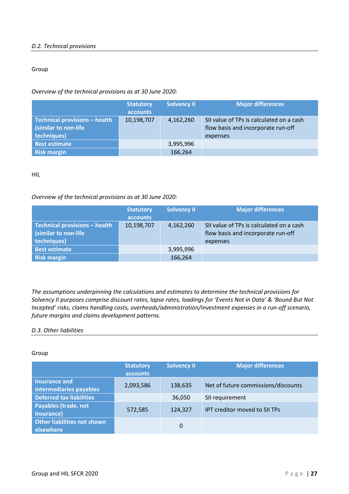#### <span id="page-26-0"></span>*D.2. Technical provisions*

#### Group

#### *Overview of the technical provisions as at 30 June 2020:*

|                                                                       | <b>Statutory</b><br>accounts | <b>Solvency II</b> | <b>Major differences</b>                                                                   |
|-----------------------------------------------------------------------|------------------------------|--------------------|--------------------------------------------------------------------------------------------|
| Technical provisions - health<br>(similar to non-life)<br>techniques) | 10,198,707                   | 4,162,260          | SII value of TPs is calculated on a cash<br>flow basis and incorporate run-off<br>expenses |
| <b>Best estimate</b>                                                  |                              | 3,995,996          |                                                                                            |
| <b>Risk margin</b>                                                    |                              | 166,264            |                                                                                            |

HIL

#### *Overview of the technical provisions as at 30 June 2020:*

|                                                                      | <b>Statutory</b><br>accounts | <b>Solvency II</b> | <b>Major differences</b>                                                                   |
|----------------------------------------------------------------------|------------------------------|--------------------|--------------------------------------------------------------------------------------------|
| Technical provisions - health<br>(similar to non-life<br>techniques) | 10,198,707                   | 4,162,260          | SII value of TPs is calculated on a cash<br>flow basis and incorporate run-off<br>expenses |
| <b>Best estimate</b>                                                 |                              | 3,995,996          |                                                                                            |
| <b>Risk margin</b>                                                   |                              | 166,264            |                                                                                            |

*The assumptions underpinning the calculations and estimates to determine the technical provisions for Solvency II purposes comprise discount rates, lapse rates, loadings for 'Events Not in Data' & 'Bound But Not Incepted' risks, claims handling costs, overheads/administration/investment expenses in a run-off scenario, future margins and claims development patterns.*

#### <span id="page-26-1"></span>*D.3. Other liabilities*

#### Group

|                                                 | <b>Statutory</b><br>accounts | <b>Solvency II</b> | <b>Major differences</b>            |
|-------------------------------------------------|------------------------------|--------------------|-------------------------------------|
| Insurance and<br>intermediaries payables        | 2,093,586                    | 138,635            | Net of future commissions/discounts |
| <b>Deferred tax liabilities</b>                 |                              | 36,050             | SII requirement                     |
| <b>Payables (trade, not</b><br>insurance)       | 572,585                      | 124,327            | IPT creditor moved to SII TPs       |
| <b>Other liabilities not shown</b><br>elsewhere |                              | 0                  |                                     |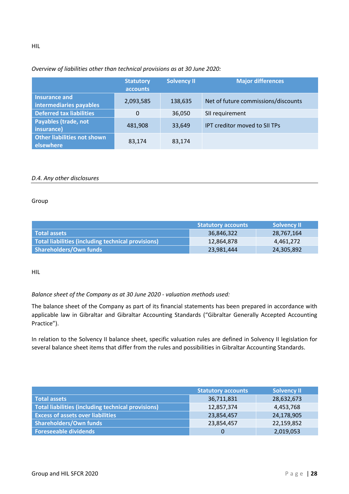#### *Overview of liabilities other than technical provisions as at 30 June 2020:*

|                                                 | <b>Statutory</b><br><b>accounts</b> | <b>Solvency II</b> | <b>Major differences</b>            |
|-------------------------------------------------|-------------------------------------|--------------------|-------------------------------------|
| Insurance and<br>intermediaries payables        | 2,093,585                           | 138,635            | Net of future commissions/discounts |
| <b>Deferred tax liabilities</b>                 | $\Omega$                            | 36,050             | SII requirement                     |
| <b>Payables (trade, not</b><br>insurance)       | 481,908                             | 33,649             | IPT creditor moved to SII TPs       |
| <b>Other liabilities not shown</b><br>elsewhere | 83,174                              | 83,174             |                                     |

#### <span id="page-27-0"></span>*D.4. Any other disclosures*

#### Group

|                                                    | <b>Statutory accounts</b> | <b>Solvency II</b> |
|----------------------------------------------------|---------------------------|--------------------|
| Total assets                                       | 36,846,322                | 28,767,164         |
| Total liabilities (including technical provisions) | 12,864,878                | 4.461.272          |
| Shareholders/Own funds                             | 23,981,444                | 24,305,892         |

HIL

#### *Balance sheet of the Company as at 30 June 2020 - valuation methods used:*

The balance sheet of the Company as part of its financial statements has been prepared in accordance with applicable law in Gibraltar and Gibraltar Accounting Standards ("Gibraltar Generally Accepted Accounting Practice").

In relation to the Solvency II balance sheet, specific valuation rules are defined in Solvency II legislation for several balance sheet items that differ from the rules and possibilities in Gibraltar Accounting Standards.

|                                                    | <b>Statutory accounts</b> | <b>Solvency II</b> |
|----------------------------------------------------|---------------------------|--------------------|
| Total assets                                       | 36,711,831                | 28,632,673         |
| Total liabilities (including technical provisions) | 12,857,374                | 4,453,768          |
| <b>Excess of assets over liabilities</b>           | 23,854,457                | 24,178,905         |
| Shareholders/Own funds                             | 23,854,457                | 22,159,852         |
| Foreseeable dividends                              |                           | 2,019,053          |

HIL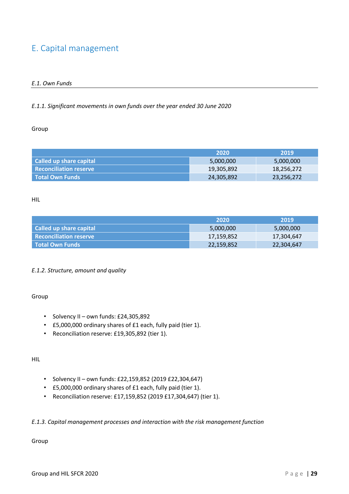## <span id="page-28-1"></span><span id="page-28-0"></span>E. Capital management

#### *E.1. Own Funds*

#### *E.1.1. Significant movements in own funds over the year ended 30 June 2020*

#### Group

|                               | -2020      | 2019       |
|-------------------------------|------------|------------|
| Called up share capital       | 5,000,000  | 5,000,000  |
| <b>Reconciliation reserve</b> | 19,305,892 | 18,256,272 |
| l Total Own Funds             | 24,305,892 | 23,256,272 |

#### HIL

|                               | -2020      | 2019       |
|-------------------------------|------------|------------|
| Called up share capital       | 5,000,000  | 5,000,000  |
| <b>Reconciliation reserve</b> | 17,159,852 | 17,304,647 |
| l Total Own Funds             | 22,159,852 | 22,304,647 |

#### *E.1.2. Structure, amount and quality*

#### Group

- Solvency II own funds: £24,305,892
- £5,000,000 ordinary shares of £1 each, fully paid (tier 1).
- Reconciliation reserve: £19,305,892 (tier 1).

#### HIL

- Solvency II own funds: £22,159,852 (2019 £22,304,647)
- £5,000,000 ordinary shares of £1 each, fully paid (tier 1).
- Reconciliation reserve: £17,159,852 (2019 £17,304,647) (tier 1).

#### *E.1.3. Capital management processes and interaction with the risk management function*

#### Group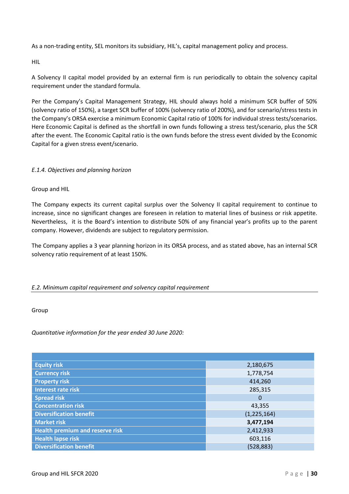As a non-trading entity, SEL monitors its subsidiary, HIL's, capital management policy and process.

HIL

A Solvency II capital model provided by an external firm is run periodically to obtain the solvency capital requirement under the standard formula.

Per the Company's Capital Management Strategy, HIL should always hold a minimum SCR buffer of 50% (solvency ratio of 150%), a target SCR buffer of 100% (solvency ratio of 200%), and for scenario/stress tests in the Company's ORSA exercise a minimum Economic Capital ratio of 100% for individual stress tests/scenarios. Here Economic Capital is defined as the shortfall in own funds following a stress test/scenario, plus the SCR after the event. The Economic Capital ratio is the own funds before the stress event divided by the Economic Capital for a given stress event/scenario.

#### *E.1.4. Objectives and planning horizon*

Group and HIL

The Company expects its current capital surplus over the Solvency II capital requirement to continue to increase, since no significant changes are foreseen in relation to material lines of business or risk appetite. Nevertheless, it is the Board's intention to distribute 50% of any financial year's profits up to the parent company. However, dividends are subject to regulatory permission.

The Company applies a 3 year planning horizon in its ORSA process, and as stated above, has an internal SCR solvency ratio requirement of at least 150%.

#### <span id="page-29-0"></span>*E.2. Minimum capital requirement and solvency capital requirement*

Group

*Quantitative information for the year ended 30 June 2020:*

| <b>Equity risk</b>                     | 2,180,675   |
|----------------------------------------|-------------|
| <b>Currency risk</b>                   | 1,778,754   |
| <b>Property risk</b>                   | 414,260     |
| Interest rate risk                     | 285,315     |
| <b>Spread risk</b>                     | 0           |
| <b>Concentration risk</b>              | 43,355      |
| <b>Diversification benefit</b>         | (1,225,164) |
| <b>Market risk</b>                     | 3,477,194   |
| <b>Health premium and reserve risk</b> | 2,412,933   |
| <b>Health lapse risk</b>               | 603,116     |
| <b>Diversification benefit</b>         | (528, 883)  |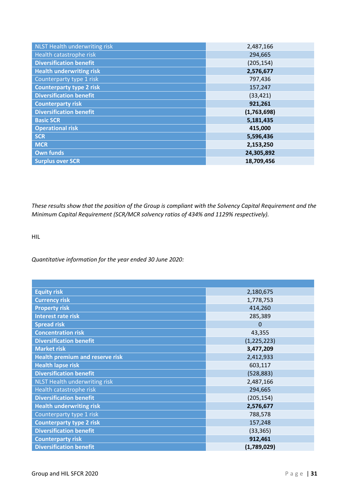| NLST Health underwriting risk   | 2,487,166   |
|---------------------------------|-------------|
| Health catastrophe risk         | 294,665     |
| <b>Diversification benefit</b>  | (205, 154)  |
| <b>Health underwriting risk</b> | 2,576,677   |
| Counterparty type 1 risk        | 797,436     |
| <b>Counterparty type 2 risk</b> | 157,247     |
| <b>Diversification benefit</b>  | (33, 421)   |
| <b>Counterparty risk</b>        | 921,261     |
| <b>Diversification benefit</b>  | (1,763,698) |
| <b>Basic SCR</b>                | 5,181,435   |
| <b>Operational risk</b>         | 415,000     |
| <b>SCR</b>                      | 5,596,436   |
| <b>MCR</b>                      | 2,153,250   |
| <b>Own funds</b>                | 24,305,892  |
| <b>Surplus over SCR</b>         | 18,709,456  |

*These results show that the position of the Group is compliant with the Solvency Capital Requirement and the Minimum Capital Requirement (SCR/MCR solvency ratios of 434% and 1129% respectively).*

HIL

#### *Quantitative information for the year ended 30 June 2020:*

| <b>Equity risk</b>                     | 2,180,675      |
|----------------------------------------|----------------|
| <b>Currency risk</b>                   | 1,778,753      |
| <b>Property risk</b>                   | 414,260        |
| <b>Interest rate risk</b>              | 285,389        |
| <b>Spread risk</b>                     | $\overline{0}$ |
| <b>Concentration risk</b>              | 43,355         |
| <b>Diversification benefit</b>         | (1, 225, 223)  |
| <b>Market risk</b>                     | 3,477,209      |
| <b>Health premium and reserve risk</b> | 2,412,933      |
| <b>Health lapse risk</b>               | 603,117        |
| <b>Diversification benefit</b>         | (528, 883)     |
| <b>NLST Health underwriting risk</b>   | 2,487,166      |
| Health catastrophe risk                | 294,665        |
| <b>Diversification benefit</b>         | (205, 154)     |
| <b>Health underwriting risk</b>        | 2,576,677      |
| Counterparty type 1 risk               | 788,578        |
| <b>Counterparty type 2 risk</b>        | 157,248        |
| <b>Diversification benefit</b>         | (33, 365)      |
| <b>Counterparty risk</b>               | 912,461        |
| <b>Diversification benefit</b>         | (1,789,029)    |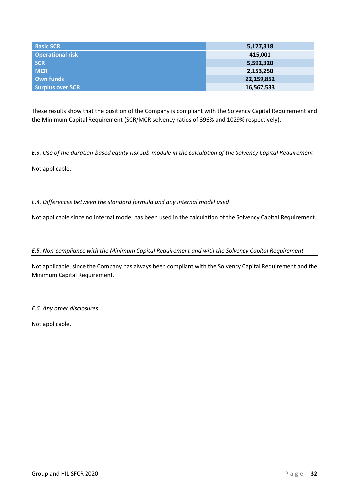| <b>Basic SCR</b>        | 5,177,318  |
|-------------------------|------------|
| <b>Operational risk</b> | 415,001    |
| <b>SCR</b>              | 5,592,320  |
| <b>MCR</b>              | 2,153,250  |
| Own funds               | 22,159,852 |
| <b>Surplus over SCR</b> | 16,567,533 |

These results show that the position of the Company is compliant with the Solvency Capital Requirement and the Minimum Capital Requirement (SCR/MCR solvency ratios of 396% and 1029% respectively).

#### <span id="page-31-0"></span>*E.3. Use of the duration-based equity risk sub-module in the calculation of the Solvency Capital Requirement*

<span id="page-31-1"></span>Not applicable.

*E.4. Differences between the standard formula and any internal model used*

<span id="page-31-2"></span>Not applicable since no internal model has been used in the calculation of the Solvency Capital Requirement.

*E.5. Non-compliance with the Minimum Capital Requirement and with the Solvency Capital Requirement*

Not applicable, since the Company has always been compliant with the Solvency Capital Requirement and the Minimum Capital Requirement.

<span id="page-31-3"></span>*E.6. Any other disclosures*

Not applicable.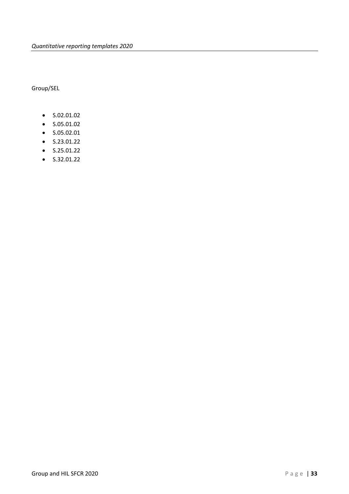Group/SEL

- S.02.01.02
- S.05.01.02
- S.05.02.01
- S.23.01.22
- S.25.01.22
- $\bullet$  S.32.01.22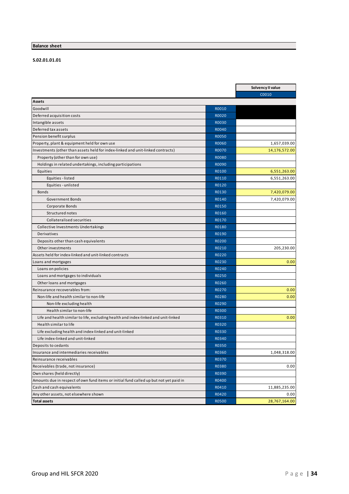#### **Balance sheet**

#### **S.02.01.01.01**

|                                                                                        |              | Solvency II value |
|----------------------------------------------------------------------------------------|--------------|-------------------|
|                                                                                        |              | C0010             |
| Assets                                                                                 |              |                   |
| Goodwill                                                                               | R0010        |                   |
| Deferred acquisition costs                                                             | R0020        |                   |
| Intangible assets                                                                      | R0030        |                   |
| Deferred tax assets                                                                    | R0040        |                   |
| Pension benefit surplus                                                                | R0050        |                   |
| Property, plant & equipment held for own use                                           | R0060        | 1,657,039.00      |
| Investments (other than assets held for index-linked and unit-linked contracts)        | R0070        | 14,176,572.00     |
| Property (other than for own use)                                                      | <b>R0080</b> |                   |
| Holdings in related undertakings, including participations                             | R0090        |                   |
| Equities                                                                               | R0100        | 6,551,263.00      |
| Equities - listed                                                                      | R0110        | 6,551,263.00      |
| Equities - unlisted                                                                    | R0120        |                   |
| <b>Bonds</b>                                                                           | R0130        | 7,420,079.00      |
| <b>Government Bonds</b>                                                                | R0140        | 7,420,079.00      |
| Corporate Bonds                                                                        | R0150        |                   |
| Structured notes                                                                       | R0160        |                   |
| Collateralised securities                                                              | R0170        |                   |
| Collective Investments Undertakings                                                    | R0180        |                   |
| <b>Derivatives</b>                                                                     | R0190        |                   |
| Deposits other than cash equivalents                                                   | R0200        |                   |
| Other investments                                                                      | R0210        | 205,230.00        |
| Assets held for index-linked and unit-linked contracts                                 | R0220        |                   |
| Loans and mortgages                                                                    | R0230        | 0.00              |
| Loans on policies                                                                      | R0240        |                   |
| Loans and mortgages to individuals                                                     | R0250        |                   |
| Other loans and mortgages                                                              | R0260        |                   |
| Reinsurance recoverables from:                                                         | R0270        | 0.00              |
| Non-life and health similar to non-life                                                | R0280        | 0.00              |
| Non-life excluding health                                                              | R0290        |                   |
| Health similar to non-life                                                             | R0300        |                   |
| Life and health similar to life, excluding health and index-linked and unit-linked     | R0310        | 0.00              |
| Health similar to life                                                                 | R0320        |                   |
| Life excluding health and index-linked and unit-linked                                 | R0330        |                   |
| Life index-linked and unit-linked                                                      | R0340        |                   |
| Deposits to cedants                                                                    | R0350        |                   |
| Insurance and intermediaries receivables                                               | R0360        | 1,048,318.00      |
| Reinsurance receivables                                                                | R0370        |                   |
| Receivables (trade, not insurance)                                                     | R0380        | 0.00              |
| Own shares (held directly)                                                             | R0390        |                   |
| Amounts due in respect of own fund items or initial fund called up but not yet paid in | R0400        |                   |
| Cash and cash equivalents                                                              | R0410        | 11,885,235.00     |
| Any other assets, not elsewhere shown                                                  | R0420        | 0.00              |
| <b>Total assets</b>                                                                    | R0500        | 28,767,164.00     |
|                                                                                        |              |                   |

 $\overline{\phantom{a}}$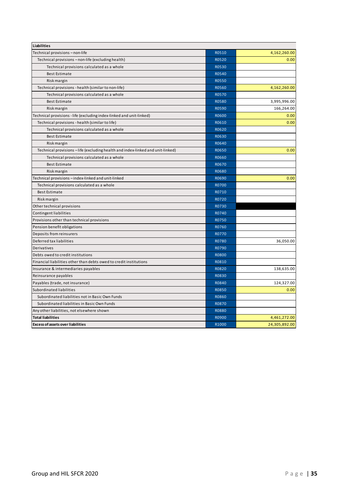| R0510<br>Technical provisions - non-life<br>R0520<br>Technical provisions - non-life (excluding health)<br>Technical provisions calculated as a whole<br>R0530<br>R0540<br><b>Best Estimate</b><br><b>R0550</b><br>Risk margin<br>Technical provisions - health (similar to non-life)<br>R0560<br>R0570<br>Technical provisions calculated as a whole<br><b>Best Estimate</b><br><b>R0580</b><br>R0590<br>Risk margin<br>Technical provisions - life (excluding index-linked and unit-linked)<br>R0600<br>R0610<br>Technical provisions - health (similar to life)<br>R0620<br>Technical provisions calculated as a whole<br>R0630<br><b>Best Estimate</b><br>R0640<br>Risk margin<br>R0650<br>Technical provisions - life (excluding health and index-linked and unit-linked)<br>Technical provisions calculated as a whole<br>R0660<br>R0670<br><b>Best Estimate</b><br>Risk margin<br>R0680<br>Technical provisions - index-linked and unit-linked<br>R0690<br>Technical provisions calculated as a whole<br>R0700<br><b>Best Estimate</b><br>R0710<br>R0720<br>Risk margin<br>Other technical provisions<br>R0730<br><b>Contingent liabilities</b><br>R0740<br>R0750<br>Provisions other than technical provisions<br>R0760<br>Pension benefit obligations<br>Deposits from reinsurers<br>R0770<br>Deferred tax liabilities<br>R0780 | <b>Liabilities</b> |       |               |
|------------------------------------------------------------------------------------------------------------------------------------------------------------------------------------------------------------------------------------------------------------------------------------------------------------------------------------------------------------------------------------------------------------------------------------------------------------------------------------------------------------------------------------------------------------------------------------------------------------------------------------------------------------------------------------------------------------------------------------------------------------------------------------------------------------------------------------------------------------------------------------------------------------------------------------------------------------------------------------------------------------------------------------------------------------------------------------------------------------------------------------------------------------------------------------------------------------------------------------------------------------------------------------------------------------------------------------------|--------------------|-------|---------------|
|                                                                                                                                                                                                                                                                                                                                                                                                                                                                                                                                                                                                                                                                                                                                                                                                                                                                                                                                                                                                                                                                                                                                                                                                                                                                                                                                          |                    |       | 4,162,260.00  |
|                                                                                                                                                                                                                                                                                                                                                                                                                                                                                                                                                                                                                                                                                                                                                                                                                                                                                                                                                                                                                                                                                                                                                                                                                                                                                                                                          |                    |       | 0.00          |
|                                                                                                                                                                                                                                                                                                                                                                                                                                                                                                                                                                                                                                                                                                                                                                                                                                                                                                                                                                                                                                                                                                                                                                                                                                                                                                                                          |                    |       |               |
|                                                                                                                                                                                                                                                                                                                                                                                                                                                                                                                                                                                                                                                                                                                                                                                                                                                                                                                                                                                                                                                                                                                                                                                                                                                                                                                                          |                    |       |               |
|                                                                                                                                                                                                                                                                                                                                                                                                                                                                                                                                                                                                                                                                                                                                                                                                                                                                                                                                                                                                                                                                                                                                                                                                                                                                                                                                          |                    |       |               |
|                                                                                                                                                                                                                                                                                                                                                                                                                                                                                                                                                                                                                                                                                                                                                                                                                                                                                                                                                                                                                                                                                                                                                                                                                                                                                                                                          |                    |       | 4,162,260.00  |
|                                                                                                                                                                                                                                                                                                                                                                                                                                                                                                                                                                                                                                                                                                                                                                                                                                                                                                                                                                                                                                                                                                                                                                                                                                                                                                                                          |                    |       |               |
|                                                                                                                                                                                                                                                                                                                                                                                                                                                                                                                                                                                                                                                                                                                                                                                                                                                                                                                                                                                                                                                                                                                                                                                                                                                                                                                                          |                    |       | 3,995,996.00  |
|                                                                                                                                                                                                                                                                                                                                                                                                                                                                                                                                                                                                                                                                                                                                                                                                                                                                                                                                                                                                                                                                                                                                                                                                                                                                                                                                          |                    |       | 166,264.00    |
|                                                                                                                                                                                                                                                                                                                                                                                                                                                                                                                                                                                                                                                                                                                                                                                                                                                                                                                                                                                                                                                                                                                                                                                                                                                                                                                                          |                    |       | 0.00          |
|                                                                                                                                                                                                                                                                                                                                                                                                                                                                                                                                                                                                                                                                                                                                                                                                                                                                                                                                                                                                                                                                                                                                                                                                                                                                                                                                          |                    |       | 0.00          |
|                                                                                                                                                                                                                                                                                                                                                                                                                                                                                                                                                                                                                                                                                                                                                                                                                                                                                                                                                                                                                                                                                                                                                                                                                                                                                                                                          |                    |       |               |
|                                                                                                                                                                                                                                                                                                                                                                                                                                                                                                                                                                                                                                                                                                                                                                                                                                                                                                                                                                                                                                                                                                                                                                                                                                                                                                                                          |                    |       |               |
|                                                                                                                                                                                                                                                                                                                                                                                                                                                                                                                                                                                                                                                                                                                                                                                                                                                                                                                                                                                                                                                                                                                                                                                                                                                                                                                                          |                    |       |               |
|                                                                                                                                                                                                                                                                                                                                                                                                                                                                                                                                                                                                                                                                                                                                                                                                                                                                                                                                                                                                                                                                                                                                                                                                                                                                                                                                          |                    |       | 0.00          |
|                                                                                                                                                                                                                                                                                                                                                                                                                                                                                                                                                                                                                                                                                                                                                                                                                                                                                                                                                                                                                                                                                                                                                                                                                                                                                                                                          |                    |       |               |
|                                                                                                                                                                                                                                                                                                                                                                                                                                                                                                                                                                                                                                                                                                                                                                                                                                                                                                                                                                                                                                                                                                                                                                                                                                                                                                                                          |                    |       |               |
|                                                                                                                                                                                                                                                                                                                                                                                                                                                                                                                                                                                                                                                                                                                                                                                                                                                                                                                                                                                                                                                                                                                                                                                                                                                                                                                                          |                    |       |               |
|                                                                                                                                                                                                                                                                                                                                                                                                                                                                                                                                                                                                                                                                                                                                                                                                                                                                                                                                                                                                                                                                                                                                                                                                                                                                                                                                          |                    |       | 0.00          |
|                                                                                                                                                                                                                                                                                                                                                                                                                                                                                                                                                                                                                                                                                                                                                                                                                                                                                                                                                                                                                                                                                                                                                                                                                                                                                                                                          |                    |       |               |
|                                                                                                                                                                                                                                                                                                                                                                                                                                                                                                                                                                                                                                                                                                                                                                                                                                                                                                                                                                                                                                                                                                                                                                                                                                                                                                                                          |                    |       |               |
|                                                                                                                                                                                                                                                                                                                                                                                                                                                                                                                                                                                                                                                                                                                                                                                                                                                                                                                                                                                                                                                                                                                                                                                                                                                                                                                                          |                    |       |               |
|                                                                                                                                                                                                                                                                                                                                                                                                                                                                                                                                                                                                                                                                                                                                                                                                                                                                                                                                                                                                                                                                                                                                                                                                                                                                                                                                          |                    |       |               |
|                                                                                                                                                                                                                                                                                                                                                                                                                                                                                                                                                                                                                                                                                                                                                                                                                                                                                                                                                                                                                                                                                                                                                                                                                                                                                                                                          |                    |       |               |
|                                                                                                                                                                                                                                                                                                                                                                                                                                                                                                                                                                                                                                                                                                                                                                                                                                                                                                                                                                                                                                                                                                                                                                                                                                                                                                                                          |                    |       |               |
|                                                                                                                                                                                                                                                                                                                                                                                                                                                                                                                                                                                                                                                                                                                                                                                                                                                                                                                                                                                                                                                                                                                                                                                                                                                                                                                                          |                    |       |               |
|                                                                                                                                                                                                                                                                                                                                                                                                                                                                                                                                                                                                                                                                                                                                                                                                                                                                                                                                                                                                                                                                                                                                                                                                                                                                                                                                          |                    |       |               |
|                                                                                                                                                                                                                                                                                                                                                                                                                                                                                                                                                                                                                                                                                                                                                                                                                                                                                                                                                                                                                                                                                                                                                                                                                                                                                                                                          |                    |       | 36,050.00     |
|                                                                                                                                                                                                                                                                                                                                                                                                                                                                                                                                                                                                                                                                                                                                                                                                                                                                                                                                                                                                                                                                                                                                                                                                                                                                                                                                          | Derivatives        | R0790 |               |
| Debts owed to credit institutions<br><b>R0800</b>                                                                                                                                                                                                                                                                                                                                                                                                                                                                                                                                                                                                                                                                                                                                                                                                                                                                                                                                                                                                                                                                                                                                                                                                                                                                                        |                    |       |               |
| Financial liabilities other than debts owed to credit institutions<br>R0810                                                                                                                                                                                                                                                                                                                                                                                                                                                                                                                                                                                                                                                                                                                                                                                                                                                                                                                                                                                                                                                                                                                                                                                                                                                              |                    |       |               |
| R0820<br>Insurance & intermediaries payables                                                                                                                                                                                                                                                                                                                                                                                                                                                                                                                                                                                                                                                                                                                                                                                                                                                                                                                                                                                                                                                                                                                                                                                                                                                                                             |                    |       | 138,635.00    |
| Reinsurance payables<br>R0830                                                                                                                                                                                                                                                                                                                                                                                                                                                                                                                                                                                                                                                                                                                                                                                                                                                                                                                                                                                                                                                                                                                                                                                                                                                                                                            |                    |       |               |
| Payables (trade, not insurance)<br>R0840                                                                                                                                                                                                                                                                                                                                                                                                                                                                                                                                                                                                                                                                                                                                                                                                                                                                                                                                                                                                                                                                                                                                                                                                                                                                                                 |                    |       | 124,327.00    |
| Subordinated liabilities<br>R0850                                                                                                                                                                                                                                                                                                                                                                                                                                                                                                                                                                                                                                                                                                                                                                                                                                                                                                                                                                                                                                                                                                                                                                                                                                                                                                        |                    |       | 0.00          |
| Subordinated liabilities not in Basic Own Funds<br>R0860                                                                                                                                                                                                                                                                                                                                                                                                                                                                                                                                                                                                                                                                                                                                                                                                                                                                                                                                                                                                                                                                                                                                                                                                                                                                                 |                    |       |               |
| R0870<br>Subordinated liabilities in Basic Own Funds                                                                                                                                                                                                                                                                                                                                                                                                                                                                                                                                                                                                                                                                                                                                                                                                                                                                                                                                                                                                                                                                                                                                                                                                                                                                                     |                    |       |               |
| Any other liabilities, not elsewhere shown<br><b>R0880</b>                                                                                                                                                                                                                                                                                                                                                                                                                                                                                                                                                                                                                                                                                                                                                                                                                                                                                                                                                                                                                                                                                                                                                                                                                                                                               |                    |       |               |
| R0900<br><b>Total liabilities</b>                                                                                                                                                                                                                                                                                                                                                                                                                                                                                                                                                                                                                                                                                                                                                                                                                                                                                                                                                                                                                                                                                                                                                                                                                                                                                                        |                    |       | 4,461,272.00  |
| R1000<br><b>Excess of assets over liabilities</b>                                                                                                                                                                                                                                                                                                                                                                                                                                                                                                                                                                                                                                                                                                                                                                                                                                                                                                                                                                                                                                                                                                                                                                                                                                                                                        |                    |       | 24,305,892.00 |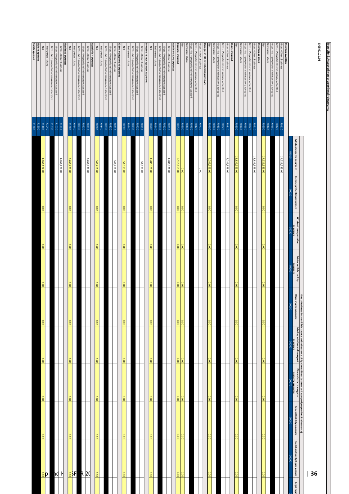**Non-Life & Accepted non-proportional reinsurance**

5.05.01.01.01 **S.05.01.01.01**

|                                                                                                |                       | Medical expense insurance | Income protection insurance | Workers' compensation | Motor vehicle liability<br>insurance | Other motor insurance | l ine of Business for non-life insurance and reinsurance obligations (direct business and accepted proportional reinsurance)<br>Other motor insurance<br>insurance | property insurance  | General liability insurance | Credit and suretyship insurance | Legal expe |
|------------------------------------------------------------------------------------------------|-----------------------|---------------------------|-----------------------------|-----------------------|--------------------------------------|-----------------------|--------------------------------------------------------------------------------------------------------------------------------------------------------------------|---------------------|-----------------------------|---------------------------------|------------|
|                                                                                                |                       | <b>COO10</b>              | C0020                       | insurance<br>COO30    | COO40                                | COO<br>50             | 09000                                                                                                                                                              | C0070               | CO080                       | 06000                           |            |
| <b>Premiumswritten</b><br>Gross - Direct Business<br>Gross - Proportional reinsurance accepted | 01108                 | 14,329,523.00             |                             |                       |                                      |                       |                                                                                                                                                                    |                     |                             |                                 |            |
|                                                                                                | R0120                 |                           |                             |                       |                                      |                       |                                                                                                                                                                    |                     |                             |                                 |            |
| Reinsurers'share<br>Gross - Non-proportional reinsurance accepted                              | 00140<br><b>RO130</b> |                           |                             |                       |                                      |                       |                                                                                                                                                                    |                     |                             |                                 |            |
|                                                                                                | R0200                 | 14,329,523.00             | $\frac{1}{8}$               |                       |                                      | 0.00                  | 000                                                                                                                                                                | iσ                  | 0.00                        |                                 |            |
| Premiumsearned                                                                                 |                       |                           |                             |                       |                                      |                       |                                                                                                                                                                    |                     |                             |                                 |            |
| Gross - Direct Business                                                                        | R0220<br>R0210        | 13,833,353.00             |                             |                       |                                      |                       |                                                                                                                                                                    |                     |                             |                                 |            |
| Gross - Non-proportional reinsurance accepted<br>Gross - Proportional reinsurance accepted     | R0230                 |                           |                             |                       |                                      |                       |                                                                                                                                                                    |                     |                             |                                 |            |
| Reinsurers'share                                                                               | R0240                 |                           |                             |                       |                                      |                       |                                                                                                                                                                    |                     |                             |                                 |            |
| Net                                                                                            | R0300                 | 13,833,353.00             | 0.00                        | 00.00                 | 000                                  | 0.00                  | 000                                                                                                                                                                | 0.00                | 0.00                        | 000                             |            |
| Gross - Direct Business<br><b>Claimsincurred</b>                                               | R0310                 | 5,285,393.00              |                             |                       |                                      |                       |                                                                                                                                                                    |                     |                             |                                 |            |
| Gross - Proportional reinsurance accepted                                                      | R0320                 |                           |                             |                       |                                      |                       |                                                                                                                                                                    |                     |                             |                                 |            |
| Gross - Non-proportional reinsurance accepted                                                  | R0330                 |                           |                             |                       |                                      |                       |                                                                                                                                                                    |                     |                             |                                 |            |
| Net<br>Reinsurers'share                                                                        | R0400<br>R0340        | 5,285,393.00              | 0.00                        | 00'0                  | 00.0                                 | 0.00                  | 0.00                                                                                                                                                               | 0.00                | 0.00                        | 0.00                            |            |
| Changes in other technical provisions                                                          |                       |                           |                             |                       |                                      |                       |                                                                                                                                                                    |                     |                             |                                 |            |
| Gross - Proportional reinsurance accepted<br>Gross - Direct Business                           | R0420<br>RO410        | 0.00                      |                             |                       |                                      |                       |                                                                                                                                                                    |                     |                             |                                 |            |
| Gross - Non-proportional reinsurance accepted                                                  | R0430                 |                           |                             |                       |                                      |                       |                                                                                                                                                                    |                     |                             |                                 |            |
| Reinsurers'share<br>Μet                                                                        | <b>00500</b><br>00440 | 0.00                      | 0.00                        | 00.0                  | 0.00                                 | 0.00                  | 0.00                                                                                                                                                               |                     | 00.0                        | 00.0                            |            |
| Expenses incurred                                                                              | <b>RO550</b>          | 6,515,865.00              | 0.00                        | $\overline{000}$      | $\overline{0.00}$                    |                       | $\overline{0.00}$                                                                                                                                                  | $\frac{0.00}{0.00}$ | $\overline{0.00}$           | $\overline{0.000}$              |            |
| Administrative expenses                                                                        |                       |                           |                             |                       |                                      |                       |                                                                                                                                                                    |                     |                             |                                 |            |
| Gross - Direct Business                                                                        | <b>RO610</b>          | 1,781,321.00              |                             |                       |                                      |                       |                                                                                                                                                                    |                     |                             |                                 |            |
| Gross-Non-proportional reinsurance accepted<br>Gross - Proportional reinsurance accepted       | R0630<br>R0620        |                           |                             |                       |                                      |                       |                                                                                                                                                                    |                     |                             |                                 |            |
| Reinsurers' share                                                                              | R0640                 |                           |                             |                       |                                      |                       |                                                                                                                                                                    |                     |                             |                                 |            |
| Net                                                                                            | R0700                 | 1,781,321.00              | 0.00                        | 00'0                  | 00.00                                | 0.00                  | 00.0                                                                                                                                                               | 0.00                | 00.0                        | 0.00                            |            |
| Investment management expenses<br>Gross-Direct Business                                        | <b>RO710</b>          | 00'646'95                 |                             |                       |                                      |                       |                                                                                                                                                                    |                     |                             |                                 |            |
| Gross-Proportionalreinsurance accepted                                                         | R0720                 |                           |                             |                       |                                      |                       |                                                                                                                                                                    |                     |                             |                                 |            |
| Gross - Non-proportional reinsurance accepted<br>Reinsurers' share                             | 08230                 |                           |                             |                       |                                      |                       |                                                                                                                                                                    |                     |                             |                                 |            |
| Net                                                                                            | R0740<br><b>RO800</b> | 56,979.00                 | 0.00                        | 00.0                  | 00'0                                 | 0.00                  | 00'0                                                                                                                                                               | 0.00                | 00.0                        | 0.00                            |            |
| Claimsmanagement expenses                                                                      |                       |                           |                             |                       |                                      |                       |                                                                                                                                                                    |                     |                             |                                 |            |
| Gross-Direct Business                                                                          | <b>RO810</b>          | 340,461.00                |                             |                       |                                      |                       |                                                                                                                                                                    |                     |                             |                                 |            |
| Gross-Proportionalreinsurance accepted                                                         | R0820                 |                           |                             |                       |                                      |                       |                                                                                                                                                                    |                     |                             |                                 |            |
| Gross - Non-proportional reinsurance accepted<br>Reinsurers' share                             | R0830<br><b>RO840</b> |                           |                             |                       |                                      |                       |                                                                                                                                                                    |                     |                             |                                 |            |
| Net                                                                                            | 00608                 | 340,461.00                | 0.00                        |                       | 0.00                                 | 0.00                  | 0.00                                                                                                                                                               | 0.00                | 00.0                        | 00.00                           |            |
| Acquisition expenses                                                                           |                       |                           |                             |                       |                                      |                       |                                                                                                                                                                    |                     |                             |                                 |            |
| Gross - Proportional reinsurance accepted<br>Gross-Direct Business                             | R0920<br>OT608        | 3,268,430.00              |                             |                       |                                      |                       |                                                                                                                                                                    |                     |                             | R 20                            |            |
| Gross - Non-proportional reinsurance accepted                                                  | <b>RO930</b>          |                           |                             |                       |                                      |                       |                                                                                                                                                                    |                     |                             |                                 |            |
| Reinsurers' share                                                                              | 07608                 |                           |                             |                       |                                      |                       |                                                                                                                                                                    |                     |                             | $\frac{1}{8}$ F                 |            |
| Overhead expenses<br>Net                                                                       | <b>R1000</b>          | 3,268,430.00              | 0.00                        | 00.00                 | 0.00                                 | 0.00                  | 00.00                                                                                                                                                              | 0.00                | 00.0                        |                                 |            |
| Gross - Direct Business                                                                        | <b>R1010</b>          | 1,068,674.00              |                             |                       |                                      |                       |                                                                                                                                                                    |                     |                             | H                               |            |
| Gross-Proportional reinsurance accepted                                                        | R1020                 |                           |                             |                       |                                      |                       |                                                                                                                                                                    |                     |                             | hd                              |            |
| Reinsurers' share<br>Gross - Non-proportional reinsurance accepted                             | R1040<br>R1030        |                           |                             |                       |                                      |                       |                                                                                                                                                                    |                     |                             |                                 |            |
| Net                                                                                            | R1100                 | 1,068,674.00              | 0.00                        |                       | 000                                  | 0.00                  | 00.00                                                                                                                                                              | 0.00                | 00.00                       | e                               |            |
| Other expenses<br>Total expenses                                                               | R1200                 |                           |                             |                       |                                      |                       |                                                                                                                                                                    |                     |                             |                                 |            |
|                                                                                                |                       |                           |                             |                       |                                      |                       |                                                                                                                                                                    |                     |                             |                                 |            |

**Legal expe**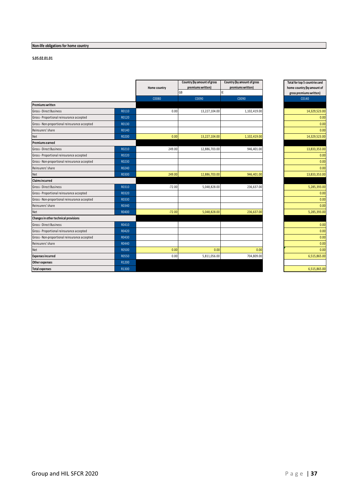# **Non-life obligations for home country**

|                                               |       | Home country | Country (by amount of gross<br>premiums written) | Country (by amount of gross<br>premiums written) | Total for top 5 countries and<br>home country (by amount of |
|-----------------------------------------------|-------|--------------|--------------------------------------------------|--------------------------------------------------|-------------------------------------------------------------|
|                                               |       |              | GB                                               | IE                                               | gross premiums written)                                     |
|                                               |       | C0080        | C0090                                            | C0090                                            | C0140                                                       |
| <b>Premiums written</b>                       |       |              |                                                  |                                                  |                                                             |
| Gross - Direct Business                       | R0110 | 0.00         | 13,227,104.00                                    | 1,102,419.00                                     | 14,329,523.00                                               |
| Gross - Proportional reinsurance accepted     | R0120 |              |                                                  |                                                  | 0.00                                                        |
| Gross-Non-proportional reinsurance accepted   | R0130 |              |                                                  |                                                  | 0.00                                                        |
| Reinsurers' share                             | R0140 |              |                                                  |                                                  | 0.00                                                        |
| Net                                           | R0200 | 0.00         | 13,227,104.00                                    | 1,102,419.00                                     | 14,329,523.00                                               |
| Premiums earned                               |       |              |                                                  |                                                  |                                                             |
| Gross - Direct Business                       | R0210 | 249.00       | 12,886,703.00                                    | 946,401.00                                       | 13,833,353.00                                               |
| Gross - Proportional reinsurance accepted     | R0220 |              |                                                  |                                                  | 0.00                                                        |
| Gross-Non-proportional reinsurance accepted   | R0230 |              |                                                  |                                                  | 0.00                                                        |
| Reinsurers' share                             | R0240 |              |                                                  |                                                  | 0.00                                                        |
| Net                                           | R0300 | 249.00       | 12,886,703.00                                    | 946,401.00                                       | 13,833,353.00                                               |
| Claims incurred                               |       |              |                                                  |                                                  |                                                             |
| Gross - Direct Business                       | R0310 | $-72.00$     | 5,048,828.00                                     | 236,637.00                                       | 5,285,393.00                                                |
| Gross - Proportional reinsurance accepted     | R0320 |              |                                                  |                                                  | 0.00                                                        |
| Gross-Non-proportional reinsurance accepted   | R0330 |              |                                                  |                                                  | 0.00                                                        |
| Reinsurers' share                             | R0340 |              |                                                  |                                                  | 0.00                                                        |
| Net                                           | R0400 | $-72.00$     | 5,048,828.00                                     | 236,637.00                                       | 5,285,393.00                                                |
| Changes in other technical provisions         |       |              |                                                  |                                                  |                                                             |
| Gross - Direct Business                       | R0410 |              |                                                  |                                                  | 0.00                                                        |
| Gross - Proportional reinsurance accepted     | R0420 |              |                                                  |                                                  | 0.00                                                        |
| Gross - Non-proportional reinsurance accepted | R0430 |              |                                                  |                                                  | 0.00                                                        |
| Reinsurers' share                             | R0440 |              |                                                  |                                                  | 0.00                                                        |
| Net                                           | R0500 | 0.00         | 0.00                                             | 0.00                                             | 0.00                                                        |
| <b>Expenses incurred</b>                      | R0550 | 0.00         | 5,811,056.00                                     | 704,809.00                                       | 6,515,865.00                                                |
| Other expenses                                | R1200 |              |                                                  |                                                  |                                                             |
| <b>Total expenses</b>                         | R1300 |              |                                                  |                                                  | 6.515.865.00                                                |

| Total for top 5 countries and |
|-------------------------------|
| home country (by amount of    |
| gross premiums written)       |
| C0140                         |
|                               |
| 14,329,523.00                 |
| 0.00                          |
| 0.00                          |
| 0.00                          |
| 14,329,523.00                 |
|                               |
| 13,833,353.00                 |
| 0.00                          |
| 0.00                          |
| 0.00                          |
| 13,833,353.00                 |
|                               |
| 5,285,393.00                  |
| 0.00                          |
| 0.00                          |
| 0.00                          |
| 5,285,393.00                  |
|                               |
| 0.00                          |
| 0.00                          |
| 0.00                          |
| 0.00                          |
| 0.00                          |
| 6,515,865.00                  |
|                               |
| 6,515,865.00                  |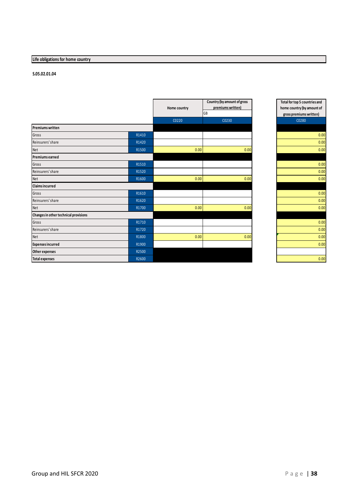# **Life obligations for home country**

|                                       |       |              | Country (by amount of gross<br>premiums written) |  |
|---------------------------------------|-------|--------------|--------------------------------------------------|--|
|                                       |       | Home country | GB                                               |  |
|                                       |       | C0220        | C0230                                            |  |
| <b>Premiums written</b>               |       |              |                                                  |  |
| Gross                                 | R1410 |              |                                                  |  |
| Reinsurers' share                     | R1420 |              |                                                  |  |
| Net                                   | R1500 | 0.00         | 0.00                                             |  |
| <b>Premiums earned</b>                |       |              |                                                  |  |
| Gross                                 | R1510 |              |                                                  |  |
| Reinsurers' share                     | R1520 |              |                                                  |  |
| Net                                   | R1600 | 0.00         | 0.00                                             |  |
| <b>Claims incurred</b>                |       |              |                                                  |  |
| Gross                                 | R1610 |              |                                                  |  |
| Reinsurers' share                     | R1620 |              |                                                  |  |
| Net                                   | R1700 | 0.00         | 0.00                                             |  |
| Changes in other technical provisions |       |              |                                                  |  |
| Gross                                 | R1710 |              |                                                  |  |
| Reinsurers' share                     | R1720 |              |                                                  |  |
| Net                                   | R1800 | 0.00         | 0.00                                             |  |
| <b>Expenses incurred</b>              | R1900 |              |                                                  |  |
| Other expenses                        | R2500 |              |                                                  |  |
| <b>Total expenses</b>                 | R2600 |              |                                                  |  |

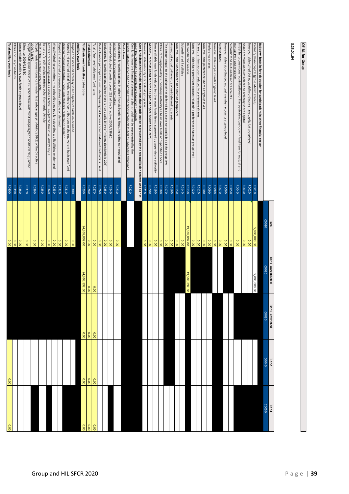| S.23.<br>ġ<br>ġ | ٥<br>Ē |
|-----------------|--------|

| 00.0   | 0.00              |                   |                       | 0.00            | R0400        | Total ancillary own funds                                                                                                                                                                                                                    |
|--------|-------------------|-------------------|-----------------------|-----------------|--------------|----------------------------------------------------------------------------------------------------------------------------------------------------------------------------------------------------------------------------------------------|
|        |                   |                   |                       | 0.00            | R0390        | Other ancillary own funds                                                                                                                                                                                                                    |
|        |                   |                   |                       | 0.00            | R0380        | Non available ancillary own funds at group level                                                                                                                                                                                             |
|        |                   |                   |                       | 0.00            | R0370        | Supplementary members calls -other than under first subparagraph of Article 96(3) of the<br>Directive 2009/138/EC                                                                                                                            |
|        |                   |                   |                       | 0.00            | R0360        | Supplementary members calls under first subparagraph of Article 96(3) of the Directive<br>2009/138/EC                                                                                                                                        |
|        |                   |                   |                       | 00.0            | R0350        | 96(2) of the Directive 2009/138/EC<br>Letters ofcredit and guarantees other than under Article                                                                                                                                               |
|        |                   |                   |                       | 00.0            | R0340        | Letters of credit and guarantees under Article 96(2) of the Directive 2009/138/EC                                                                                                                                                            |
|        |                   |                   |                       | 0.00            | R0330        | Ale gally binding commitment to subscribe and pay for subordinated liabilities on demand                                                                                                                                                     |
|        |                   |                   |                       | 0.00            | R0320        | Unpaid and uncalled preference shares callable on demand                                                                                                                                                                                     |
|        |                   |                   |                       | 0.00            | R0310        | Unpaid and uncalled initial funds, members' contributions or the equivalent basic own fund<br>tem for mutual and mutual - type undertakings, callable on demand                                                                              |
|        |                   |                   |                       | 0.00            | <b>RO300</b> | Unpaid and uncalled ordinary share capital callable on demand                                                                                                                                                                                |
|        |                   |                   |                       |                 |              | Ancillary own funds                                                                                                                                                                                                                          |
| 0.00   | 0.00              | 0.00              | 24,305,892.00         | 24,305,892.00   | <b>RO290</b> | Total basic own funds after deductions                                                                                                                                                                                                       |
| 0.00   | 0.00              | 0.00              | 000                   | 00'0            | R0280        | Total deductions                                                                                                                                                                                                                             |
| 00.0   | 0.00              | 0.00              | 0.00                  | 0.00            | R0270        | Total of non-available own fund items                                                                                                                                                                                                        |
|        |                   |                   |                       | 0.00            | R0260        | Deduction for participations included by using D&A when a combination of methods is used                                                                                                                                                     |
|        |                   |                   |                       | 00.0            | <b>RO250</b> | Deductions for participations where there is non-availability of information (Article 229)                                                                                                                                                   |
|        |                   |                   |                       | 0.00            | R0240        | whereof de ducted according to art 228 of the Directive 2009/138/EC                                                                                                                                                                          |
|        |                   |                   |                       | 0.00            | R0230        | Deductions for participations in other financial undertakings, including non-regulated<br>dertakings carrying out financial activities                                                                                                       |
|        |                   |                   |                       |                 |              | Deductions                                                                                                                                                                                                                                   |
|        |                   |                   |                       |                 | R0220        | meet the criteria to be classified as Solvency II own funds<br>Own funds from the financial statements that should not be represented by the<br>econciliation reserve and do not meet the criteria to be classified as Solvency II own funds |
|        |                   |                   |                       |                 |              | Own funds from the financial state ments that should not be represented by the reconciliation reserve and do not                                                                                                                             |
|        |                   |                   |                       | 0.00            | R0210        | Non-a vailable minority interests at group level                                                                                                                                                                                             |
|        |                   |                   |                       | 00.00           | R0200        | Minority interests (if not reported as part of a specific own fund item)                                                                                                                                                                     |
|        |                   |                   |                       | 0.00            | <b>RO190</b> | Non available own funds related to other own funds items a pproved by supervisory a uthority                                                                                                                                                 |
|        |                   |                   |                       | 00.0            | R0180        | Other ite ms approved by supervisory authority as basic own funds not specified above                                                                                                                                                        |
|        |                   |                   |                       | 00.0            | R0170        | The amount equal to the value of net deferred tax assets not available at the group level                                                                                                                                                    |
|        |                   |                   |                       | 0.00            | R0160        | An amount equal to the value of net deferred tax assets                                                                                                                                                                                      |
|        |                   |                   |                       | 0.00            | R0150        | Non-available subordinated liabilities at group level                                                                                                                                                                                        |
|        |                   |                   |                       | 00.0            | <b>RO140</b> | Subordinated liabilities                                                                                                                                                                                                                     |
|        |                   |                   | 19,305,892.00         | 19, 305, 892.00 | <b>RO130</b> | Reconciliation reserve                                                                                                                                                                                                                       |
|        |                   |                   |                       | 0.00            | R0120        | Non-available share premium account related to preference shares at group level                                                                                                                                                              |
|        |                   |                   |                       | 00.0            | <b>RO110</b> | Share premium account related to preference shares                                                                                                                                                                                           |
|        |                   |                   |                       | 0.00            | <b>RO100</b> | Non-a vailable preference shares at group level                                                                                                                                                                                              |
|        |                   |                   |                       | 00.0            | <b>RO090</b> | Preference shares                                                                                                                                                                                                                            |
|        |                   |                   |                       | 00.0            | <b>ROO80</b> | Non-available surplus funds at group level                                                                                                                                                                                                   |
|        |                   |                   |                       | 00.0            | <b>ROO70</b> | Surplus funds                                                                                                                                                                                                                                |
|        |                   |                   |                       | 00.0            | R0060        | Non-available subordinated mutual member accounts at group level                                                                                                                                                                             |
|        |                   |                   |                       | 00.0            | <b>ROO50</b> | Subordinated mutual member accounts                                                                                                                                                                                                          |
|        |                   |                   |                       | 0.00            | <b>ROO40</b> | Initial funds, members' contributions or the equivalent basic own - fund item for mutual and<br>nutual-type undertakings                                                                                                                     |
|        |                   |                   |                       | 00.0            | R0030        | Share premium account related to ordinary share capital                                                                                                                                                                                      |
|        |                   |                   |                       | 00.00           | R0020        | Non-a va ilable called but not paid in ordinary share capital at group level                                                                                                                                                                 |
|        |                   |                   | 5,000,000.00          | 5,000,000.00    | R0010        | Ordinary share capital (gross of own shares)                                                                                                                                                                                                 |
|        |                   |                   |                       |                 |              | Basic own funds before deduction for participations in other financial sector                                                                                                                                                                |
| COO50  | CO040             | COO30             | C0020                 | C0010           |              |                                                                                                                                                                                                                                              |
| Tier 3 | Tier <sub>2</sub> | Tier 1-restricted | Tier 1 - unrestricted | <b>Iotal</b>    |              |                                                                                                                                                                                                                                              |
|        |                   |                   |                       |                 |              |                                                                                                                                                                                                                                              |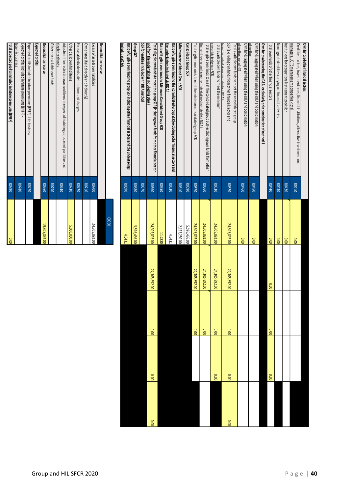| Own funds of other financial sectors                                                                                                                        |               |               |               |       |       |       |
|-------------------------------------------------------------------------------------------------------------------------------------------------------------|---------------|---------------|---------------|-------|-------|-------|
| Credit institutions, investment firms, financial institutions, alternative investment fund                                                                  | R0410         | 00.00         |               |       |       |       |
| managers, UCITS management companies - total                                                                                                                |               |               |               |       |       |       |
| Institutions for occupational retirement provision                                                                                                          | R0420         | 00.00         |               |       |       |       |
| Non regulated entities carrying out financial activities                                                                                                    | R0430         | 0.00          |               |       |       |       |
| Total own funds of other financial sectors                                                                                                                  | <b>R0440</b>  | 00.00         | 00.00         | 00.00 | 00.00 |       |
| Own funds when using the D&A, exclusively or in combination of method 1                                                                                     |               |               |               |       |       |       |
| Own tunds aggregated when using the D&A and combination<br>ofmethod                                                                                         | R0450         | 00.00         |               |       |       |       |
| Own funds aggregated when using the D&A and combination<br>of method net of IGT                                                                             | R0460         | 00.00         |               |       |       |       |
| Total available own funds to meet the consolidated group                                                                                                    | <b>ROS20</b>  | 24,305,892.00 | 24,305,892.00 | 0.00  | 00.00 | 000   |
| SCR (excluding own funds from other financial sector and<br>from the undertakings included via D&A1                                                         |               |               |               |       |       |       |
| consolidated group SCR<br>Total available own funds to meet the minimum                                                                                     | <b>RO530</b>  | 24,305,892.00 | 24,305,892.00 | 0.00  | 0.00  |       |
| financial sector and from the undertakings included via D&A)<br>Total eligible own funds to meet the consolidated group SCR (excluding own funds from other | <b>RO560</b>  | 24,305,892.00 | 24,305,892.00 | 0.00  |       |       |
| Total eligible own funds to meet the minimum consolidated group SCR                                                                                         | <b>ROS70</b>  | 24,305,892.00 | 24,305,892.00 | 00.00 |       |       |
| Consolidated Group SCR                                                                                                                                      | <b>ROS90</b>  | 5,596,436.00  |               |       |       |       |
| Minimum consolidated Group SCR                                                                                                                              | <b>RO610</b>  | 2,153,250.00  |               |       |       |       |
| the undertakings included via D&A<br>Ratio of Eligible own funds to the consolidated Group SCR (excluding other financial sectors and                       | R0630         | 4.3431        |               |       |       |       |
| Ratio of Eligible own funds to minimum Consolidate d Group SCR                                                                                              | <b>RO650</b>  | 11.2880       |               |       |       |       |
| and from the undertakings included via D&A<br>Total eligible own funds to meet the group SCR (including own funds from other financial sector               | <b>RO660</b>  | 24,305,892.00 | 24,305,892.00 | 0.00  | 0.00  | 00.00 |
| SCR for entities included with D&A method                                                                                                                   | <b>R0670</b>  |               |               |       |       |       |
| Group SCR                                                                                                                                                   | <b>RO680</b>  | 5,596,436.00  |               |       |       |       |
| Ratio of Eligible own funds to group SCR including other financial sectors and the undertakings<br>included via D&A                                         | <b>RO6900</b> | 4.3431        |               |       |       |       |

|                                                                                                                 |              | 09000         |
|-----------------------------------------------------------------------------------------------------------------|--------------|---------------|
| Reconciliation reserve                                                                                          |              |               |
| Excess of assets over liabilities                                                                               | <b>RO700</b> | 24,305,892.00 |
| Own shares (held directly and indirectly)                                                                       | <b>RO710</b> |               |
| Forese able dividends, distributions and charges                                                                | <b>RO720</b> |               |
| Other basic own fund items                                                                                      | R0730        | 5,000,000.00  |
| Adjustment for restricted own fund items in respect of matching adjustment portfolios and<br>ring fen ced funds | 00740        |               |
| Other non available own funds                                                                                   | <b>RO750</b> |               |
| Reconciliation reserve                                                                                          | R0760        | 19,305,892.00 |
| Expected profits                                                                                                |              |               |
| Expected profits included in future premiums (EPIFP) - Life business                                            | <b>RO770</b> |               |
| Non-life business<br>Expected profits included in future premiums (EPIFP)-                                      | <b>RO780</b> |               |
| Total Expected profits included in future premiums (EPIFP)                                                      | 06/08        | 000           |
|                                                                                                                 |              |               |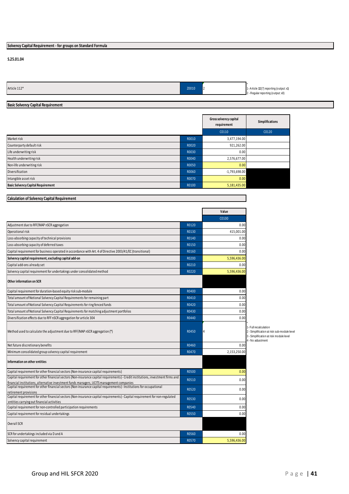# **Solvency Capital Requirement - for groups on Standard Formula**

#### **S.25.01.04**

| Article 112* | Z0010 | . . | 1- Article 112(7) reporting (output: x1) |
|--------------|-------|-----|------------------------------------------|
|              |       |     | 2 - Regular reporting (output: x0)       |

# **Basic Solvency Capital Requirement**

|                                           |       | Gross solvency capital<br>requirement | Simplifications |
|-------------------------------------------|-------|---------------------------------------|-----------------|
|                                           |       | C0110                                 | C0120           |
| Market risk                               | R0010 | 3,477,194.00                          |                 |
| Counterparty default risk                 | R0020 | 921,262.00                            |                 |
| Life underwriting risk                    | R0030 | 0.00                                  |                 |
| Health underwriting risk                  | R0040 | 2,576,677.00                          |                 |
| Non-life underwriting risk                | R0050 | 0.00                                  |                 |
| Diversification                           | R0060 | $-1,793,698.00$                       |                 |
| Intangible asset risk                     | R0070 | 0.00                                  |                 |
| <b>Basic Solvency Capital Requirement</b> | R0100 | 5,181,435.00                          |                 |

# **Calculation of Solvency Capital Requirement**

|                                                                                                                                                                                                                   |              | Value          |                                                                                                                                     |
|-------------------------------------------------------------------------------------------------------------------------------------------------------------------------------------------------------------------|--------------|----------------|-------------------------------------------------------------------------------------------------------------------------------------|
|                                                                                                                                                                                                                   |              | C0100          |                                                                                                                                     |
| Adjustment due to RFF/MAP nSCR aggregation                                                                                                                                                                        | R0120        | 0.00           |                                                                                                                                     |
| Operational risk                                                                                                                                                                                                  | R0130        | 415,001.00     |                                                                                                                                     |
| Loss-absorbing capacity of technical provisions                                                                                                                                                                   | R0140        | 0.00           |                                                                                                                                     |
| Loss-absorbing capacity of deferred taxes                                                                                                                                                                         | R0150        | 0.00           |                                                                                                                                     |
| Capital requirement for business operated in accordance with Art. 4 of Directive 2003/41/EC (transitional)                                                                                                        | R0160        | 0.00           |                                                                                                                                     |
| Solvency capital requirement, excluding capital add-on                                                                                                                                                            | R0200        | 5,596,436.00   |                                                                                                                                     |
| Capital add-ons already set                                                                                                                                                                                       | R0210        | 0.00           |                                                                                                                                     |
| Solvency capital requirement for undertakings under consolidated method                                                                                                                                           | R0220        | 5,596,436.00   |                                                                                                                                     |
| Other information on SCR                                                                                                                                                                                          |              |                |                                                                                                                                     |
| Capital requirement for duration-based equity risk sub-module                                                                                                                                                     | R0400        | 0.00           |                                                                                                                                     |
| Total amount of Notional Solvency Capital Requirements for remaining part                                                                                                                                         | R0410        | 0.00           |                                                                                                                                     |
| Total amount of Notional Solvency Capital Requirements for ring fenced funds                                                                                                                                      | R0420        | 0.00           |                                                                                                                                     |
| Total amount of Notional Solvency Capital Requirements for matching adjustment portfolios                                                                                                                         | R0430        | 0.00           |                                                                                                                                     |
| Diversification effects due to RFF nSCR aggregation for article 304                                                                                                                                               | R0440        | 0.00           |                                                                                                                                     |
| Method used to calculate the adjustment due to RFF/MAP nSCR aggregation (*)                                                                                                                                       | R0450        | $\overline{4}$ | 1- Full recalculation<br>2 - Simplification at risk sub-module leve<br>3 - Simplification at risk module level<br>4 - No adiustment |
| Net future discretionary benefits                                                                                                                                                                                 | R0460        | 0.00           |                                                                                                                                     |
| Minimum consolidated group solvency capital requirement                                                                                                                                                           | R0470        | 2,153,250.00   |                                                                                                                                     |
| Information on other entities                                                                                                                                                                                     |              |                |                                                                                                                                     |
| Capital requirement for other financial sectors (Non-insurance capital requirements)                                                                                                                              | <b>R0500</b> | 0.00           |                                                                                                                                     |
| Capital requirement for other financial sectors (Non-insurance capital requirements) - Credit institutions, investment firms and                                                                                  | R0510        | 0.00           |                                                                                                                                     |
| financial institutions, alternative investment funds managers, UCITS management companies<br>Capital requirement for other financial sectors (Non-insurance capital requirements) - Institutions for occupational | R0520        | 0.00           |                                                                                                                                     |
| retirement provisions<br>Capital requirement for other financial sectors (Non-insurance capital requirements) - Capital requirement for non-regulated                                                             | R0530        |                |                                                                                                                                     |
| entities carrying out financial activities                                                                                                                                                                        |              | 0.00           |                                                                                                                                     |
| Capital requirement for non-controlled participation requirements                                                                                                                                                 | R0540        | 0.00           |                                                                                                                                     |
| Capital requirement for residual undertakings                                                                                                                                                                     | <b>R0550</b> | 0.00           |                                                                                                                                     |
| <b>Overall SCR</b>                                                                                                                                                                                                |              |                |                                                                                                                                     |
| SCR for undertakings included via D and A                                                                                                                                                                         | R0560        | 0.00           |                                                                                                                                     |
| Solvency capital requirement                                                                                                                                                                                      | R0570        | 5,596,436.00   |                                                                                                                                     |
|                                                                                                                                                                                                                   |              |                |                                                                                                                                     |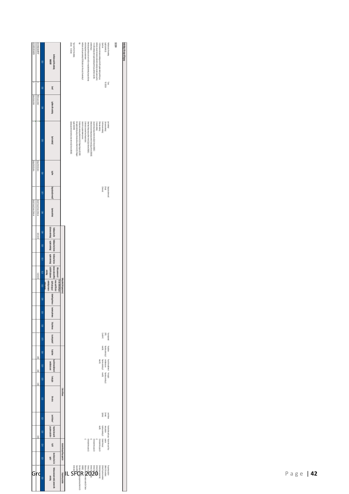| <b>HOLD BOOK THE REAL</b>           | OS BICHCECC II BE (ST)         | e      | terfizarrated benefalge<br><b>KONSIN</b>                                                                                                         |                                        | <b>THE SCIENCE</b>                                                                                      | <b>Support of the Outlet under</b><br>쁂                                                                                                         | belizion est fe past utation 800 EC alt 26 chi fe control die utation 6 | although market as before reason.                   | Next action of the first contract for the equipped interior of the part complete | telapipped                                                | Fin de antichie principal absolution and absolution and all    | the first particular of the control of the control of the control of the control of the control of the control of the control of the control of the control of the control of the control of the control of the control of the | -For EBI for any articles with the EBI for the Second of the Plats of the Plats. | Zjednik                                              | [2] agap(1)(35km)                                                                                                                                                                                                                                                                                                                                                                                                                                                                                              | <b>The Case of the United States</b>                                                                           | <b>MULTER</b> | Untertaing in the scope of the group |
|-------------------------------------|--------------------------------|--------|--------------------------------------------------------------------------------------------------------------------------------------------------|----------------------------------------|---------------------------------------------------------------------------------------------------------|-------------------------------------------------------------------------------------------------------------------------------------------------|-------------------------------------------------------------------------|-----------------------------------------------------|----------------------------------------------------------------------------------|-----------------------------------------------------------|----------------------------------------------------------------|--------------------------------------------------------------------------------------------------------------------------------------------------------------------------------------------------------------------------------|----------------------------------------------------------------------------------|------------------------------------------------------|----------------------------------------------------------------------------------------------------------------------------------------------------------------------------------------------------------------------------------------------------------------------------------------------------------------------------------------------------------------------------------------------------------------------------------------------------------------------------------------------------------------|----------------------------------------------------------------------------------------------------------------|---------------|--------------------------------------|
|                                     |                                | m      | Cum)                                                                                                                                             |                                        |                                                                                                         |                                                                                                                                                 |                                                                         |                                                     |                                                                                  |                                                           |                                                                |                                                                                                                                                                                                                                |                                                                                  |                                                      |                                                                                                                                                                                                                                                                                                                                                                                                                                                                                                                |                                                                                                                |               |                                      |
| Situal Gastell mited                | HICAtes exclinited             | m      | Legi Name of the under taking                                                                                                                    |                                        |                                                                                                         |                                                                                                                                                 |                                                                         |                                                     |                                                                                  |                                                           |                                                                |                                                                                                                                                                                                                                |                                                                                  |                                                      |                                                                                                                                                                                                                                                                                                                                                                                                                                                                                                                |                                                                                                                |               |                                      |
|                                     |                                | 60     | <b>The character of</b>                                                                                                                          |                                        | 医皮肤 医生物 医生物 医生物 医生物的<br>2 Special papea velocit administration that can in Krish 21 Directive 2008 1960 | ESEN LIFES<br>The spot to short these assists through the students the state of<br>World perices and at advert Act of a Hiberal Feath in BLTEST | leading to respirate the expert problem                                 | Cest retreat in extent firm and financial restation | Next face total may a streak Activity (the Copy)                                 | Newship community and with the 2018 of the team of the CO | Floored by can payer ident in Kitz 2011 of a Diedine 2009 9002 | Expansion as showed                                                                                                                                                                                                            | Since and additional                                                             | Lib incommentation)<br>2 (han internazional station) |                                                                                                                                                                                                                                                                                                                                                                                                                                                                                                                | Joseph Hill                                                                                                    |               |                                      |
| content in the fighter of           | or gain in the day share.      | e      | 雪                                                                                                                                                |                                        |                                                                                                         |                                                                                                                                                 |                                                                         |                                                     |                                                                                  |                                                           |                                                                |                                                                                                                                                                                                                                |                                                                                  |                                                      |                                                                                                                                                                                                                                                                                                                                                                                                                                                                                                                |                                                                                                                |               |                                      |
|                                     |                                | ê      | Compinentations                                                                                                                                  |                                        |                                                                                                         |                                                                                                                                                 |                                                                         |                                                     |                                                                                  |                                                           |                                                                |                                                                                                                                                                                                                                |                                                                                  | <b>World's</b>                                       | Ē                                                                                                                                                                                                                                                                                                                                                                                                                                                                                                              | (point of the color)                                                                                           |               |                                      |
| Gite by ifirminal Series Commission | Gia bri Financia (semicologia) | m<br>E | kenisty Authority                                                                                                                                |                                        |                                                                                                         |                                                                                                                                                 |                                                                         |                                                     |                                                                                  |                                                           |                                                                |                                                                                                                                                                                                                                |                                                                                  |                                                      |                                                                                                                                                                                                                                                                                                                                                                                                                                                                                                                |                                                                                                                |               |                                      |
|                                     | INSTOR                         | li N   |                                                                                                                                                  |                                        |                                                                                                         |                                                                                                                                                 |                                                                         |                                                     |                                                                                  |                                                           |                                                                |                                                                                                                                                                                                                                |                                                                                  |                                                      |                                                                                                                                                                                                                                                                                                                                                                                                                                                                                                                |                                                                                                                |               |                                      |
|                                     |                                | ê      | <b>Informational distribution</b>                                                                                                                |                                        |                                                                                                         |                                                                                                                                                 |                                                                         |                                                     |                                                                                  |                                                           |                                                                |                                                                                                                                                                                                                                |                                                                                  |                                                      |                                                                                                                                                                                                                                                                                                                                                                                                                                                                                                                |                                                                                                                |               |                                      |
|                                     |                                | E      | replate to the birth                                                                                                                             |                                        |                                                                                                         |                                                                                                                                                 |                                                                         |                                                     |                                                                                  |                                                           |                                                                |                                                                                                                                                                                                                                |                                                                                  |                                                      |                                                                                                                                                                                                                                                                                                                                                                                                                                                                                                                |                                                                                                                |               |                                      |
|                                     | merket                         | 60     | idd air Stellt leitam Stellt oder data Bizte Stellte renumered unt Filso<br>lod GMP for jet jecureon<br><b>Uriter prenimisee to</b><br>unteraing |                                        |                                                                                                         |                                                                                                                                                 |                                                                         |                                                     |                                                                                  |                                                           |                                                                |                                                                                                                                                                                                                                |                                                                                  |                                                      |                                                                                                                                                                                                                                                                                                                                                                                                                                                                                                                |                                                                                                                |               |                                      |
|                                     |                                | e      | <b>Rue under FRischand</b><br>larrous de the d active gross<br>unteraing ories or or<br>hid in reverse is                                        | fering ortes in the ground of          |                                                                                                         |                                                                                                                                                 |                                                                         |                                                     |                                                                                  |                                                           |                                                                |                                                                                                                                                                                                                                |                                                                                  |                                                      |                                                                                                                                                                                                                                                                                                                                                                                                                                                                                                                |                                                                                                                |               |                                      |
|                                     |                                | e<br>E | GREature of University premiers                                                                                                                  |                                        |                                                                                                         |                                                                                                                                                 |                                                                         |                                                     |                                                                                  |                                                           |                                                                |                                                                                                                                                                                                                                |                                                                                  |                                                      |                                                                                                                                                                                                                                                                                                                                                                                                                                                                                                                |                                                                                                                |               |                                      |
|                                     |                                | 60     | Instructed oracc                                                                                                                                 |                                        |                                                                                                         |                                                                                                                                                 |                                                                         |                                                     |                                                                                  |                                                           |                                                                |                                                                                                                                                                                                                                |                                                                                  |                                                      |                                                                                                                                                                                                                                                                                                                                                                                                                                                                                                                |                                                                                                                |               |                                      |
|                                     |                                | 昙      | idalgrámace                                                                                                                                      |                                        |                                                                                                         |                                                                                                                                                 |                                                                         |                                                     |                                                                                  |                                                           |                                                                |                                                                                                                                                                                                                                |                                                                                  |                                                      |                                                                                                                                                                                                                                                                                                                                                                                                                                                                                                                |                                                                                                                |               |                                      |
|                                     |                                | 9      | komming stand and                                                                                                                                |                                        |                                                                                                         |                                                                                                                                                 |                                                                         |                                                     |                                                                                  |                                                           |                                                                |                                                                                                                                                                                                                                |                                                                                  |                                                      | <b>Least District</b><br><b>Read</b><br>Read Property                                                                                                                                                                                                                                                                                                                                                                                                                                                          |                                                                                                                |               |                                      |
|                                     | Ë                              | ≣      | statistics                                                                                                                                       |                                        |                                                                                                         |                                                                                                                                                 |                                                                         |                                                     |                                                                                  |                                                           |                                                                |                                                                                                                                                                                                                                |                                                                                  | <b>M3 9201</b>                                       | of Fillmount expansive                                                                                                                                                                                                                                                                                                                                                                                                                                                                                         | aspete)                                                                                                        |               |                                      |
|                                     | ä                              | ê      | <b>Kuselinheizakkinetu</b><br>considerations                                                                                                     |                                        |                                                                                                         |                                                                                                                                                 |                                                                         |                                                     |                                                                                  |                                                           |                                                                |                                                                                                                                                                                                                                | <b>PER 19</b>                                                                    | constitutions<br>Fundation to the future             |                                                                                                                                                                                                                                                                                                                                                                                                                                                                                                                | costs the established at                                                                                       |               |                                      |
|                                     | Ħ                              | E      | <b>Suringripts</b>                                                                                                                               |                                        |                                                                                                         |                                                                                                                                                 |                                                                         |                                                     |                                                                                  |                                                           |                                                                |                                                                                                                                                                                                                                |                                                                                  | mas 11                                               | $\label{eq:optimal} \begin{array}{ll} \text{with } \text{supp} \text{ is } \text{supp} \text{ is } \\ \text{in } \text{supp} \text{ is } \text{supp} \text{ is } \\ \text{supp} \text{ is } \text{supp} \text{ is } \\ \text{supp} \text{ is } \text{supp} \text{ is } \\ \text{supp} \text{ is } \text{supp} \text{ is } \\ \text{supp} \text{ is } \text{supp} \text{ is } \\ \text{supp} \text{ is } \text{supp} \text{ is } \\ \text{supp} \text{ is } \text{supp} \text{ is } \\ \text{supp} \text{ is }$ |                                                                                                                |               |                                      |
|                                     |                                | E      | Oberchiefa                                                                                                                                       | Citerioficitutus                       |                                                                                                         |                                                                                                                                                 |                                                                         |                                                     |                                                                                  |                                                           |                                                                |                                                                                                                                                                                                                                |                                                                                  |                                                      |                                                                                                                                                                                                                                                                                                                                                                                                                                                                                                                |                                                                                                                |               |                                      |
|                                     |                                | ê      | Le vel d'intereze "                                                                                                                              |                                        |                                                                                                         |                                                                                                                                                 |                                                                         |                                                     |                                                                                  |                                                           |                                                                |                                                                                                                                                                                                                                |                                                                                  |                                                      |                                                                                                                                                                                                                                                                                                                                                                                                                                                                                                                |                                                                                                                |               |                                      |
|                                     | Ë                              | ED     | Fogot ord share usel for<br>propose no catch tire                                                                                                |                                        |                                                                                                         |                                                                                                                                                 |                                                                         |                                                     |                                                                                  |                                                           |                                                                |                                                                                                                                                                                                                                | <b>N3 98 U</b>                                                                   | 计加速器医理                                               | Luppaper Car                                                                                                                                                                                                                                                                                                                                                                                                                                                                                                   | three particles and a manager of the state of the state of the state of the state of the state of the state of |               |                                      |
|                                     |                                | E      | ieje"                                                                                                                                            | Industrial the scape of Googrape water |                                                                                                         |                                                                                                                                                 |                                                                         |                                                     | <b>NS his interest and a state of 25</b>                                         |                                                           | <b>AZ DR HOSS BY USEFUL PIN</b>                                |                                                                                                                                                                                                                                | <b>N2 DR Returns as in such and 15</b>                                           | jetzs as upsmall.                                    | months                                                                                                                                                                                                                                                                                                                                                                                                                                                                                                         |                                                                                                                |               |                                      |
|                                     |                                | 亘      | Data the site of art 2 Mis<br>Applies                                                                                                            |                                        |                                                                                                         |                                                                                                                                                 |                                                                         |                                                     |                                                                                  |                                                           |                                                                |                                                                                                                                                                                                                                |                                                                                  |                                                      |                                                                                                                                                                                                                                                                                                                                                                                                                                                                                                                |                                                                                                                |               |                                      |
| G                                   | ΓC                             | e      | <b>Ileha ustatuten ehelt (Lite ab et dite</b><br><b>Internit</b>                                                                                 | completed cultivation                  | IL                                                                                                      | $\begin{array}{ccc} \mathsf{SFR}^{\mathsf{H}} \\ \mathsf{SFR} \\ \mathsf{SFR} \\ \mathsf{SFR} \end{array}$                                      |                                                                         |                                                     |                                                                                  | <b>2020</b>                                               |                                                                |                                                                                                                                                                                                                                | Vehicle Subsets against the first                                                | <b>Meta 1 Physical cost More</b>                     | <b>Controller and Controller and Controller</b>                                                                                                                                                                                                                                                                                                                                                                                                                                                                |                                                                                                                |               |                                      |

**Undertakings in the scope of the group**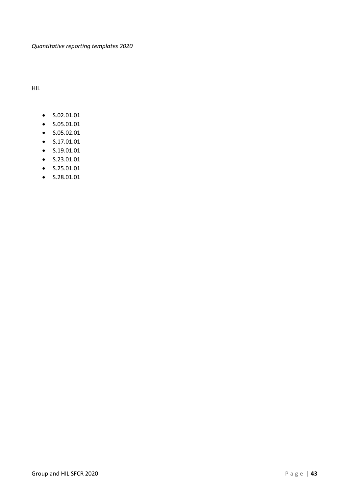HIL

- S.02.01.01
- S.05.01.01
- S.05.02.01
- S.17.01.01
- S.19.01.01
- S.23.01.01
- S.25.01.01
- S.28.01.01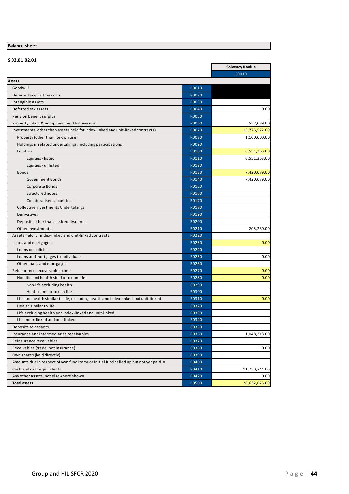# **Balance sheet**

| S.02.01.02.01                                                                          |              |                   |
|----------------------------------------------------------------------------------------|--------------|-------------------|
|                                                                                        |              | Solvency II value |
|                                                                                        |              | C0010             |
| Assets                                                                                 |              |                   |
| Goodwill                                                                               | R0010        |                   |
| Deferred acquisition costs                                                             | R0020        |                   |
| Intangible assets                                                                      | R0030        |                   |
| Deferred tax assets                                                                    | R0040        | 0.00              |
| Pension benefit surplus                                                                | R0050        |                   |
| Property, plant & equipment held for own use                                           | R0060        | 557,039.00        |
| Investments (other than assets held for index-linked and unit-linked contracts)        | R0070        | 15,276,572.00     |
| Property (other than for own use)                                                      | <b>R0080</b> | 1,100,000.00      |
| Holdings in related undertakings, including participations                             | R0090        |                   |
| Equities                                                                               | R0100        | 6,551,263.00      |
| Equities - listed                                                                      | R0110        | 6,551,263.00      |
| Equities - unlisted                                                                    | R0120        |                   |
| <b>Bonds</b>                                                                           | R0130        | 7,420,079.00      |
| <b>Government Bonds</b>                                                                | R0140        | 7,420,079.00      |
| Corporate Bonds                                                                        | R0150        |                   |
| Structured notes                                                                       | R0160        |                   |
| <b>Collateralised securities</b>                                                       | R0170        |                   |
| Collective Investments Undertakings                                                    | R0180        |                   |
| Derivatives                                                                            | R0190        |                   |
| Deposits other than cash equivalents                                                   | R0200        |                   |
| Other investments                                                                      | R0210        | 205,230.00        |
| Assets held for index-linked and unit-linked contracts                                 | R0220        |                   |
| Loans and mortgages                                                                    | R0230        | 0.00              |
| Loans on policies                                                                      | R0240        |                   |
| Loans and mortgages to individuals                                                     | R0250        | 0.00              |
| Other loans and mortgages                                                              | R0260        |                   |
| Reinsurance recoverables from:                                                         | R0270        | 0.00              |
| Non-life and health similar to non-life                                                | R0280        | 0.00              |
| Non-life excluding health                                                              | R0290        |                   |
| Health similar to non-life                                                             | R0300        |                   |
| Life and health similar to life, excluding health and index-linked and unit-linked     | R0310        | 0.00              |
| Health similar to life                                                                 | R0320        |                   |
| Life excluding health and index-linked and unit-linked                                 | R0330        |                   |
| Life index-linked and unit-linked                                                      | R0340        |                   |
| Deposits to cedants                                                                    | R0350        |                   |
| Insurance and intermediaries receivables                                               | R0360        | 1,048,318.00      |
| Reinsurance receivables                                                                | R0370        |                   |
| Receivables (trade, not insurance)                                                     | R0380        | 0.00              |
| Own shares (held directly)                                                             | R0390        |                   |
| Amounts due in respect of own fund items or initial fund called up but not yet paid in | R0400        |                   |
| Cash and cash equivalents                                                              | R0410        | 11,750,744.00     |
| Any other assets, not elsewhere shown                                                  | R0420        | 0.00              |
|                                                                                        |              |                   |
| <b>Total assets</b>                                                                    | R0500        | 28,632,673.00     |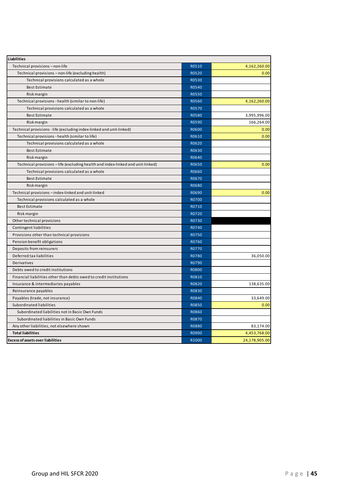| Liabilities                                                                   |              |               |
|-------------------------------------------------------------------------------|--------------|---------------|
| Technical provisions - non-life                                               | R0510        | 4,162,260.00  |
| Technical provisions - non-life (excluding health)                            | R0520        | 0.00          |
| Technical provisions calculated as a whole                                    | R0530        |               |
| <b>Best Estimate</b>                                                          | R0540        |               |
| Risk margin                                                                   | R0550        |               |
| Technical provisions - health (similar to non-life)                           | R0560        | 4,162,260.00  |
| Technical provisions calculated as a whole                                    | R0570        |               |
| <b>Best Estimate</b>                                                          | R0580        | 3,995,996.00  |
| Risk margin                                                                   | R0590        | 166,264.00    |
| Technical provisions - life (excluding index-linked and unit-linked)          | R0600        | 0.00          |
| Technical provisions - health (similar to life)                               | R0610        | 0.00          |
| Technical provisions calculated as a whole                                    | R0620        |               |
| <b>Best Estimate</b>                                                          | R0630        |               |
| Risk margin                                                                   | R0640        |               |
| Technical provisions-life (excluding health and index-linked and unit-linked) | R0650        | 0.00          |
| Technical provisions calculated as a whole                                    | R0660        |               |
| <b>Best Estimate</b>                                                          | R0670        |               |
| Risk margin                                                                   | R0680        |               |
| Technical provisions - index-linked and unit-linked                           | R0690        | 0.00          |
| Technical provisions calculated as a whole                                    | R0700        |               |
| <b>Best Estimate</b>                                                          | R0710        |               |
| Risk margin                                                                   | R0720        |               |
| Other technical provisions                                                    | R0730        |               |
| Contingent liabilities                                                        | R0740        |               |
| Provisions other than technical provisions                                    | R0750        |               |
| Pension benefit obligations                                                   | R0760        |               |
| Deposits from reinsurers                                                      | R0770        |               |
| Deferred tax liabilities                                                      | R0780        | 36,050.00     |
| Derivatives                                                                   | R0790        |               |
| Debts owed to credit institutions                                             | R0800        |               |
| Financial liabilities other than debts owed to credit institutions            | R0810        |               |
| Insurance & intermediaries payables                                           | R0820        | 138,635.00    |
| Reinsurance payables                                                          | R0830        |               |
| Payables (trade, not insurance)                                               | R0840        | 33,649.00     |
| Subordinated liabilities                                                      | R0850        | 0.00          |
| Subordinated liabilities not in Basic Own Funds                               | R0860        |               |
| Subordinated liabilities in Basic Own Funds                                   | R0870        |               |
| Any other liabilities, not elsewhere shown                                    | <b>R0880</b> | 83,174.00     |
| <b>Total liabilities</b>                                                      | R0900        | 4,453,768.00  |
| <b>Excess of assets over liabilities</b>                                      | R1000        | 24,178,905.00 |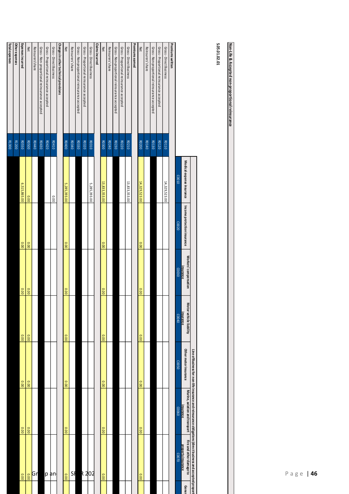|                                                                   |                       |                           |                             |                                    |                                      |                       |                                             | 46<br>Ρ<br>age                                                                                                                                                       |
|-------------------------------------------------------------------|-----------------------|---------------------------|-----------------------------|------------------------------------|--------------------------------------|-----------------------|---------------------------------------------|----------------------------------------------------------------------------------------------------------------------------------------------------------------------|
| Non-Life & Accepted non-proportional reinsurance                  |                       |                           |                             |                                    |                                      |                       |                                             |                                                                                                                                                                      |
| 5.05.01.02.01                                                     |                       |                           |                             |                                    |                                      |                       |                                             |                                                                                                                                                                      |
|                                                                   |                       | Medical expense insurance | Income protection insurance | Workers' compensation<br>insurance | Motor vehicle liability<br>insurance | Other motor insurance | Marine, aviation and transport<br>insurance | Line of Business for: non-life insurance and reinsurance obligations (direct business and accepted propor<br>Fire and other damage to<br>property insurance<br>Genel |
| Premiums written                                                  |                       | C0010                     | CO020                       | 06000                              | CO040                                | 05002                 | 09000                                       | 02000                                                                                                                                                                |
| Gross - Direct Business                                           | <b>RO110</b>          | 14,329,523.00             |                             |                                    |                                      |                       |                                             |                                                                                                                                                                      |
| Gross - Proportional reinsurance accepted                         | R0120                 |                           |                             |                                    |                                      |                       |                                             |                                                                                                                                                                      |
| Gross - Non-proportional reinsurance accepted                     | RO130                 |                           |                             |                                    |                                      |                       |                                             |                                                                                                                                                                      |
| Reinsurers'share                                                  | 00140                 |                           |                             |                                    |                                      |                       |                                             |                                                                                                                                                                      |
| Premiums earned<br><b>Net</b>                                     | R0200                 | 14,329,523.00             | 0.00                        | 0.00                               | 0.00                                 | 0.00                  | 0.00                                        | 0.00                                                                                                                                                                 |
| Gross - Direct Business                                           | R0210                 | 13,833,353.00             |                             |                                    |                                      |                       |                                             |                                                                                                                                                                      |
| Gross - Proportional reinsurance accepted                         | R0220                 |                           |                             |                                    |                                      |                       |                                             |                                                                                                                                                                      |
| Reinsurers'share<br>Gross - Non-proportional reinsurance accepted | R0240<br>R0230        |                           |                             |                                    |                                      |                       |                                             |                                                                                                                                                                      |
| <b>Net</b>                                                        | <b>RO300</b>          | 13,833,353.00             | 0.00                        | 0.00                               | 0.00                                 | 0.00                  | 0.00                                        | 0.00                                                                                                                                                                 |
| <b>Claims incurred</b>                                            |                       |                           |                             |                                    |                                      |                       |                                             |                                                                                                                                                                      |
| Gross -Direct Business                                            | <b>RO310</b>          | 5,285,393.00              |                             |                                    |                                      |                       |                                             |                                                                                                                                                                      |
| Gross -Proportional reinsurance accepted                          | R0320                 |                           |                             |                                    |                                      |                       |                                             | <b>R</b> 202                                                                                                                                                         |
| Gross - Non-proportional reinsurance accepted                     | R0330<br><b>RO340</b> |                           |                             |                                    |                                      |                       |                                             | SF                                                                                                                                                                   |
| Reinsurers'share<br><b>Net</b>                                    | R0400                 | 5,285,393.00              | 0.00                        | 0.00                               | 0.00                                 | 0.00                  | 0.00                                        | 0.00                                                                                                                                                                 |
| Changes in other technical provisions                             |                       |                           |                             |                                    |                                      |                       |                                             |                                                                                                                                                                      |
| Gross -Direct Business                                            | 80410                 | 0.00                      |                             |                                    |                                      |                       |                                             | p an                                                                                                                                                                 |
| Gross - Proportional reinsurance accepted                         | R0420                 |                           |                             |                                    |                                      |                       |                                             |                                                                                                                                                                      |
| Gross -Non-proportional reinsurance accepted                      | R0430<br><b>RO440</b> |                           |                             |                                    |                                      |                       |                                             | Gr                                                                                                                                                                   |
| Reinsurers'share<br><b>Net</b>                                    | <b>ROSO0</b>          | 0.00                      | 0.00                        | 0.00                               | 0.00                                 | 0.00                  | 0.00                                        | 0.00                                                                                                                                                                 |
| Expenses incurred                                                 | <b>ROSSO</b>          | 6,515,865.00              | 0.00                        | 00.00                              | 0.00                                 | 0.00                  | 00.0                                        | 0.00                                                                                                                                                                 |
| <b>Total expenses</b><br>Other expenses                           | R1200                 |                           |                             |                                    |                                      |                       |                                             |                                                                                                                                                                      |
|                                                                   | R1300                 |                           |                             |                                    |                                      |                       |                                             |                                                                                                                                                                      |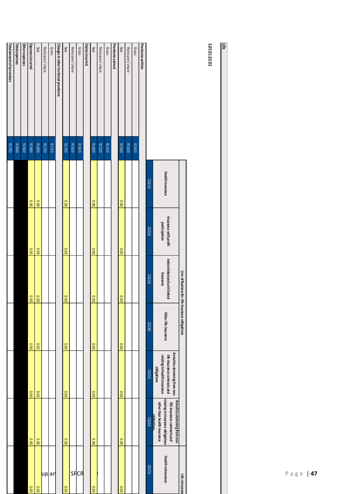|                                       |              |       |                   |       |       |       | <b>SUOTESITUTE</b> |       |
|---------------------------------------|--------------|-------|-------------------|-------|-------|-------|--------------------|-------|
|                                       |              | C0210 | CO <sub>220</sub> | C0230 | CO240 | C0250 | 00260              | C0270 |
| <b>Premiums written</b>               |              |       |                   |       |       |       |                    |       |
| Gross                                 | R1410        |       |                   |       |       |       |                    |       |
| Reinsurers' share                     | R1420        |       |                   |       |       |       |                    |       |
| Net                                   | <b>R1500</b> | 0.00  | 0.00              | 0.00  | 0.00  | 0.00  | 0.00               | 0.00  |
| Premiumsearned                        |              |       |                   |       |       |       |                    |       |
| Gross                                 | R1510        |       |                   |       |       |       |                    |       |
| Reinsurers' share                     | R1520        |       |                   |       |       |       |                    |       |
| Net                                   | R1600        | 0.00  | 0.00              | 0.00  | 0.00  | 0.00  | 0.00               | 0.00  |
| <b>Claims incurred</b>                |              |       |                   |       |       |       |                    |       |
| Gross                                 | R1610        |       |                   |       |       |       |                    | SFCR  |
| Reinsurers' share                     | R1620        |       |                   |       |       |       |                    |       |
| <b>Net</b>                            | <b>R1700</b> | 0.00  | 0.00              | 0.00  | 0.00  | 0.00  | 0.00               | 0.00  |
| Changes in other technical provisions |              |       |                   |       |       |       |                    |       |
| Gross                                 | R1710        |       |                   |       |       |       |                    | an    |
| Reinsurers' share                     | R1720        |       |                   |       |       |       |                    | up    |
| Net                                   | <b>R1800</b> | 0.00  | 0.00              | 0.00  | 0.00  | 00.00 | 0.00               | 0.00  |
| <b>Expenses incurred</b>              | <b>R1900</b> | 0.00  | 0.00              | 0.00  | 0.00  | 00.00 | 0.00               | 0.00  |
| Other expenses                        | R2500        |       |                   |       |       |       |                    |       |
| Total expenses                        | R2600        |       |                   |       |       |       |                    |       |
| Total amount of surrenders            | R2700        |       |                   |       |       |       |                    |       |

| <b>Health insurance</b><br>C0210<br>Insurance with profit<br>participation<br>C0220<br>Index-linked and unit-linked<br>Line of Business for: life insurance obligations<br>insurance<br>C0230<br>Other life insurance<br>00240 |
|--------------------------------------------------------------------------------------------------------------------------------------------------------------------------------------------------------------------------------|
|                                                                                                                                                                                                                                |
|                                                                                                                                                                                                                                |
|                                                                                                                                                                                                                                |
|                                                                                                                                                                                                                                |
| Annuities stemming from non-<br>relating to health insurance<br>life insurance contracts and<br>obligations<br>C0250                                                                                                           |
| Annities stemming from non-<br>relating to<br>other than health insurance<br>life insurance contracts an<br>obligations<br>vinsurance obligations<br>CO260                                                                     |
| Health reinsurance<br>C0270<br>Life reinsuran                                                                                                                                                                                  |

205.01.02.02 **S.05.01.02.02**

**Life**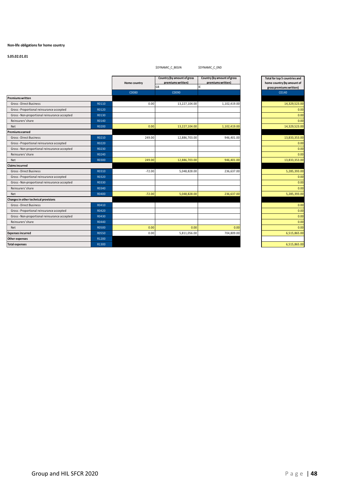#### **Non-life obligations for home country**

|                                               |       |              | <b>\$DYNAMIC C BEGIN</b>                               | <b>\$DYNAMIC C END</b>                                  |                                                                                        |
|-----------------------------------------------|-------|--------------|--------------------------------------------------------|---------------------------------------------------------|----------------------------------------------------------------------------------------|
|                                               |       | Home country | Country (by amount of gross<br>premiums written)<br>GB | Country (by amount of gross<br>premiums written)<br>IE. | Total for top 5 countries and<br>home country (by amount of<br>gross premiums written) |
|                                               |       | C0080        | C0090                                                  |                                                         | C0140                                                                                  |
| <b>Premiums written</b>                       |       |              |                                                        |                                                         |                                                                                        |
| Gross - Direct Business                       | R0110 | 0.00         | 13,227,104.00                                          | 1,102,419.00                                            | 14,329,523.00                                                                          |
| Gross - Proportional reinsurance accepted     | R0120 |              |                                                        |                                                         | 0.00                                                                                   |
| Gross - Non-proportional reinsurance accepted | R0130 |              |                                                        |                                                         | 0.00                                                                                   |
| Reinsurers' share                             | R0140 |              |                                                        |                                                         | 0.00                                                                                   |
| Net                                           | R0200 | 0.00         | 13,227,104.00                                          | 1,102,419.00                                            | 14,329,523.00                                                                          |
| Premiums earned                               |       |              |                                                        |                                                         |                                                                                        |
| Gross - Direct Business                       | R0210 | 249.00       | 12,886,703.00                                          | 946,401.00                                              | 13,833,353.00                                                                          |
| Gross - Proportional reinsurance accepted     | R0220 |              |                                                        |                                                         | 0.00                                                                                   |
| Gross - Non-proportional reinsurance accepted | R0230 |              |                                                        |                                                         | 0.00                                                                                   |
| Reinsurers' share                             | R0240 |              |                                                        |                                                         | 0.00                                                                                   |
| Net                                           | R0300 | 249.00       | 12,886,703.00                                          | 946,401.00                                              | 13,833,353.00                                                                          |
| <b>Claims incurred</b>                        |       |              |                                                        |                                                         |                                                                                        |
| Gross - Direct Business                       | R0310 | $-72.00$     | 5,048,828.00                                           | 236,637.00                                              | 5,285,393.00                                                                           |
| Gross - Proportional reinsurance accepted     | R0320 |              |                                                        |                                                         | 0.00                                                                                   |
| Gross - Non-proportional reinsurance accepted | R0330 |              |                                                        |                                                         | 0.00                                                                                   |
| Reinsurers' share                             | R0340 |              |                                                        |                                                         | 0.00                                                                                   |
| Net                                           | R0400 | $-72.00$     | 5,048,828.00                                           | 236,637.00                                              | 5,285,393.00                                                                           |
| Changes in other technical provisions         |       |              |                                                        |                                                         |                                                                                        |
| Gross - Direct Business                       | R0410 |              |                                                        |                                                         | 0.00                                                                                   |
| Gross - Proportional reinsurance accepted     | R0420 |              |                                                        |                                                         | 0.00                                                                                   |
| Gross - Non-proportional reinsurance accepted | R0430 |              |                                                        |                                                         | 0.00                                                                                   |
| Reinsurers' share                             | R0440 |              |                                                        |                                                         | 0.00                                                                                   |
| Net                                           | R0500 | 0.00         | 0.00                                                   | 0.00                                                    | 0.00                                                                                   |
| <b>Expenses incurred</b>                      | R0550 | 0.00         | 5,811,056.00                                           | 704,809.00                                              | 6,515,865.00                                                                           |
| Other expenses                                | R1200 |              |                                                        |                                                         |                                                                                        |
| <b>Total expenses</b>                         | R1300 |              |                                                        |                                                         | 6,515,865.00                                                                           |

| Total for top 5 countries and |
|-------------------------------|
| home country (by amount of    |
| gross premiums written)       |
| C0140                         |
|                               |
| 14,329,523.00                 |
| 0.00                          |
| 0.00                          |
| 0.00                          |
| 14,329,523.00                 |
|                               |
| 13,833,353.00                 |
| 0.00                          |
| 0.00                          |
| 0.00                          |
| 13,833,353.00                 |
|                               |
| 5,285,393.00                  |
| 0.00                          |
| 0.00                          |
| 0.00                          |
| 5,285,393.00                  |
|                               |
| 0.00                          |
| 0.00                          |
| 0.00                          |
| 0.00                          |
| 0.00                          |
| 6,515,865.00                  |
|                               |
| 6,515,865.00                  |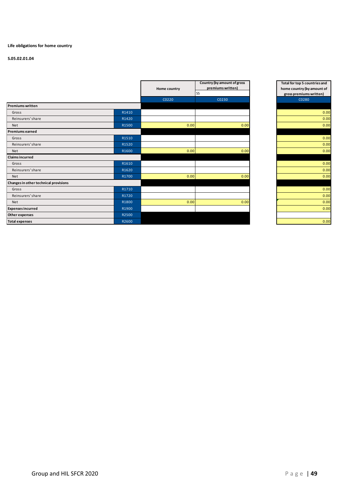# **Life obligations for home country**

|                                       |       | <b>Home country</b> | Country (by amount of gross<br>premiums written) |
|---------------------------------------|-------|---------------------|--------------------------------------------------|
|                                       |       |                     | <b>SS</b>                                        |
|                                       |       | C0220               | C0230                                            |
| <b>Premiums written</b>               |       |                     |                                                  |
| Gross                                 | R1410 |                     |                                                  |
| Reinsurers' share                     | R1420 |                     |                                                  |
| Net                                   | R1500 | 0.00                | 0.00                                             |
| <b>Premiums earned</b>                |       |                     |                                                  |
| Gross                                 | R1510 |                     |                                                  |
| Reinsurers' share                     | R1520 |                     |                                                  |
| Net                                   | R1600 | 0.00                | 0.00                                             |
| <b>Claims incurred</b>                |       |                     |                                                  |
| Gross                                 | R1610 |                     |                                                  |
| Reinsurers' share                     | R1620 |                     |                                                  |
| Net                                   | R1700 | 0.00                | 0.00                                             |
| Changes in other technical provisions |       |                     |                                                  |
| Gross                                 | R1710 |                     |                                                  |
| Reinsurers' share                     | R1720 |                     |                                                  |
| <b>Net</b>                            | R1800 | 0.00                | 0.00                                             |
| <b>Expenses incurred</b>              | R1900 |                     |                                                  |
| Other expenses                        | R2500 |                     |                                                  |
| <b>Total expenses</b>                 | R2600 |                     |                                                  |

| Total for top 5 countries and |
|-------------------------------|
| home country (by amount of    |
| gross premiums written)       |
| C0280                         |
|                               |
| 0.00                          |
| 0.00                          |
| 0.00                          |
|                               |
| 0.00                          |
| 0.00                          |
| 0.00                          |
|                               |
| 0.00                          |
| 0.00                          |
| 0.00                          |
|                               |
| 0.00                          |
| 0.00                          |
| 0.00                          |
| 0.00                          |
|                               |
| 0.00                          |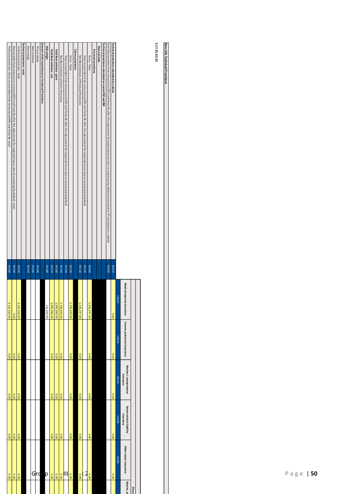|                                                                                                                                                                                |              |                              |                             |                                    |                                      |                       | Direct    |
|--------------------------------------------------------------------------------------------------------------------------------------------------------------------------------|--------------|------------------------------|-----------------------------|------------------------------------|--------------------------------------|-----------------------|-----------|
|                                                                                                                                                                                |              | Medical expense<br>insurance | Income protection insurance | Workers' compensation<br>Insurance | Motor vehicle liability<br>Insurance | Other motor insurance | Marine, a |
|                                                                                                                                                                                |              | C0020                        | COO30                       | C0040                              | COOS 0                               | C0060                 |           |
| Technical provisions calculated as a whole                                                                                                                                     | <b>ROO10</b> | 0.00                         | 00.0                        | 0.00                               | 0.00                                 | 0.00                  |           |
| Total Recoverables from reinsurance/SPV and Finite Re after the adjustment for expected losses due to counterparty default associated to TP calculated as a whole              | <b>ROOSO</b> |                              |                             |                                    |                                      |                       |           |
| Technical provisions calculated as a sum of BE and RM                                                                                                                          |              |                              |                             |                                    |                                      |                       |           |
| Best estimate                                                                                                                                                                  |              |                              |                             |                                    |                                      |                       |           |
| Premium provisions                                                                                                                                                             |              |                              |                             |                                    |                                      |                       |           |
| Gross-Total                                                                                                                                                                    | <b>ROO60</b> | ,226,297.00                  | 0.00                        | 0.00                               | 0.00                                 | 00.0                  |           |
| Total recoverable from neinsurance of process of the step for the adjoscated losses due to counterpance ocunterpance of the process of the material recoverable from the data. | R0140        |                              |                             |                                    |                                      | 2                     |           |
| Net Best Estimate of Premium Provisions                                                                                                                                        | <b>RO150</b> | 1,226,297.00                 | 0.00                        | 00.0                               | 0.00                                 | 0.00                  |           |
| Claims provisions                                                                                                                                                              |              |                              |                             |                                    |                                      |                       |           |
| Gross-Total                                                                                                                                                                    | <b>RO160</b> | 769,699.00                   | 0.00                        | 00'0                               | 0.00                                 | 0.00                  |           |
| Total recoverable from reinsurance/SPV and Finite Re after the adjustment for expected losses due to counterparty default                                                      | R0240        |                              |                             |                                    |                                      | וון                   |           |
| Net Best Estimate of Claims Provisions                                                                                                                                         | <b>RO250</b> | 2,769,699.00                 | 0.00                        | 00.0                               | 0.00                                 | 00.0                  |           |
| Total Best estimate - gross                                                                                                                                                    | R0260        | ω<br>00'966'566'             | 0.00                        | 0.00                               | 0.00                                 | 0.00                  |           |
| Total Best estimate-net                                                                                                                                                        | R0270        | 00.959,990.00                | 00.00                       | 00.00                              | 0.00                                 | 00.0                  |           |
| <b>Risk margin</b>                                                                                                                                                             | R0280        | 116,264.00                   |                             |                                    |                                      | p                     |           |
| Amount of the transitional on Technical Provisions                                                                                                                             |              |                              |                             |                                    |                                      |                       |           |
| TP as a whole                                                                                                                                                                  | R0290        |                              |                             |                                    |                                      | Grd                   |           |
| Best estimate                                                                                                                                                                  | <b>RO300</b> |                              |                             |                                    |                                      |                       |           |
| <b>Risk margin</b>                                                                                                                                                             | R0310        |                              |                             |                                    |                                      |                       |           |
| Technical provisions-total                                                                                                                                                     |              |                              |                             |                                    |                                      |                       |           |
| Technical provisions - total                                                                                                                                                   | R0320        | ,162,260.00                  | 0.00                        | 00'0                               | 0.00                                 | 00.0                  |           |
|                                                                                                                                                                                | R0330        | 0.00                         | 0.00                        | 00.0                               | 0.00                                 | 0.00                  |           |
| Recoverable from reinsurance contract/SPV and Einite Reafter the adjustment for expected losses due to counterparty default - total                                            | R0340        | 4,162,260.00                 | 0.00                        | 0.00                               | 0.00                                 | 00.0                  |           |

5.17.01.02.01 **S.17.01.02.01**

**Non-Life Technical Provisions**

Non-Life Technical Provisions

P a g e | 50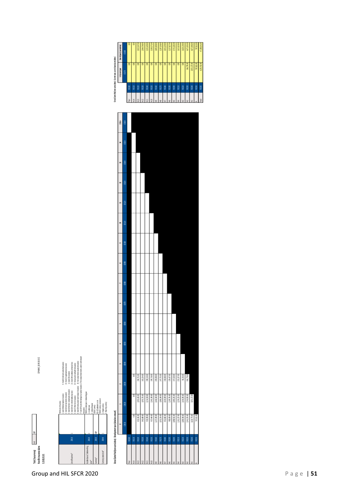

| <b>RO100</b><br>hor |                |              |                |             |   |         |     |        |      |     |               |          |               |      |       |      |                  |              |                  |                           |
|---------------------|----------------|--------------|----------------|-------------|---|---------|-----|--------|------|-----|---------------|----------|---------------|------|-------|------|------------------|--------------|------------------|---------------------------|
|                     |                |              | $\overline{a}$ | 'n          | a | u       | w   | r.     | 8    | 9   | $\Xi$         | $\equiv$ | $\approx$     | m    | z     | 188+ |                  |              | In Current year  | Sum of years (cumulative) |
|                     | $\frac{1}{2}$  | 0000         | (003)          | <b>GROO</b> | 3 | (10060) | 000 | (0080) | 0000 | 000 | $\frac{1}{2}$ | æ        | $\frac{3}{2}$ | 0140 | C0150 | 0050 |                  |              | $\frac{1}{2}$    | 0130                      |
|                     |                |              |                |             |   |         |     |        |      |     |               |          |               |      |       |      | <sup>2</sup> luc | <b>RO100</b> | $\overline{5}$   | g                         |
| <b>RO110</b>        | $\overline{a}$ | 0.00         | $\frac{1}{2}$  |             |   |         |     |        |      |     |               |          |               |      |       |      | NH4              | <b>RO110</b> | $\overline{50}$  | g                         |
| <b>RO120</b>        | 833,345.00     | 1,992,450.00 | 196,752.00     |             |   |         |     |        |      |     |               |          |               |      |       |      | NES <sub></sub>  | <b>RDDD</b>  | $\overline{000}$ | 3,022,547.00              |
| <b>RO130</b>        | 845,689.00     | 1,955,755.00 | 163,324.00     |             |   |         |     |        |      |     |               |          |               |      |       |      | N42              | <b>ROC</b>   | $\overline{5}$   | 2,964,768.00              |
| <b>RO140</b>        | 939,399.00     | 2,214,530.00 | 198,510.00     |             |   |         |     |        |      |     |               |          |               |      |       |      | N41              | <b>RD140</b> | $\overline{50}$  | 3,352,439.00              |
| <b>RO150</b><br>9HV | 937,464.00     | 2,363,190.00 | 199,718.00     |             |   |         |     |        |      |     |               |          |               |      |       |      | N-10             | <b>RUISO</b> | $\overline{a}$   | 3,500,372.00              |
| <b>RO160</b><br>S.  | 1,237,290.00   | 2,446,540.00 | 209,008.00     |             |   |         |     |        |      |     |               |          |               |      |       |      | PΜ               | <b>RO160</b> | $\overline{5}$   | 3,892,838.00              |
| <b>RO170</b><br>≇   | 1,053,254.00   | 1,986,349.00 | 247,755.00     |             |   |         |     |        |      |     |               |          |               |      |       |      |                  | 80170        | $\frac{1}{2}$    | 3,287,358.00              |
| <b>RO180</b>        | 852,682.00     | 2,020,509.00 | 158,058.00     |             |   |         |     |        |      |     |               |          |               |      |       |      |                  | <b>ROSO</b>  | $\overline{5}$   | 3,031,259.00              |
| <b>RO190</b><br>š   | 988,609.00     | 2,109,781.00 | 139,437.00     |             |   |         |     |        |      |     |               |          |               |      |       |      |                  | <b>RUG</b>   | $\overline{5}$   | 3,237,827.00              |
| <b>RO200</b>        | 1,088,551.00   | 2,485,201.00 | 157,520.00     |             |   |         |     |        |      |     |               |          |               |      |       |      | NS               | ROZO         | $\frac{1}{2}$    | 3,731,282.00              |
| <b>RO210</b>        | 1,101,237.00   | 2,259,225.00 | 255,357.00     |             |   |         |     |        |      |     |               |          |               |      |       |      |                  | <b>ROZIO</b> | $\overline{5}$   | 3,615,819.00              |
| 80220               | 1089,8400      | 2,434,395.00 | 96,350.00      |             |   |         |     |        |      |     |               |          |               |      |       |      |                  | <b>ROZO</b>  | $\overline{00}$  | 3,620,139.00              |
| 80230               | 1341,25500     | 2,763,902.00 | 366,778.00     |             |   |         |     |        |      |     |               |          |               |      |       |      |                  | 80230        | 366,778.00       | 4,471,935.00              |
| <b>RO240</b>        | 1,620,774.00   | 3,051,172.00 |                |             |   |         |     |        |      |     |               |          |               |      |       |      |                  | <b>RD240</b> | 3,051,172.00     | 4,671,946.00              |
| 80250               | 787,81200      |              |                |             |   |         |     |        |      |     |               |          |               |      |       |      |                  | <b>R0250</b> | 787,812.00       | 787,812.00                |
|                     |                |              |                |             |   |         |     |        |      |     |               |          |               |      |       |      | $\overline{50}$  | <b>N250</b>  | 4,205,762.00     | 47,188,341.00             |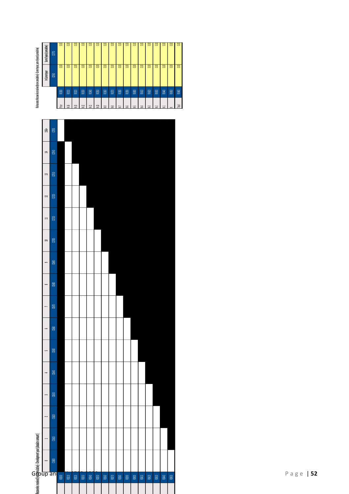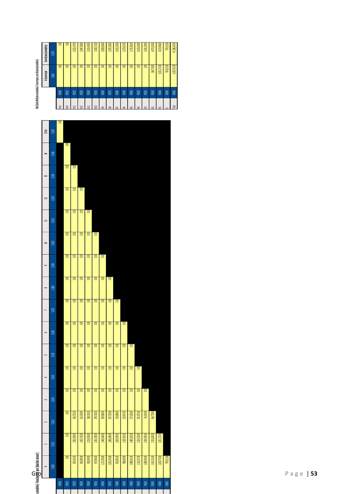

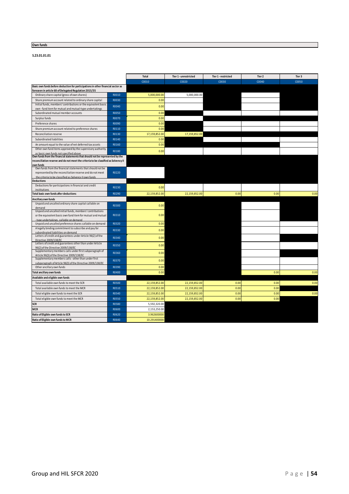# **Own funds**

**S.23.01.01.01**

|                                                                                                                         |              | Total         | Tier 1 - unrestricted | Tier 1 - restricted | Tier 2 | Tier 3 |
|-------------------------------------------------------------------------------------------------------------------------|--------------|---------------|-----------------------|---------------------|--------|--------|
|                                                                                                                         |              | C0010         | C0020                 | C0030               | C0040  | C0050  |
| Basic own funds before deduction for participations in other financial sector as                                        |              |               |                       |                     |        |        |
| foreseen in article 68 of Delegated Regulation 2015/35                                                                  |              |               |                       |                     |        |        |
| Ordinary share capital (gross of own shares)                                                                            | R0010        | 5,000,000.00  | 5,000,000.00          |                     |        |        |
| Share premium account related to ordinary share capital                                                                 | R0030        | 0.00          |                       |                     |        |        |
| Initial funds, members' contributions or the equivalent basic                                                           | R0040        | 0.00          |                       |                     |        |        |
| own - fund item for mutual and mutual-type undertakings                                                                 |              | 0.00          |                       |                     |        |        |
| Subordinated mutual member accounts                                                                                     | R0050        |               |                       |                     |        |        |
| Surplus funds                                                                                                           | R0070        | 0.00          |                       |                     |        |        |
| Preference shares                                                                                                       | R0090        | 0.00          |                       |                     |        |        |
| Share premium account related to preference shares                                                                      | R0110        | 0.00          |                       |                     |        |        |
| Reconciliation reserve                                                                                                  | R0130        | 17,159,852.00 | 17,159,852.00         |                     |        |        |
| Subordinated liabilities                                                                                                | R0140        | 0.00          |                       |                     |        |        |
| An amount equal to the value of net deferred tax assets                                                                 | R0160        | 0.00          |                       |                     |        |        |
| Other own fund items approved by the supervisory authority                                                              | R0180        | 0.00          |                       |                     |        |        |
| as basic own funds not specified above<br>Own funds from the financial statements that should not be represented by the |              |               |                       |                     |        |        |
| reconciliation reserve and do not meet the criteria to be classified as Solvency II                                     |              |               |                       |                     |        |        |
| own funds                                                                                                               |              |               |                       |                     |        |        |
| Own funds from the financial statements that should not be                                                              | R0220        |               |                       |                     |        |        |
| represented by the reconciliation reserve and do not meet<br>the criteria to be classified as Solvency II own funds     |              |               |                       |                     |        |        |
| <b>Deductions</b>                                                                                                       |              |               |                       |                     |        |        |
| Deductions for participations in financial and credit                                                                   | R0230        | 0.00          |                       |                     |        |        |
| institutions                                                                                                            |              |               |                       |                     |        |        |
| <b>Total basic own funds after deductions</b>                                                                           | R0290        | 22,159,852.00 | 22,159,852.00         | 0.00                | 0.00   | 0.00   |
| Ancillary own funds                                                                                                     |              |               |                       |                     |        |        |
| Unpaid and uncalled ordinary share capital callable on                                                                  | R0300        | 0.00          |                       |                     |        |        |
| demand<br>Unpaid and uncalled initial funds, members' contributions                                                     |              |               |                       |                     |        |        |
| or the equivalent basic own fund item for mutual and mutual                                                             | R0310        | 0.00          |                       |                     |        |        |
| - type undertakings, callable on demand                                                                                 |              |               |                       |                     |        |        |
| Unpaid and uncalled preference shares callable on demand                                                                | R0320        | 0.00          |                       |                     |        |        |
| A legally binding commitment to subscribe and pay for                                                                   | R0330        | 0.00          |                       |                     |        |        |
| subordinated liabilities on demand<br>Letters of credit and guarantees under Article 96(2) of the                       |              |               |                       |                     |        |        |
| Directive 2009/138/EC                                                                                                   | R0340        | 0.00          |                       |                     |        |        |
| Letters of credit and guarantees other than under Article                                                               | R0350        | 0.00          |                       |                     |        |        |
| 96(2) of the Directive 2009/138/EC<br>Supplementary members calls under first subparagraph of                           |              |               |                       |                     |        |        |
| Article 96(3) of the Directive 2009/138/EC                                                                              | R0360        | 0.00          |                       |                     |        |        |
| Supplementary members calls - other than under first                                                                    | R0370        | 0.00          |                       |                     |        |        |
| subparagraph of Article 96(3) of the Directive 2009/138/EC                                                              |              |               |                       |                     |        |        |
| Other ancillary own funds                                                                                               | R0390        | 0.00          |                       |                     |        |        |
| Total ancillary own funds                                                                                               | R0400        | 0.00          |                       |                     | 0.00   | 0.00   |
| Available and eligible own funds                                                                                        |              |               |                       |                     |        |        |
| Total available own funds to meet the SCR                                                                               | R0500        | 22,159,852.00 | 22,159,852.00         | 0.00                | 0.00   | 0.00   |
| Total available own funds to meet the MCR                                                                               | R0510        | 22,159,852.00 | 22,159,852.00         | 0.00                | 0.00   |        |
| Total eligible own funds to meet the SCR                                                                                | R0540        | 22,159,852.00 | 22,159,852.00         | 0.00                | 0.00   | 0.00   |
| Total eligible own funds to meet the MCR                                                                                | R0550        | 22,159,852.00 | 22,159,852.00         | 0.00                | 0.00   |        |
| <b>SCR</b>                                                                                                              | <b>R0580</b> | 5,592,320.00  |                       |                     |        |        |
| <b>MCR</b>                                                                                                              | R0600        | 2,153,250.00  |                       |                     |        |        |
| Ratio of Eligible own funds to SCR                                                                                      | R0620        | 3.962600000   |                       |                     |        |        |
| Ratio of Eligible own funds to MCR                                                                                      | R0640        | 10.291400000  |                       |                     |        |        |
|                                                                                                                         |              |               |                       |                     |        |        |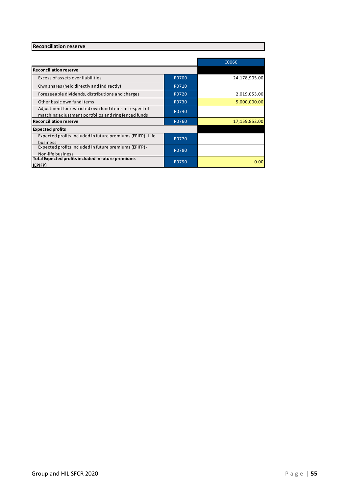# **Reconciliation reserve**

|                                                             |              | C0060         |
|-------------------------------------------------------------|--------------|---------------|
| <b>Reconciliation reserve</b>                               |              |               |
| Excess of assets over liabilities                           | <b>R0700</b> | 24,178,905.00 |
| Own shares (held directly and indirectly)                   | R0710        |               |
| Foreseeable dividends, distributions and charges            | R0720        | 2,019,053.00  |
| Other basic own fund items                                  | R0730        | 5,000,000.00  |
| Adjustment for restricted own fund items in respect of      | R0740        |               |
| matching adjustment portfolios and ring fenced funds        |              |               |
| <b>Reconciliation reserve</b>                               | R0760        | 17,159,852.00 |
| <b>Expected profits</b>                                     |              |               |
| Expected profits included in future premiums (EPIFP) - Life | R0770        |               |
| business                                                    |              |               |
| Expected profits included in future premiums (EPIFP) -      | R0780        |               |
| Non-life business                                           |              |               |
| Total Expected profits included in future premiums          | R0790        | 0.00          |
| (EPIFP)                                                     |              |               |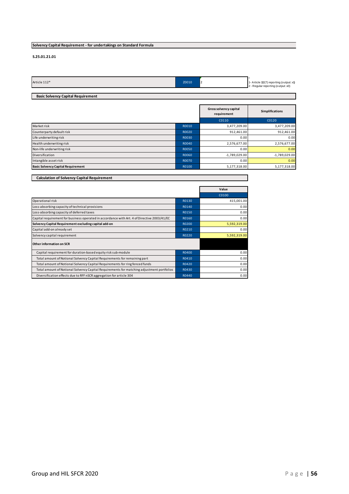# **Solvency Capital Requirement - for undertakings on Standard Formula**

#### **S.25.01.21.01**

| Article 112* | Z0010 | ▵ | 1- Article 112(7) reporting (output: x1)<br>2 - Regular reporting (output: x0) |
|--------------|-------|---|--------------------------------------------------------------------------------|
|              |       |   |                                                                                |

# **Basic Solvency Capital Requirement**

|                                           |       | Gross solvency capital<br>requirement | <b>Simplifications</b> |
|-------------------------------------------|-------|---------------------------------------|------------------------|
|                                           |       | C0110                                 | C0120                  |
| Market risk                               | R0010 | 3,477,209.00                          | 3,477,209.00           |
| Counterparty default risk                 | R0020 | 912,461.00                            | 912,461.00             |
| Life underwriting risk                    | R0030 | 0.00                                  | 0.00                   |
| Health underwriting risk                  | R0040 | 2,576,677.00                          | 2,576,677.00           |
| Non-life underwriting risk                | R0050 | 0.00                                  | 0.00                   |
| Diversification                           | R0060 | $-1,789,029.00$                       | $-1,789,029.00$        |
| Intangible asset risk                     | R0070 | 0.00                                  | 0.00                   |
| <b>Basic Solvency Capital Requirement</b> | R0100 | 5,177,318.00                          | 5,177,318.00           |

| <b>Calculation of Solvency Capital Requirement</b>                                          |       |              |
|---------------------------------------------------------------------------------------------|-------|--------------|
|                                                                                             |       |              |
|                                                                                             |       | Value        |
|                                                                                             |       | C0100        |
| Operational risk                                                                            | R0130 | 415,001.00   |
| Loss-absorbing capacity of technical provisions                                             | R0140 | 0.00         |
| Loss-absorbing capacity of deferred taxes                                                   | R0150 | 0.00         |
| Capital requirement for business operated in accordance with Art. 4 of Directive 2003/41/EC | R0160 | 0.00         |
| Solvency Capital Requirement excluding capital add-on                                       | R0200 | 5,592,319.00 |
| Capital add-on already set                                                                  | R0210 | 0.00         |
| Solvency capital requirement                                                                | R0220 | 5,592,319.00 |
| Other information on SCR                                                                    |       |              |
| Capital requirement for duration-based equity risk sub-module                               | R0400 | 0.00         |
| Total amount of Notional Solvency Capital Requirements for remaining part                   | R0410 | 0.00         |
| Total amount of Notional Solvency Capital Requirements for ring fenced funds                | R0420 | 0.00         |
| Total amount of Notional Solvency Capital Requirements for matching adjustment portfolios   | R0430 | 0.00         |
| Diversification effects due to RFF nSCR aggregation for article 304                         | R0440 | 0.00         |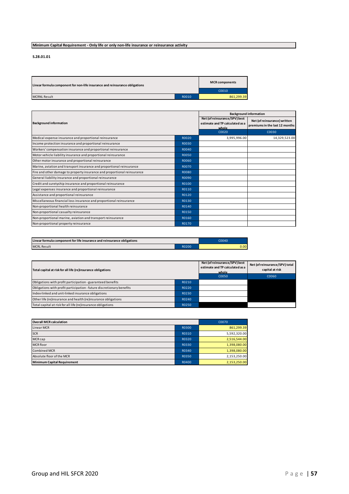# **Minimum Capital Requirement - Only life or only non-life insurance or reinsurance activity**

**S.28.01.01**

|       | <b>MCR</b> components |
|-------|-----------------------|
|       | C0010                 |
| R0010 | 861.299.39            |
|       |                       |

|                                                                          |       |                                                                           | <b>Background information</b>                                  |
|--------------------------------------------------------------------------|-------|---------------------------------------------------------------------------|----------------------------------------------------------------|
| <b>Background information</b>                                            |       | Net (of reinsurance/SPV) best<br>estimate and TP calculated as a<br>whole | Net (of reinsurance) written<br>premiums in the last 12 months |
|                                                                          |       | C0020                                                                     | C0030                                                          |
| Medical expense insurance and proportional reinsurance                   | R0020 | 3,995,996.00                                                              | 14,329,523.00                                                  |
| Income protection insurance and proportional reinsurance                 | R0030 |                                                                           |                                                                |
| Workers' compensation insurance and proportional reinsurance             | R0040 |                                                                           |                                                                |
| Motor vehicle liability insurance and proportional reinsurance           | R0050 |                                                                           |                                                                |
| Other motor insurance and proportional reinsurance                       | R0060 |                                                                           |                                                                |
| Marine, aviation and transport insurance and proportional reinsurance    | R0070 |                                                                           |                                                                |
| Fire and other damage to property insurance and proportional reinsurance | R0080 |                                                                           |                                                                |
| General liability insurance and proportional reinsurance                 | R0090 |                                                                           |                                                                |
| Credit and suretyship insurance and proportional reinsurance             | R0100 |                                                                           |                                                                |
| Legal expenses insurance and proportional reinsurance                    | R0110 |                                                                           |                                                                |
| Assistance and proportional reinsurance                                  | R0120 |                                                                           |                                                                |
| Miscellaneous financial loss insurance and proportional reinsurance      | R0130 |                                                                           |                                                                |
| Non-proportional health reinsurance                                      | R0140 |                                                                           |                                                                |
| Non-proportional casualty reinsurance                                    | R0150 |                                                                           |                                                                |
| Non-proportional marine, aviation and transport reinsurance              | R0160 |                                                                           |                                                                |
| Non-proportional property reinsurance                                    | R0170 |                                                                           |                                                                |

| Linear formula component for life insurance and reinsurance obligations |              | 0.0040 |
|-------------------------------------------------------------------------|--------------|--------|
| <b>MCRL Result</b>                                                      | <b>R0200</b> | 0.00   |

| Total capital at risk for all life (re)insurance obligations          |       | Net (of reinsurance/SPV) best<br>estimate and TP calculated as a<br>whole | Net (of reinsurance/SPV) total<br>capital at risk |
|-----------------------------------------------------------------------|-------|---------------------------------------------------------------------------|---------------------------------------------------|
|                                                                       |       | C0050                                                                     | C0060                                             |
| Obligations with profit participation - guaranteed benefits           | R0210 |                                                                           |                                                   |
| Obligations with profit participation - future discretionary benefits | R0220 |                                                                           |                                                   |
| Index-linked and unit-linked insurance obligations                    | R0230 |                                                                           |                                                   |
| Other life (re)insurance and health (re)insurance obligations         | R0240 |                                                                           |                                                   |
| Total capital at risk for all life (re)insurance obligations          | R0250 |                                                                           |                                                   |

| <b>Overall MCR calculation</b>     |       | C0070        |
|------------------------------------|-------|--------------|
| Linear MCR                         | R0300 | 861,299.39   |
| <b>SCR</b>                         | R0310 | 5,592,320.00 |
| MCR cap                            | R0320 | 2,516,544.00 |
| MCR floor                          | R0330 | 1,398,080.00 |
| <b>Combined MCR</b>                | R0340 | 1,398,080.00 |
| Absolute floor of the MCR          | R0350 | 2,153,250.00 |
| <b>Minimum Capital Requirement</b> | R0400 | 2,153,250.00 |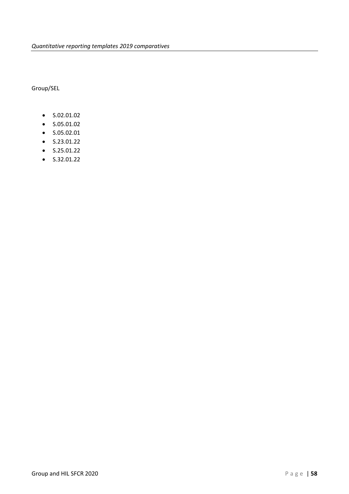Group/SEL

- S.02.01.02
- S.05.01.02
- S.05.02.01
- S.23.01.22
- S.25.01.22
- $\bullet$  S.32.01.22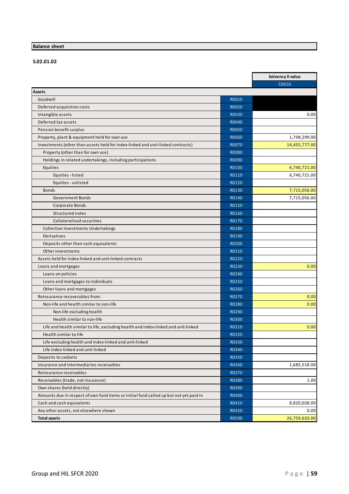# **Balance sheet**

**S.02.01.02**

|                                                                                        |              | Solvency II value |
|----------------------------------------------------------------------------------------|--------------|-------------------|
|                                                                                        |              | C0010             |
| <b>Assets</b>                                                                          |              |                   |
| Goodwill                                                                               | R0010        |                   |
| Deferred acquisition costs                                                             | R0020        |                   |
| Intangible assets                                                                      | <b>RO030</b> | 0.00              |
| Deferred tax assets                                                                    | R0040        |                   |
| Pension benefit surplus                                                                | <b>R0050</b> |                   |
| Property, plant & equipment held for own use                                           | <b>R0060</b> | 1,798,299.00      |
| Investments (other than assets held for index-linked and unit-linked contracts)        | <b>R0070</b> | 14,455,777.00     |
| Property (other than for own use)                                                      | <b>RO080</b> |                   |
| Holdings in related undertakings, including participations                             | R0090        |                   |
| Equities                                                                               | R0100        | 6,740,721.00      |
| Equities - listed                                                                      | R0110        | 6,740,721.00      |
| Equities - unlisted                                                                    | R0120        |                   |
| <b>Bonds</b>                                                                           | R0130        | 7,715,056.00      |
| <b>Government Bonds</b>                                                                | R0140        | 7,715,056.00      |
| Corporate Bonds                                                                        | R0150        |                   |
| Structured notes                                                                       | R0160        |                   |
| <b>Collateralised securities</b>                                                       | R0170        |                   |
| Collective Investments Undertakings                                                    | R0180        |                   |
| Derivatives                                                                            | R0190        |                   |
| Deposits other than cash equivalents                                                   | R0200        |                   |
| Other investments                                                                      | R0210        |                   |
| Assets held for index-linked and unit-linked contracts                                 | R0220        |                   |
| Loans and mortgages                                                                    | R0230        | 0.00              |
| Loans on policies                                                                      | R0240        |                   |
| Loans and mortgages to individuals                                                     | R0250        |                   |
| Other loans and mortgages                                                              | R0260        |                   |
| Reinsurance recoverables from:                                                         | R0270        | 0.00              |
| Non-life and health similar to non-life                                                | R0280        | 0.00              |
| Non-life excluding health                                                              | R0290        |                   |
| Health similar to non-life                                                             | R0300        |                   |
| Life and health similar to life, excluding health and index-linked and unit-linked     | R0310        | 0.00              |
| Health similar to life                                                                 | R0320        |                   |
| Life excluding health and index-linked and unit-linked                                 | R0330        |                   |
| Life index-linked and unit-linked                                                      | R0340        |                   |
| Deposits to cedants                                                                    | R0350        |                   |
| Insurance and intermediaries receivables                                               | R0360        | 1,685,518.00      |
| Reinsurance receivables                                                                |              |                   |
|                                                                                        | R0370        |                   |
| Receivables (trade, not insurance)                                                     | R0380        | 1.00              |
| Own shares (held directly)                                                             | R0390        |                   |
| Amounts due in respect of own fund items or initial fund called up but not yet paid in | R0400        |                   |
| Cash and cash equivalents                                                              | R0410        | 8,820,038.00      |
| Any other assets, not elsewhere shown                                                  | R0420        | 0.00              |
| <b>Total assets</b>                                                                    | R0500        | 26,759,633.00     |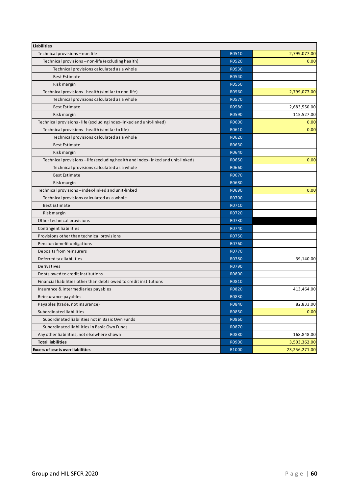| <b>Liabilities</b>                                                              |              |               |
|---------------------------------------------------------------------------------|--------------|---------------|
| Technical provisions - non-life                                                 | R0510        | 2,799,077.00  |
| Technical provisions - non-life (excluding health)                              | R0520        | 0.00          |
| Technical provisions calculated as a whole                                      | R0530        |               |
| <b>Best Estimate</b>                                                            | R0540        |               |
| Risk margin                                                                     | R0550        |               |
| Technical provisions - health (similar to non-life)                             | R0560        | 2,799,077.00  |
| Technical provisions calculated as a whole                                      | R0570        |               |
| <b>Best Estimate</b>                                                            | R0580        | 2,683,550.00  |
| Risk margin                                                                     | R0590        | 115,527.00    |
| Technical provisions - life (excluding index-linked and unit-linked)            | R0600        | 0.00          |
| Technical provisions - health (similar to life)                                 | R0610        | 0.00          |
| Technical provisions calculated as a whole                                      | R0620        |               |
| <b>Best Estimate</b>                                                            | R0630        |               |
| Risk margin                                                                     | R0640        |               |
| Technical provisions - life (excluding health and index-linked and unit-linked) | R0650        | 0.00          |
| Technical provisions calculated as a whole                                      | R0660        |               |
| <b>Best Estimate</b>                                                            | R0670        |               |
| Risk margin                                                                     | R0680        |               |
| Technical provisions - index-linked and unit-linked                             | R0690        | 0.00          |
| Technical provisions calculated as a whole                                      | R0700        |               |
| <b>Best Estimate</b>                                                            | R0710        |               |
| Risk margin                                                                     | R0720        |               |
| Other technical provisions                                                      | R0730        |               |
| Contingent liabilities                                                          | R0740        |               |
| Provisions other than technical provisions                                      | R0750        |               |
| Pension benefit obligations                                                     | R0760        |               |
| Deposits from reinsurers                                                        | R0770        |               |
| Deferred tax liabilities                                                        | R0780        | 39,140.00     |
| Derivatives                                                                     | R0790        |               |
| Debts owed to credit institutions                                               | <b>R0800</b> |               |
| Financial liabilities other than debts owed to credit institutions              | R0810        |               |
| Insurance & intermediaries payables                                             | R0820        | 413,464.00    |
| Reinsurance payables                                                            | R0830        |               |
| Payables (trade, not insurance)                                                 | R0840        | 82,833.00     |
| Subordinated liabilities                                                        | R0850        | 0.00          |
| Subordinated liabilities not in Basic Own Funds                                 | R0860        |               |
| Subordinated liabilities in Basic Own Funds                                     | R0870        |               |
| Any other liabilities, not elsewhere shown                                      | R0880        | 168,848.00    |
| <b>Total liabilities</b>                                                        | R0900        | 3,503,362.00  |
| <b>Excess of assets over liabilities</b>                                        | R1000        | 23,256,271.00 |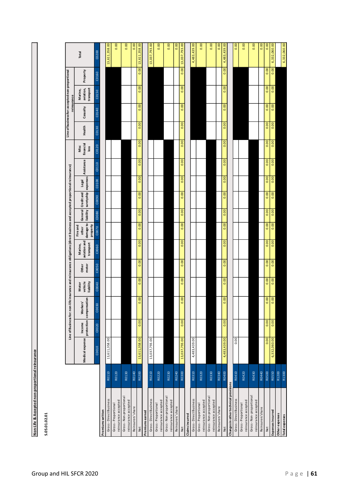| Accepted non-proportional re<br>Life & A<br>ś | <b>P. 119.0115</b> |
|-----------------------------------------------|--------------------|
|                                               |                    |
|                                               |                    |
|                                               |                    |

**S.05.01.02.01**

|                                                |       |                 |        | Line of Business for: non-life insurance and reinsurance obligations (direct business and accepted proportional reinsurance) |                               |                |                                      |                                |                    |                               |       |            |                           |        | Line of business for: accepted non-proportional<br>reinsurance |                                   |          |               |
|------------------------------------------------|-------|-----------------|--------|------------------------------------------------------------------------------------------------------------------------------|-------------------------------|----------------|--------------------------------------|--------------------------------|--------------------|-------------------------------|-------|------------|---------------------------|--------|----------------------------------------------------------------|-----------------------------------|----------|---------------|
|                                                |       | Medical expense | Income | protection compensation<br><b>Workers</b>                                                                                    | vehicle<br>liability<br>Motor | motor<br>Other | aviation and<br>transport<br>Marine, | damage to<br>Fire and<br>other | General Credit and | liability suretyship expenses | Legal | Assistance | financial<br>Misc<br>loss | Health | Casualty                                                       | transport<br>aviation,<br>Marine, | Property | Total         |
|                                                |       | C0010           | C0020  | C0030                                                                                                                        | C0040                         | C0050          | C0060                                | property<br>C0070              | C0080              | C0090                         | C0100 | C0110      | C0120                     | C0130  | C0140                                                          | C0150                             | C0160    | C0200         |
| Premiumswritten                                |       |                 |        |                                                                                                                              |                               |                |                                      |                                |                    |                               |       |            |                           |        |                                                                |                                   |          |               |
| Gross - Direct Business                        | R0110 | 13,611,358.00   |        |                                                                                                                              |                               |                |                                      |                                |                    |                               |       |            |                           |        |                                                                |                                   |          | 13,611,358.00 |
| reinsurance accepted<br>Gross-Proportional     | R0120 |                 |        |                                                                                                                              |                               |                |                                      |                                |                    |                               |       |            |                           |        |                                                                |                                   |          | 0.00          |
| Gross-Non-proportional<br>reinsurance accepted | R0130 |                 |        |                                                                                                                              |                               |                |                                      |                                |                    |                               |       |            |                           |        |                                                                |                                   |          | 0.00          |
| Reinsurers' share                              | R0140 |                 |        |                                                                                                                              |                               |                |                                      |                                |                    |                               |       |            |                           |        |                                                                |                                   |          | 0.00          |
| Net                                            | R0200 | 13,611,358.00   | 0.00   | $\overline{6}$<br>c                                                                                                          | 0.00                          | 0.00           | 0.00                                 | 0.00                           | 0.00               | 0.00                          | 0.00  | 0.00       | 0.00                      | 0.00   | 0.00                                                           | 0.00                              | 0.00     | 13,611,358.00 |
| Premiumsearned                                 |       |                 |        |                                                                                                                              |                               |                |                                      |                                |                    |                               |       |            |                           |        |                                                                |                                   |          |               |
| Gross - Direct Business                        | R0210 | 13,037,793.00   |        |                                                                                                                              |                               |                |                                      |                                |                    |                               |       |            |                           |        |                                                                |                                   |          | 13,037,793.00 |
| reinsurance accepted<br>Gross-Proportional     | R0220 |                 |        |                                                                                                                              |                               |                |                                      |                                |                    |                               |       |            |                           |        |                                                                |                                   |          | 0.00          |
| Gross-Non-proportional<br>reinsurance accepted | R0230 |                 |        |                                                                                                                              |                               |                |                                      |                                |                    |                               |       |            |                           |        |                                                                |                                   |          | 0.00          |
| Reinsurers' share                              | R0240 |                 |        |                                                                                                                              |                               |                |                                      |                                |                    |                               |       |            |                           |        |                                                                |                                   |          | 0.00          |
| Net                                            | R0300 | 13,037,793.00   | 0.00   | $\mathbf{S}$<br>ø                                                                                                            | 0.00                          | 0.00           | 0.00                                 | 0.00                           | 0.00               | 0.00                          | 0.00  | 0.00       | 0.00                      | 0.00   | 0.00                                                           | 0.00                              | 0.00     | 13,037,793.00 |
| <b>Claims incurred</b>                         |       |                 |        |                                                                                                                              |                               |                |                                      |                                |                    |                               |       |            |                           |        |                                                                |                                   |          |               |
| Gross-Direct Business                          | R0310 | 4,483,439.00    |        |                                                                                                                              |                               |                |                                      |                                |                    |                               |       |            |                           |        |                                                                |                                   |          | 4,483,439.00  |
| reinsurance accepted<br>Gross-Proportional     | R0320 |                 |        |                                                                                                                              |                               |                |                                      |                                |                    |                               |       |            |                           |        |                                                                |                                   |          | 0.00          |
| Gross-Non-proportional                         | R0330 |                 |        |                                                                                                                              |                               |                |                                      |                                |                    |                               |       |            |                           |        |                                                                |                                   |          | 0.00          |
| reinsurance accepted                           |       |                 |        |                                                                                                                              |                               |                |                                      |                                |                    |                               |       |            |                           |        |                                                                |                                   |          |               |
| Reinsurers' share                              | R0340 |                 |        |                                                                                                                              |                               |                |                                      |                                |                    |                               |       |            |                           |        |                                                                |                                   |          | 0.00          |
| Changes in other technical provisions<br>Net   | R0400 | 4,483,439.00    | 0.00   | $\overline{8}$<br>$\mathbf{c}$                                                                                               | 0.00                          | 0.00           | 0.00                                 | 0.00                           | 0.00               | 0.00                          | 0.00  | 0.00       | 0.00                      | 0.00   | 0.00                                                           | 0.00                              | 0.00     | 4,483,439.00  |
|                                                | R0410 | 0.00            |        |                                                                                                                              |                               |                |                                      |                                |                    |                               |       |            |                           |        |                                                                |                                   |          |               |
| Gross - Direct Business                        |       |                 |        |                                                                                                                              |                               |                |                                      |                                |                    |                               |       |            |                           |        |                                                                |                                   |          | 0.00          |
| reinsurance accepted<br>Gross-Proportional     | R0420 |                 |        |                                                                                                                              |                               |                |                                      |                                |                    |                               |       |            |                           |        |                                                                |                                   |          | 0.00          |
| Gross-Non-proportional<br>reinsurance accepted | R0430 |                 |        |                                                                                                                              |                               |                |                                      |                                |                    |                               |       |            |                           |        |                                                                |                                   |          | 0.00          |
| Reinsurers'share                               | R0440 |                 |        |                                                                                                                              |                               |                |                                      |                                |                    |                               |       |            |                           |        |                                                                |                                   |          | 0.00          |
| Net                                            | R0500 | 0.00            | 0.00   | 0.00                                                                                                                         | 0.00                          | 0.00           | 0.00                                 | 0.00                           | 0.00               | 0.00                          | 0.00  | 0.00       | 0.00                      | 0.00   | 0.00                                                           | 0.00                              | 0.00     | 0.00          |
| <b>Expenses incurred</b>                       | R0550 | 6,332,060.00    | 0.00   | 0.00                                                                                                                         | 0.00                          | 0.00           | 0.00                                 | 0.00                           | 0.00               | 0.00                          | 0.00  | 0.00       | 0.00                      | 0.00   | 0.00                                                           | 0.00                              | 0.00     | 6,332,060.00  |
| Other expenses                                 | R1200 |                 |        |                                                                                                                              |                               |                |                                      |                                |                    |                               |       |            |                           |        |                                                                |                                   |          |               |
| Total expenses                                 | R1300 |                 |        |                                                                                                                              |                               |                |                                      |                                |                    |                               |       |            |                           |        |                                                                |                                   |          | 6,332,060.00  |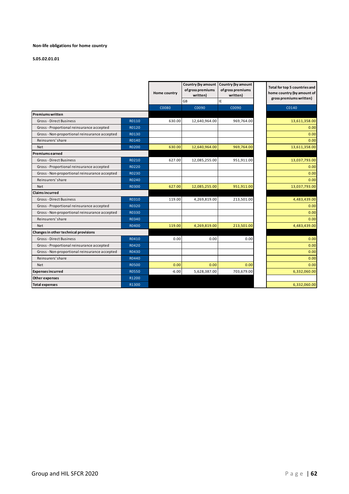#### **Non-life obligations for home country**

|                                               |              | Home country | of gross premiums<br>written) | Country (by amount Country (by amount<br>of gross premiums<br>written) | Total for top 5 countries and<br>home country (by amount of<br>gross premiums written) |
|-----------------------------------------------|--------------|--------------|-------------------------------|------------------------------------------------------------------------|----------------------------------------------------------------------------------------|
|                                               |              |              | GB                            | IE                                                                     |                                                                                        |
|                                               |              | C0080        | C0090                         | C0090                                                                  | C0140                                                                                  |
| <b>Premiums written</b>                       |              |              |                               |                                                                        |                                                                                        |
| Gross-Direct Business                         | R0110        | 630.00       | 12,640,964.00                 | 969,764.00                                                             | 13,611,358.00                                                                          |
| Gross - Proportional reinsurance accepted     | R0120        |              |                               |                                                                        | 0.00                                                                                   |
| Gross - Non-proportional reinsurance accepted | R0130        |              |                               |                                                                        | 0.00                                                                                   |
| Reinsurers' share                             | R0140        |              |                               |                                                                        | 0.00                                                                                   |
| <b>Net</b>                                    | R0200        | 630.00       | 12,640,964.00                 | 969,764.00                                                             | 13,611,358.00                                                                          |
| <b>Premiums earned</b>                        |              |              |                               |                                                                        |                                                                                        |
| <b>Gross-Direct Business</b>                  | R0210        | 627.00       | 12,085,255.00                 | 951,911.00                                                             | 13,037,793.00                                                                          |
| Gross-Proportional reinsurance accepted       | R0220        |              |                               |                                                                        | 0.00                                                                                   |
| Gross-Non-proportional reinsurance accepted   | R0230        |              |                               |                                                                        | 0.00                                                                                   |
| Reinsurers' share                             | R0240        |              |                               |                                                                        | 0.00                                                                                   |
| <b>Net</b>                                    | R0300        | 627.00       | 12,085,255.00                 | 951,911.00                                                             | 13,037,793.00                                                                          |
| <b>Claims incurred</b>                        |              |              |                               |                                                                        |                                                                                        |
| Gross-Direct Business                         | R0310        | 119.00       | 4,269,819.00                  | 213,501.00                                                             | 4,483,439.00                                                                           |
| Gross - Proportional reinsurance accepted     | R0320        |              |                               |                                                                        | 0.00                                                                                   |
| Gross - Non-proportional reinsurance accepted | R0330        |              |                               |                                                                        | 0.00                                                                                   |
| Reinsurers' share                             | R0340        |              |                               |                                                                        | 0.00                                                                                   |
| <b>Net</b>                                    | R0400        | 119.00       | 4,269,819.00                  | 213,501.00                                                             | 4,483,439.00                                                                           |
| Changes in other technical provisions         |              |              |                               |                                                                        |                                                                                        |
| Gross - Direct Business                       | R0410        | 0.00         | 0.00                          | 0.00                                                                   | 0.00                                                                                   |
| Gross-Proportional reinsurance accepted       | R0420        |              |                               |                                                                        | 0.00                                                                                   |
| Gross-Non-proportional reinsurance accepted   | R0430        |              |                               |                                                                        | 0.00                                                                                   |
| Reinsurers' share                             | R0440        |              |                               |                                                                        | 0.00                                                                                   |
| <b>Net</b>                                    | <b>R0500</b> | 0.00         | 0.00                          | 0.00                                                                   | 0.00                                                                                   |
| <b>Expenses incurred</b>                      | R0550        | $-6.00$      | 5,628,387.00                  | 703,679.00                                                             | 6,332,060.00                                                                           |
| Other expenses                                | R1200        |              |                               |                                                                        |                                                                                        |
| <b>Total expenses</b>                         | R1300        |              |                               |                                                                        | 6,332,060.00                                                                           |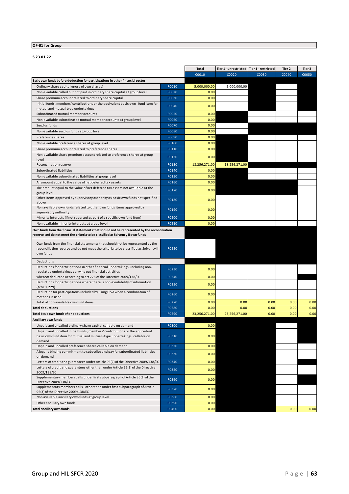# **OF-B1 for Group**

**S.23.01.22**

|                                                                                                       |              | <b>Total</b>  | Tier 1 - unrestricted   Tier 1 - restricted |       | Tier 2 | Tier 3 |
|-------------------------------------------------------------------------------------------------------|--------------|---------------|---------------------------------------------|-------|--------|--------|
|                                                                                                       |              | C0010         | C0020                                       | C0030 | C0040  | C0050  |
| Basic own funds before deduction for participations in other financial sector                         |              |               |                                             |       |        |        |
| Ordinary share capital (gross of own shares)                                                          | R0010        | 5,000,000.00  | 5,000,000.00                                |       |        |        |
| Non-available called but not paid in ordinary share capital at group level                            | R0020        | 0.00          |                                             |       |        |        |
| Share premium account related to ordinary share capital                                               | R0030        | 0.00          |                                             |       |        |        |
| Initial funds, members' contributions or the equivalent basic own - fund item for                     | R0040        | 0.00          |                                             |       |        |        |
| mutual and mutual-type undertakings                                                                   |              |               |                                             |       |        |        |
| Subordinated mutual member accounts                                                                   | <b>R0050</b> | 0.00          |                                             |       |        |        |
| Non-available subordinated mutual member accounts at group level                                      | R0060        | 0.00          |                                             |       |        |        |
| Surplus funds                                                                                         | R0070        | 0.00          |                                             |       |        |        |
| Non-available surplus funds at group level                                                            | <b>RO080</b> | 0.00          |                                             |       |        |        |
| Preference shares                                                                                     | R0090        | 0.00          |                                             |       |        |        |
| Non-available preference shares at group level                                                        | R0100        | 0.00          |                                             |       |        |        |
| Share premium account related to preference shares                                                    | R0110        | 0.00          |                                             |       |        |        |
| Non-available share premium account related to preference shares at group<br>level                    | R0120        | 0.00          |                                             |       |        |        |
| Reconciliation reserve                                                                                | R0130        | 18,256,271.00 | 18,256,271.00                               |       |        |        |
| Subordinated liabilities                                                                              | R0140        | 0.00          |                                             |       |        |        |
| Non-available subordinated liabilities at group level                                                 | R0150        | 0.00          |                                             |       |        |        |
| An amount equal to the value of net deferred tax assets                                               | R0160        | 0.00          |                                             |       |        |        |
| The amount equal to the value of net deferred tax assets not available at the                         | R0170        | 0.00          |                                             |       |        |        |
| group level                                                                                           |              |               |                                             |       |        |        |
| Other items approved by supervisory authority as basic own funds not specified                        | R0180        | 0.00          |                                             |       |        |        |
| above<br>Non available own funds related to other own funds items approved by                         |              |               |                                             |       |        |        |
| supervisory authority                                                                                 | R0190        | 0.00          |                                             |       |        |        |
| Minority interests (if not reported as part of a specific own fund item)                              | R0200        | 0.00          |                                             |       |        |        |
| Non-available minority interests at group level                                                       | R0210        | 0.00          |                                             |       |        |        |
| Own funds from the financial statements that should not be represented by the reconciliation          |              |               |                                             |       |        |        |
| reserve and do not meet the criteria to be classified as Solvency II own funds                        |              |               |                                             |       |        |        |
| Own funds from the financial statements that should not be represented by the                         |              |               |                                             |       |        |        |
| reconciliation reserve and do not meet the criteria to be classified as Solvency II                   | R0220        |               |                                             |       |        |        |
| own funds                                                                                             |              |               |                                             |       |        |        |
| Deductions                                                                                            |              |               |                                             |       |        |        |
| Deductions for participations in other financial undertakings, including non-                         |              |               |                                             |       |        |        |
| regulated undertakings carrying out financial activities                                              | R0230        | 0.00          |                                             |       |        |        |
| whereof deducted according to art 228 of the Directive 2009/138/EC                                    | R0240        | 0.00          |                                             |       |        |        |
| Deductions for participations where there is non-availability of information                          | R0250        | 0.00          |                                             |       |        |        |
| (Article 229)<br>Deduction for participations included by using D&A when a combination of             |              |               |                                             |       |        |        |
| methods is used                                                                                       | R0260        | 0.00          |                                             |       |        |        |
| Total of non-available own fund items                                                                 | R0270        | 0.00          | 0.00                                        | 0.00  | 0.00   | 0.00   |
| <b>Total deductions</b>                                                                               | R0280        | 0.00          | 0.00                                        | 0.00  | 0.00   | 0.00   |
| <b>Total basic own funds after deductions</b>                                                         | R0290        | 23,256,271.00 | 23,256,271.00                               | 0.00  | 0.00   | 0.00   |
| Ancillary own funds                                                                                   |              |               |                                             |       |        |        |
| Unpaid and uncalled ordinary share capital callable on demand                                         | R0300        | 0.00          |                                             |       |        |        |
| Unpaid and uncalled initial funds, members' contributions or the equivalent                           |              |               |                                             |       |        |        |
| basic own fund item for mutual and mutual - type undertakings, callable on                            | R0310        | 0.00          |                                             |       |        |        |
| demand                                                                                                |              |               |                                             |       |        |        |
| Unpaid and uncalled preference shares callable on demand                                              | R0320        | 0.00          |                                             |       |        |        |
| A legally binding commitment to subscribe and pay for subordinated liabilities<br>on demand           | R0330        | 0.00          |                                             |       |        |        |
| Letters of credit and guarantees under Article 96(2) of the Directive 2009/138/EC                     | R0340        | 0.00          |                                             |       |        |        |
| Letters of credit and guarantees other than under Article 96(2) of the Directive                      |              |               |                                             |       |        |        |
| 2009/138/EC                                                                                           | R0350        | 0.00          |                                             |       |        |        |
| Supplementary members calls under first subparagraph of Article 96(3) of the                          | R0360        | 0.00          |                                             |       |        |        |
| Directive 2009/138/EC<br>Supplementary members calls - other than under first subparagraph of Article |              |               |                                             |       |        |        |
| 96(3) of the Directive 2009/138/EC                                                                    | R0370        | 0.00          |                                             |       |        |        |
| Non available ancillary own funds at group level                                                      | R0380        | 0.00          |                                             |       |        |        |
| Other ancillary own funds                                                                             | R0390        | 0.00          |                                             |       |        |        |
| Total ancillary own funds                                                                             | R0400        | 0.00          |                                             |       | 0.00   | 0.00   |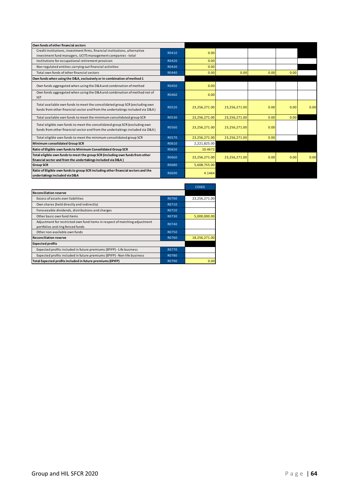| Own funds of other financial sectors                                                                                                                         |       |               |               |      |      |      |
|--------------------------------------------------------------------------------------------------------------------------------------------------------------|-------|---------------|---------------|------|------|------|
| Credit institutions, investment firms, financial institutions, alternative<br>investment fund managers, UCITS management companies - total                   | R0410 | 0.00          |               |      |      |      |
| Institutions for occupational retirement provision                                                                                                           | R0420 | 0.00          |               |      |      |      |
| Non regulated entities carrying out financial activities                                                                                                     | R0430 | 0.00          |               |      |      |      |
| Total own funds of other financial sectors                                                                                                                   | R0440 | 0.00          | 0.00          | 0.00 | 0.00 |      |
| Own funds when using the D&A, exclusively or in combination of method 1                                                                                      |       |               |               |      |      |      |
| Own funds aggregated when using the D&A and combination of method                                                                                            | R0450 | 0.00          |               |      |      |      |
| Own funds aggregated when using the D&A and combination of method net of<br><b>IGT</b>                                                                       | R0460 | 0.00          |               |      |      |      |
| Total available own funds to meet the consolidated group SCR (excluding own<br>funds from other financial sector and from the undertakings included via D&A) | R0520 | 23,256,271.00 | 23,256,271.00 | 0.00 | 0.00 | 0.00 |
| Total available own funds to meet the minimum consolidated group SCR                                                                                         | R0530 | 23,256,271.00 | 23,256,271.00 | 0.00 | 0.00 |      |
| Total eligible own funds to meet the consolidated group SCR (excluding own<br>funds from other financial sector and from the undertakings included via D&A)  | R0560 | 23,256,271.00 | 23,256,271.00 | 0.00 |      |      |
| Total eligible own funds to meet the minimum consolidated group SCR                                                                                          | R0570 | 23,256,271.00 | 23,256,271.00 | 0.00 |      |      |
| Minimum consolidated Group SCR                                                                                                                               | R0610 | 2,221,825.00  |               |      |      |      |
| Ratio of Eligible own funds to Minimum Consolidated Group SCR                                                                                                | R0650 | 10.4672       |               |      |      |      |
| Total eligible own funds to meet the group SCR (including own funds from other<br>financial sector and from the undertakings included via D&A)               | R0660 | 23,256,271.00 | 23,256,271.00 | 0.00 | 0.00 | 0.00 |
| <b>Group SCR</b>                                                                                                                                             | R0680 | 5,608,755.00  |               |      |      |      |
| Ratio of Eligible own funds to group SCR including other financial sectors and the<br>undertakings included via D&A                                          | R0690 | 4.1464        |               |      |      |      |

|                                                                                                                |              | C0060         |
|----------------------------------------------------------------------------------------------------------------|--------------|---------------|
| <b>Reconciliation reserve</b>                                                                                  |              |               |
| Excess of assets over liabilities                                                                              | <b>R0700</b> | 23,256,271.00 |
| Own shares (held directly and indirectly)                                                                      | R0710        |               |
| Foreseeable dividends, distributions and charges                                                               | R0720        |               |
| Other basic own fund items                                                                                     | R0730        | 5,000,000.00  |
| Adjustment for restricted own fund items in respect of matching adjustment<br>portfolios and ring fenced funds | R0740        |               |
| Other non available own funds                                                                                  | R0750        |               |
| <b>Reconciliation reserve</b>                                                                                  | R0760        | 18,256,271.00 |
| <b>Expected profits</b>                                                                                        |              |               |
| Expected profits included in future premiums (EPIFP) - Life business                                           | R0770        |               |
| Expected profits included in future premiums (EPIFP) - Non-life business                                       | R0780        |               |
| Total Expected profits included in future premiums (EPIFP)                                                     | R0790        | 0.00          |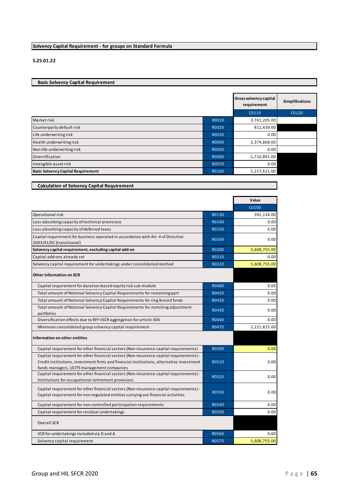# **Solvency Capital Requirement - for groups on Standard Formula**

#### **S.25.01.22**

# **Basic Solvency Capital Requirement**

|                                           |              | <b>Gross solvency capital</b><br>requirement | <b>Simplifications</b> |
|-------------------------------------------|--------------|----------------------------------------------|------------------------|
|                                           |              | C0110                                        | C0120                  |
| Market risk                               | R0010        | 3,741,205.00                                 |                        |
| Counterparty default risk                 | R0020        | 812,439.00                                   |                        |
| Life underwriting risk                    | R0030        | 0.00                                         |                        |
| Health underwriting risk                  | R0040        | 2,374,868.00                                 |                        |
| Non-life underwriting risk                | <b>RO050</b> | 0.00                                         |                        |
| Diversification                           | R0060        | $-1,710,891.00$                              |                        |
| Intangible asset risk                     | R0070        | 0.00                                         |                        |
| <b>Basic Solvency Capital Requirement</b> | R0100        | 5,217,621.00                                 |                        |

| <b>Calculation of Solvency Capital Requirement</b> |  |  |
|----------------------------------------------------|--|--|
|----------------------------------------------------|--|--|

|                                                                                                                                                                                                                                  |              | Value        |
|----------------------------------------------------------------------------------------------------------------------------------------------------------------------------------------------------------------------------------|--------------|--------------|
|                                                                                                                                                                                                                                  |              | C0100        |
| Operational risk                                                                                                                                                                                                                 | R0130        | 391,134.00   |
| Loss-absorbing capacity of technical provisions                                                                                                                                                                                  | R0140        | 0.00         |
| Loss-absorbing capacity of deferred taxes                                                                                                                                                                                        | R0150        | 0.00         |
| Capital requirement for business operated in accordance with Art. 4 of Directive<br>2003/41/EC (transitional)                                                                                                                    | R0160        | 0.00         |
| Solvency capital requirement, excluding capital add-on                                                                                                                                                                           | R0200        | 5,608,755.00 |
| Capital add-ons already set                                                                                                                                                                                                      | R0210        | 0.00         |
| Solvency capital requirement for undertakings under consolidated method                                                                                                                                                          | R0220        | 5,608,755.00 |
| <b>Other information on SCR</b>                                                                                                                                                                                                  |              |              |
| Capital requirement for duration-based equity risk sub-module                                                                                                                                                                    | R0400        | 0.00         |
| Total amount of Notional Solvency Capital Requirements for remaining part                                                                                                                                                        | R0410        | 0.00         |
| Total amount of Notional Solvency Capital Requirements for ring fenced funds                                                                                                                                                     | R0420        | 0.00         |
| Total amount of Notional Solvency Capital Requirements for matching adjustment<br>portfolios                                                                                                                                     | R0430        | 0.00         |
| Diversification effects due to RFF nSCR aggregation for article 304                                                                                                                                                              | R0440        | 0.00         |
| Minimum consolidated group solvency capital requirement                                                                                                                                                                          | R0470        | 2,221,825.00 |
| Information on other entities                                                                                                                                                                                                    |              |              |
| Capital requirement for other financial sectors (Non-insurance capital requirements)                                                                                                                                             | <b>R0500</b> | 0.00         |
| Capital requirement for other financial sectors (Non-insurance capital requirements) -<br>Credit institutions, investment firms and financial institutions, alternative investment<br>funds managers, UCITS management companies | R0510        | 0.00         |
| Capital requirement for other financial sectors (Non-insurance capital requirements) -<br>Institutions for occupational retirement provisions                                                                                    | R0520        | 0.00         |
| Capital requirement for other financial sectors (Non-insurance capital requirements) -<br>Capital requirement for non-regulated entities carrying out financial activities                                                       | R0530        | 0.00         |
| Capital requirement for non-controlled participation requirements                                                                                                                                                                | R0540        | 0.00         |
| Capital requirement for residual undertakings                                                                                                                                                                                    | <b>R0550</b> | 0.00         |
| <b>Overall SCR</b>                                                                                                                                                                                                               |              |              |
| SCR for undertakings included via D and A                                                                                                                                                                                        | R0560        | 0.00         |
| Solvency capital requirement                                                                                                                                                                                                     | R0570        | 5,608,755.00 |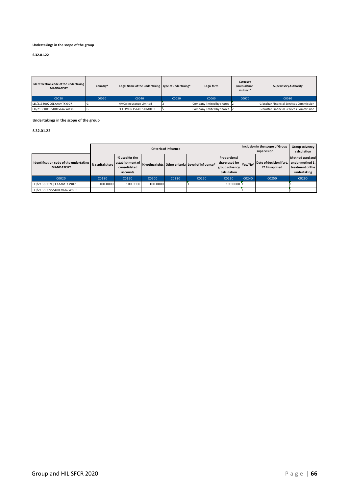#### **Undertakings in the scope of the group**

#### **S.32.01.22**

| Identification code of the undertaking<br><b>MANDATORY</b> | Country* | Legal Name of the undertaking Type of undertaking* |       | Legal form                | Category<br>(mutual/non<br>mutual)* | <b>Supervisory Authority</b>            |
|------------------------------------------------------------|----------|----------------------------------------------------|-------|---------------------------|-------------------------------------|-----------------------------------------|
| C0020                                                      | C0010    | C0040                                              | C0050 | C0060                     | C0070                               | C0080                                   |
| LEI/2138002QELXAAMTKY907                                   |          | <b>HMCA Insurance Limited</b>                      |       | Company limited by shares |                                     | Gibraltar Financial Services Commission |
| LEI/213800955DRCV6A2W836                                   |          | <b>SOLOMON ESTATES LIMITED</b>                     |       | Company limited by shares |                                     | Gibraltar Financial Services Commission |

#### **Undertakings in the scope of the group**

#### **S.32.01.22**

|                                                            |                 | <b>Criteria of influence</b>                                   |          |       |                                                    |                                                                 |         | Inclusion in the scope of Group<br>supervision | Group solvency<br>calculation                                         |
|------------------------------------------------------------|-----------------|----------------------------------------------------------------|----------|-------|----------------------------------------------------|-----------------------------------------------------------------|---------|------------------------------------------------|-----------------------------------------------------------------------|
| Identification code of the undertaking<br><b>MANDATORY</b> | % capital share | % used for the<br>establishment of<br>consolidated<br>accounts |          |       | % voting rights Other criteria Level of influence* | Proportional<br>share used for<br>group solvency<br>calculation | Yes/No* | Date of decision if art.<br>214 is applied     | Method used and<br>under method 1,<br>treatment of the<br>undertaking |
| C0020                                                      | C0180           | C0190                                                          | C0200    | C0210 | C0220                                              | C0230                                                           | C0240   | C0250                                          | C0260                                                                 |
| LEI/2138002QELXAAMTKY907                                   | 100.0000        | 100.0000                                                       | 100.0000 |       |                                                    | 100.0000 1                                                      |         |                                                |                                                                       |
| LEI/213800955DRCV6A2W836                                   |                 |                                                                |          |       |                                                    |                                                                 |         |                                                |                                                                       |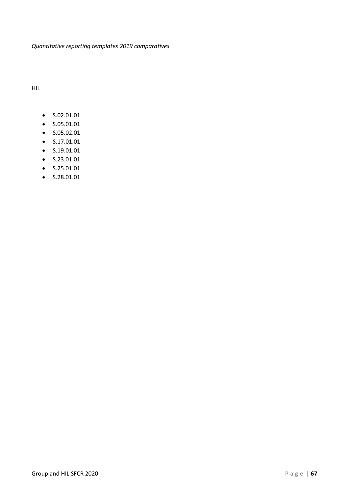HIL

- S.02.01.01
- S.05.01.01
- S.05.02.01
- S.17.01.01
- S.19.01.01
- S.23.01.01
- S.25.01.01
- S.28.01.01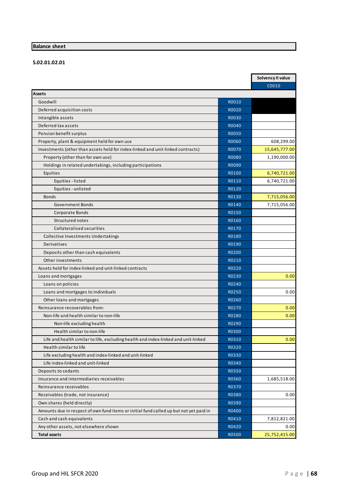# **Balance sheet**

# **S.02.01.02.01**

|                                                                                        |              | Solvency II value |
|----------------------------------------------------------------------------------------|--------------|-------------------|
|                                                                                        |              | C0010             |
| <b>Assets</b>                                                                          |              |                   |
| Goodwill                                                                               | R0010        |                   |
| Deferred acquisition costs                                                             | R0020        |                   |
| Intangible assets                                                                      | R0030        |                   |
| Deferred tax assets                                                                    | R0040        |                   |
| Pension benefit surplus                                                                | <b>R0050</b> |                   |
| Property, plant & equipment held for own use                                           | R0060        | 608,299.00        |
| Investments (other than assets held for index-linked and unit-linked contracts)        | <b>R0070</b> | 15,645,777.00     |
| Property (other than for own use)                                                      | R0080        | 1,190,000.00      |
| Holdings in related undertakings, including participations                             | R0090        |                   |
| Equities                                                                               | R0100        | 6,740,721.00      |
| Equities - listed                                                                      | R0110        | 6,740,721.00      |
| Equities - unlisted                                                                    | R0120        |                   |
| <b>Bonds</b>                                                                           | R0130        | 7,715,056.00      |
| <b>Government Bonds</b>                                                                | R0140        | 7,715,056.00      |
| Corporate Bonds                                                                        | R0150        |                   |
| Structured notes                                                                       | R0160        |                   |
| Collateralised securities                                                              | R0170        |                   |
| Collective Investments Undertakings                                                    | R0180        |                   |
| Derivatives                                                                            | R0190        |                   |
| Deposits other than cash equivalents                                                   | R0200        |                   |
| Other investments                                                                      | R0210        |                   |
| Assets held for index-linked and unit-linked contracts                                 | R0220        |                   |
| Loans and mortgages                                                                    | R0230        | 0.00              |
| Loans on policies                                                                      | R0240        |                   |
| Loans and mortgages to individuals                                                     | <b>R0250</b> | 0.00              |
| Other loans and mortgages                                                              | R0260        |                   |
| Reinsurance recoverables from:                                                         | R0270        | 0.00              |
| Non-life and health similar to non-life                                                | R0280        | 0.00              |
| Non-life excluding health                                                              | R0290        |                   |
| Health similar to non-life                                                             | R0300        |                   |
| Life and health similar to life, excluding health and index-linked and unit-linked     | R0310        | 0.00              |
| Health similar to life                                                                 | R0320        |                   |
| Life excluding health and index-linked and unit-linked                                 | R0330        |                   |
| Life index-linked and unit-linked                                                      | R0340        |                   |
| Deposits to cedants                                                                    | R0350        |                   |
| Insurance and intermediaries receivables                                               | R0360        | 1,685,518.00      |
| Reinsurance receivables                                                                | R0370        |                   |
| Receivables (trade, not insurance)                                                     | R0380        | 0.00              |
| Own shares (held directly)                                                             | R0390        |                   |
|                                                                                        | R0400        |                   |
| Amounts due in respect of own fund items or initial fund called up but not yet paid in |              |                   |
| Cash and cash equivalents                                                              | R0410        | 7,812,821.00      |
| Any other assets, not elsewhere shown                                                  | R0420        | 0.00              |
| <b>Total assets</b>                                                                    | R0500        | 25,752,415.00     |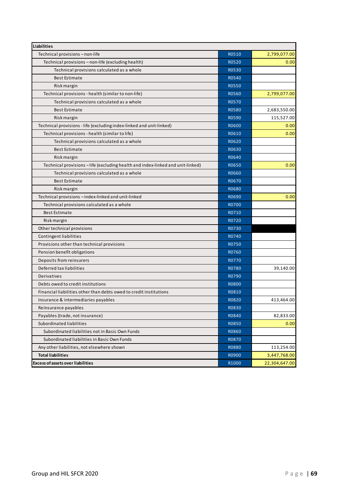| <b>Liabilities</b>                                                              |              |               |
|---------------------------------------------------------------------------------|--------------|---------------|
| Technical provisions - non-life                                                 | R0510        | 2,799,077.00  |
| Technical provisions - non-life (excluding health)                              | R0520        | 0.00          |
| Technical provisions calculated as a whole                                      | R0530        |               |
| <b>Best Estimate</b>                                                            | R0540        |               |
| Risk margin                                                                     | <b>R0550</b> |               |
| Technical provisions - health (similar to non-life)                             | R0560        | 2,799,077.00  |
| Technical provisions calculated as a whole                                      | R0570        |               |
| <b>Best Estimate</b>                                                            | <b>R0580</b> | 2,683,550.00  |
| Risk margin                                                                     | R0590        | 115,527.00    |
| Technical provisions - life (excluding index-linked and unit-linked)            | R0600        | 0.00          |
| Technical provisions - health (similar to life)                                 | R0610        | 0.00          |
| Technical provisions calculated as a whole                                      | R0620        |               |
| <b>Best Estimate</b>                                                            | R0630        |               |
| Risk margin                                                                     | R0640        |               |
| Technical provisions - life (excluding health and index-linked and unit-linked) | R0650        | 0.00          |
| Technical provisions calculated as a whole                                      | R0660        |               |
| <b>Best Estimate</b>                                                            | R0670        |               |
| Risk margin                                                                     | R0680        |               |
| Technical provisions - index-linked and unit-linked                             | R0690        | 0.00          |
| Technical provisions calculated as a whole                                      | R0700        |               |
| <b>Best Estimate</b>                                                            | R0710        |               |
| Risk margin                                                                     | R0720        |               |
| Other technical provisions                                                      | R0730        |               |
| Contingent liabilities                                                          | R0740        |               |
| Provisions other than technical provisions                                      | R0750        |               |
| Pension benefit obligations                                                     | R0760        |               |
| Deposits from reinsurers                                                        | R0770        |               |
| Deferred tax liabilities                                                        | R0780        | 39,140.00     |
| Derivatives                                                                     | R0790        |               |
| Debts owed to credit institutions                                               | <b>R0800</b> |               |
| Financial liabilities other than debts owed to credit institutions              | R0810        |               |
| Insurance & intermediaries payables                                             | <b>R0820</b> | 413,464.00    |
| Reinsurance payables                                                            | R0830        |               |
| Payables (trade, not insurance)                                                 | R0840        | 82,833.00     |
| Subordinated liabilities                                                        | R0850        | 0.00          |
| Subordinated liabilities not in Basic Own Funds                                 | R0860        |               |
| Subordinated liabilities in Basic Own Funds                                     | R0870        |               |
| Any other liabilities, not elsewhere shown                                      | R0880        | 113,254.00    |
| <b>Total liabilities</b>                                                        | R0900        | 3,447,768.00  |
| <b>Excess of assets over liabilities</b>                                        | R1000        | 22,304,647.00 |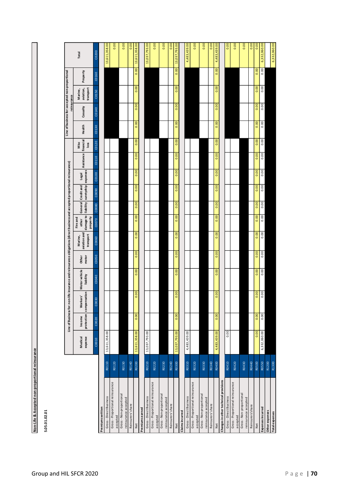| <b>CONTRACTOR</b>       |
|-------------------------|
|                         |
| Accepted non-proportion |
| J<br>Life &             |

**S.05.01.02.01**

|                                                |       |                    |        |                                     | Line of Business for: non-life insurance and reinsurance obligations (direct business and accepted proportional reinsurance) |                |                                      |                                            |                    |                               |       |                      |              | Line of business for: accepted non-proportional | reinsurance |                                   |          |               |
|------------------------------------------------|-------|--------------------|--------|-------------------------------------|------------------------------------------------------------------------------------------------------------------------------|----------------|--------------------------------------|--------------------------------------------|--------------------|-------------------------------|-------|----------------------|--------------|-------------------------------------------------|-------------|-----------------------------------|----------|---------------|
|                                                |       | expense<br>Medical | Income | protection compensation<br>Workers' | Motor vehicle<br>liability                                                                                                   | motor<br>Other | aviation and<br>transport<br>Marine, | damage to<br>property<br>Fire and<br>other | General Credit and | liability suretyship expenses | Legal | Assistance financial | Misc<br>loss | Health                                          | Casualty    | aviation,<br>transport<br>Marine, | Property | Total         |
|                                                |       | C0010              | C0020  | C0030                               | C0040                                                                                                                        | C0050          | C0060                                | C0070                                      | C0080              | C0090                         | C0100 | C0110                | C0120        | C0130                                           | C0140       | C0150                             | C0160    | C0200         |
| Premiums written                               |       |                    |        |                                     |                                                                                                                              |                |                                      |                                            |                    |                               |       |                      |              |                                                 |             |                                   |          |               |
| Gross-Direct Business                          | R0110 | 13,611,358.00      |        |                                     |                                                                                                                              |                |                                      |                                            |                    |                               |       |                      |              |                                                 |             |                                   |          | 13,611,358.00 |
| Gross-Proportional reinsurance<br>accepted     | R0120 |                    |        |                                     |                                                                                                                              |                |                                      |                                            |                    |                               |       |                      |              |                                                 |             |                                   |          | 0.00          |
| Gross-Non-proportional<br>reinsurance accepted | R0130 |                    |        |                                     |                                                                                                                              |                |                                      |                                            |                    |                               |       |                      |              |                                                 |             |                                   |          | 0.00          |
| Reinsurers'share                               | R0140 |                    |        |                                     |                                                                                                                              |                |                                      |                                            |                    |                               |       |                      |              |                                                 |             |                                   |          | 0.00          |
| Net                                            | R0200 | 13,611,358.00      | 0.00   | 0.00                                | 0.00                                                                                                                         | 0.00           | 0.00                                 | 0.00                                       | 0.00               | 0.00                          | 0.00  | 0.00                 | 0.00         | 0.00                                            | 0.00        | 0.00                              | 0.00     | 13,611,358.00 |
| Premiums earned                                |       |                    |        |                                     |                                                                                                                              |                |                                      |                                            |                    |                               |       |                      |              |                                                 |             |                                   |          |               |
| Gross-Direct Business                          | R0210 | 13,037,793.00      |        |                                     |                                                                                                                              |                |                                      |                                            |                    |                               |       |                      |              |                                                 |             |                                   |          | 13,037,793.00 |
| Gross-Proportional reinsurance<br>accepted     | R0220 |                    |        |                                     |                                                                                                                              |                |                                      |                                            |                    |                               |       |                      |              |                                                 |             |                                   |          | 0.00          |
| Gross-Non-proportional<br>reinsurance accepted | R0230 |                    |        |                                     |                                                                                                                              |                |                                      |                                            |                    |                               |       |                      |              |                                                 |             |                                   |          | 0.00          |
| Reinsurers'share                               | R0240 |                    |        |                                     |                                                                                                                              |                |                                      |                                            |                    |                               |       |                      |              |                                                 |             |                                   |          | 0.00          |
| Net                                            | R0300 | 13,037,793.00      | 0.00   | 0.00                                | 0.00                                                                                                                         | 0.00           | 0.00                                 | 0.00                                       | 0.00               | 0.00                          | 0.00  | 0.00                 | 0.00         | 0.00                                            | 0.00        | 0.00                              | 0.00     | 13,037,793.00 |
| Claims incurred                                |       |                    |        |                                     |                                                                                                                              |                |                                      |                                            |                    |                               |       |                      |              |                                                 |             |                                   |          |               |
| Gross-Direct Business                          | R0310 | 4,483,439.00       |        |                                     |                                                                                                                              |                |                                      |                                            |                    |                               |       |                      |              |                                                 |             |                                   |          | 4,483,439.00  |
| Gross-Proportional reinsurance                 | R0320 |                    |        |                                     |                                                                                                                              |                |                                      |                                            |                    |                               |       |                      |              |                                                 |             |                                   |          | 0.00          |
| accepted                                       |       |                    |        |                                     |                                                                                                                              |                |                                      |                                            |                    |                               |       |                      |              |                                                 |             |                                   |          |               |
| Gross-Non-proportional<br>reinsurance accepted | R0330 |                    |        |                                     |                                                                                                                              |                |                                      |                                            |                    |                               |       |                      |              |                                                 |             |                                   |          | 0.00          |
| Reinsurers'share                               | R0340 |                    |        |                                     |                                                                                                                              |                |                                      |                                            |                    |                               |       |                      |              |                                                 |             |                                   |          | 0.00          |
| Net                                            | R0400 | 4,483,439.00       | 0.00   | 0.00                                | 0.00                                                                                                                         | 0.00           | 0.00                                 | 0.00                                       | 0.00               | 0.00                          | 0.00  | 0.00                 | 0.00         | 0.00                                            | 0.00        | 0.00                              | 0.00     | 4,483,439.00  |
| Changes in other technical provisions          |       |                    |        |                                     |                                                                                                                              |                |                                      |                                            |                    |                               |       |                      |              |                                                 |             |                                   |          |               |
| Gross-Direct Business                          | R0410 | 0.00               |        |                                     |                                                                                                                              |                |                                      |                                            |                    |                               |       |                      |              |                                                 |             |                                   |          | 0.00          |
| Gross-Proportional reinsurance<br>accepted     | R0420 |                    |        |                                     |                                                                                                                              |                |                                      |                                            |                    |                               |       |                      |              |                                                 |             |                                   |          | 0.00          |
| Gross-Non-proportional                         |       |                    |        |                                     |                                                                                                                              |                |                                      |                                            |                    |                               |       |                      |              |                                                 |             |                                   |          |               |
| reinsurance accepted                           | R0430 |                    |        |                                     |                                                                                                                              |                |                                      |                                            |                    |                               |       |                      |              |                                                 |             |                                   |          | 0.00          |
| Reinsurers'share                               | R0440 |                    |        |                                     |                                                                                                                              |                |                                      |                                            |                    |                               |       |                      |              |                                                 |             |                                   |          | 0.00          |
| Net                                            | R0500 | 0.00               | 0.00   | 0.00                                | 0.00                                                                                                                         | 0.00           | 0.00                                 | 0.00                                       | 0.00               | 0.00                          | 0.00  | 0.00                 | 0.00         | 0.00                                            | 0.00        | 0.00                              | 0.00     | 0.00          |
| Expenses incurred                              | R0550 | 6,332,060.00       | 0.00   | 0.00                                | 0.00                                                                                                                         | 0.00           | 0.00                                 | 0.00                                       | 0.00               | 0.00                          | 0.00  | 0.00                 | 0.00         | 0.00                                            | 0.00        | 0.00                              | 0.00     | 6,332,060.00  |
| Other expenses                                 | R1200 |                    |        |                                     |                                                                                                                              |                |                                      |                                            |                    |                               |       |                      |              |                                                 |             |                                   |          |               |
| Total expenses                                 | R1300 |                    |        |                                     |                                                                                                                              |                |                                      |                                            |                    |                               |       |                      |              |                                                 |             |                                   |          | 6,332,060.00  |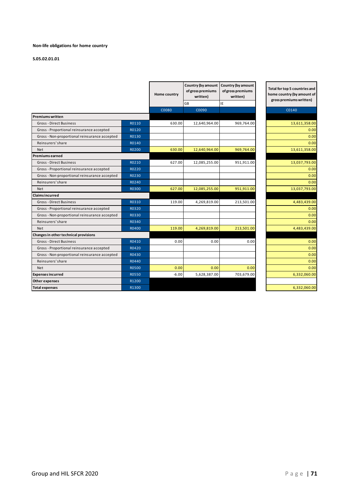#### **Non-life obligations for home country**

|                                               |              | Home country | Country (by amount<br>of gross premiums<br>written) | Country (by amount<br>of gross premiums<br>written) | Total for top 5 countries and<br>home country (by amount of<br>gross premiums written) |
|-----------------------------------------------|--------------|--------------|-----------------------------------------------------|-----------------------------------------------------|----------------------------------------------------------------------------------------|
|                                               |              |              | <b>GB</b>                                           | IE                                                  |                                                                                        |
|                                               |              | C0080        | C0090                                               |                                                     | C0140                                                                                  |
| Premiums written                              |              |              |                                                     |                                                     |                                                                                        |
| <b>Gross-Direct Business</b>                  | R0110        | 630.00       | 12,640,964.00                                       | 969,764.00                                          | 13,611,358.00                                                                          |
| Gross - Proportional reinsurance accepted     | R0120        |              |                                                     |                                                     | 0.00                                                                                   |
| Gross - Non-proportional reinsurance accepted | R0130        |              |                                                     |                                                     | 0.00                                                                                   |
| Reinsurers' share                             | R0140        |              |                                                     |                                                     | 0.00                                                                                   |
| <b>Net</b>                                    | R0200        | 630.00       | 12,640,964.00                                       | 969,764.00                                          | 13,611,358.00                                                                          |
| Premiums earned                               |              |              |                                                     |                                                     |                                                                                        |
| <b>Gross-Direct Business</b>                  | R0210        | 627.00       | 12,085,255.00                                       | 951,911.00                                          | 13,037,793.00                                                                          |
| Gross - Proportional reinsurance accepted     | R0220        |              |                                                     |                                                     | 0.00                                                                                   |
| Gross - Non-proportional reinsurance accepted | R0230        |              |                                                     |                                                     | 0.00                                                                                   |
| Reinsurers' share                             | R0240        |              |                                                     |                                                     | 0.00                                                                                   |
| <b>Net</b>                                    | R0300        | 627.00       | 12,085,255.00                                       | 951,911.00                                          | 13,037,793.00                                                                          |
| <b>Claims incurred</b>                        |              |              |                                                     |                                                     |                                                                                        |
| <b>Gross-Direct Business</b>                  | R0310        | 119.00       | 4,269,819.00                                        | 213,501.00                                          | 4,483,439.00                                                                           |
| Gross - Proportional reinsurance accepted     | R0320        |              |                                                     |                                                     | 0.00                                                                                   |
| Gross - Non-proportional reinsurance accepted | R0330        |              |                                                     |                                                     | 0.00                                                                                   |
| Reinsurers' share                             | R0340        |              |                                                     |                                                     | 0.00                                                                                   |
| <b>Net</b>                                    | R0400        | 119.00       | 4,269,819.00                                        | 213,501.00                                          | 4,483,439.00                                                                           |
| Changes in other technical provisions         |              |              |                                                     |                                                     |                                                                                        |
| <b>Gross-Direct Business</b>                  | R0410        | 0.00         | 0.00                                                | 0.00                                                | 0.00                                                                                   |
| Gross - Proportional reinsurance accepted     | R0420        |              |                                                     |                                                     | 0.00                                                                                   |
| Gross - Non-proportional reinsurance accepted | R0430        |              |                                                     |                                                     | 0.00                                                                                   |
| Reinsurers' share                             | R0440        |              |                                                     |                                                     | 0.00                                                                                   |
| <b>Net</b>                                    | <b>R0500</b> | 0.00         | 0.00                                                | 0.00                                                | 0.00                                                                                   |
| <b>Expenses incurred</b>                      | R0550        | $-6.00$      | 5,628,387.00                                        | 703,679.00                                          | 6,332,060.00                                                                           |
| Other expenses                                | R1200        |              |                                                     |                                                     |                                                                                        |
| <b>Total expenses</b>                         | R1300        |              |                                                     |                                                     | 6,332,060.00                                                                           |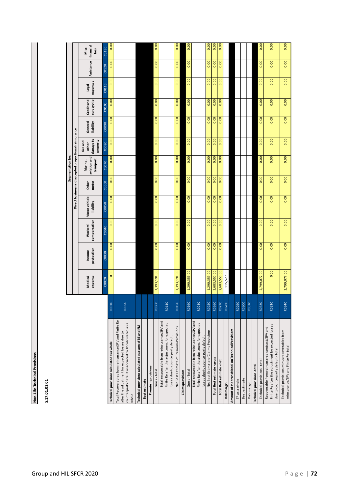Non-Life Technical Provisions **Non-Life Technical Provisions**

| г |
|---|
| Ξ |
|   |
| г |
|   |
|   |
|   |
|   |
| ń |
|   |

|                                                                                                                                                                            |                  |                    |                      |                                 |                                   |                                                       | Segmentation for:                    |                                            |                      |                          |                   |            |                           |
|----------------------------------------------------------------------------------------------------------------------------------------------------------------------------|------------------|--------------------|----------------------|---------------------------------|-----------------------------------|-------------------------------------------------------|--------------------------------------|--------------------------------------------|----------------------|--------------------------|-------------------|------------|---------------------------|
|                                                                                                                                                                            |                  |                    |                      |                                 |                                   | Direct business and accepted proportional reinsurance |                                      |                                            |                      |                          |                   |            |                           |
|                                                                                                                                                                            |                  | expense<br>Medical | protection<br>Income | compensation<br><b>Workers'</b> | <b>Motor vehicle</b><br>liability | motor<br><b>Other</b>                                 | aviation and<br>transport<br>Marine, | damage to<br>property<br>Fire and<br>other | General<br>liability | suretyship<br>Credit and | expenses<br>Legal | Assistance | financial<br>Misc<br>loss |
|                                                                                                                                                                            |                  | C0020              | C0030                | C0040                           | C0050                             | C0060                                                 | C0070                                | C0080                                      | CO090                | C0100                    | C0110             | C0120      | C0130                     |
| Technical provisions calculated as a whole                                                                                                                                 | R0010            | 0.00               | 0.00                 | 0.00                            | 0.00                              | 0.00                                                  | 0.00                                 | 0.00                                       | 0.00                 | 0.00                     | 0.00              | 0.00       | 0.00                      |
| Total Recoverables from reinsurance/SPV and Finite Re<br>counterparty default associated to TP calculated as a<br>after the adjustment for expected losses due to<br>whole | R0050            |                    |                      |                                 |                                   |                                                       |                                      |                                            |                      |                          |                   |            |                           |
| Technical provisions calculated as a sum of BE and RM                                                                                                                      |                  |                    |                      |                                 |                                   |                                                       |                                      |                                            |                      |                          |                   |            |                           |
| Best estimate                                                                                                                                                              |                  |                    |                      |                                 |                                   |                                                       |                                      |                                            |                      |                          |                   |            |                           |
| Premium provisions                                                                                                                                                         |                  |                    |                      |                                 |                                   |                                                       |                                      |                                            |                      |                          |                   |            |                           |
| Gross-Total                                                                                                                                                                | R0060            | 1,393,191.00       | 0.00                 | 0.00                            | 0.00                              | $\overline{0.00}$                                     | 0.00                                 | 0.00                                       | 0.00                 | 0.00                     | 0.00              | 0.00       | 0.00                      |
| Total recoverable from reinsurance/SPV and<br>Finite Re after the adjustment for expected<br>losses due to counterparty default                                            | R0140            |                    |                      |                                 |                                   |                                                       |                                      |                                            |                      |                          |                   |            |                           |
| Net Best Estimate of Premium Provisions                                                                                                                                    | R0150            | 1,393,191.00       | 0.00                 | 0.00                            | 0.00                              | 0.00                                                  | 0.00                                 | 0.00                                       | 0.00                 | 0.00                     | 0.00              | 0.00       | 0.00                      |
| Claims provisions                                                                                                                                                          |                  |                    |                      |                                 |                                   |                                                       |                                      |                                            |                      |                          |                   |            |                           |
| Gross-Total                                                                                                                                                                | R0160            | 1,290,359.00       | 0.00                 | 0.00                            | 0.00                              | 0.00                                                  | 0.00                                 | 0.00                                       | 0.00                 | 0.00                     | 0.00              | 0.00       | 0.00                      |
| Total recoverable from reinsurance/SPV and<br>Finite Re after the adjustment for expected<br>losses due to counterparty default                                            | R0240            |                    |                      |                                 |                                   |                                                       |                                      |                                            |                      |                          |                   |            |                           |
| Net Best Estimate of Claims Provisions                                                                                                                                     | R0250            | 1,290,359.00       | 0.00                 | 0.00                            | 0.00                              | 0.00                                                  | 0.00                                 | 0.00                                       | 0.00                 | 0.00                     | 0.00              | 0.00       | 0.00                      |
| <b>Total Best estimate - gross</b>                                                                                                                                         | R0260            | 2,683,550.00       | 0.00                 | 0.00                            | 0.00                              | 0.00                                                  | 0.00                                 | 0.00                                       | 0.00                 | 0.00                     | 0.00              | 0.00       | 0.00                      |
| Total Best estimate - net                                                                                                                                                  | R <sub>027</sub> | 2,683,550.00       | 0.00                 | 0.00                            | 0.00                              | 0.00                                                  | 0.00                                 | 0.00                                       | 0.00                 | 0.00                     | 0.00              | 0.00       | 0.00                      |
| Risk margin                                                                                                                                                                | R0280            | 115,527.00         |                      |                                 |                                   |                                                       |                                      |                                            |                      |                          |                   |            |                           |
| Amount of the transitional on Technical Provisions                                                                                                                         |                  |                    |                      |                                 |                                   |                                                       |                                      |                                            |                      |                          |                   |            |                           |
| TP as a whole                                                                                                                                                              | R0290            |                    |                      |                                 |                                   |                                                       |                                      |                                            |                      |                          |                   |            |                           |
| Best estimate                                                                                                                                                              | R0300            |                    |                      |                                 |                                   |                                                       |                                      |                                            |                      |                          |                   |            |                           |
| Riskmargin                                                                                                                                                                 | R0310            |                    |                      |                                 |                                   |                                                       |                                      |                                            |                      |                          |                   |            |                           |
| Technical provisions-total                                                                                                                                                 |                  |                    |                      |                                 |                                   |                                                       |                                      |                                            |                      |                          |                   |            |                           |
| Technical provisions-total                                                                                                                                                 | R0320            | 2,799,077.00       | 0.00                 | 0.00                            | 0.00                              | 0.00                                                  | 0.00                                 | 0.00                                       | 0.00                 | 0.00                     | 0.00              | 0.00       | 0.00                      |
| Finite Re after the adjustment for expected losses<br>Recoverable from reinsurance contract/SPV and                                                                        | R0330            | 0.00               | 0.00                 | 0.00                            | 0.00                              | 0.00                                                  | 0.00                                 | 0.00                                       | 0.00                 | 0.00                     | 0.00              | 0.00       | 0.00                      |
| due to counterparty default-total                                                                                                                                          |                  |                    |                      |                                 |                                   |                                                       |                                      |                                            |                      |                          |                   |            |                           |
| Technical provisions minus recoverables from<br>reinsurance/SPV and Finite Re-total                                                                                        | R0340            | 2,799,077.00       | 0.00                 | 0.00                            | 0.00                              | 0.00                                                  | 0.00                                 | 0.00                                       | 0.00                 | 0.00                     | 0.00              | 0.00       | 0.00                      |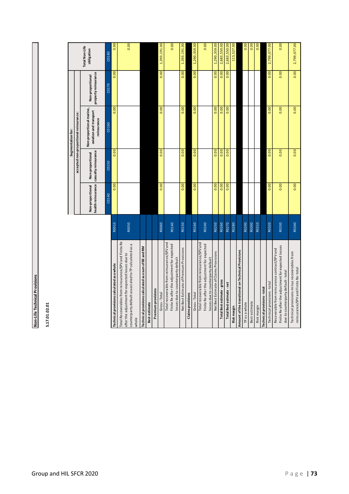Non-Life Technical Provisions **Non-Life Technical Provisions**

S.17.01.02.01 **S.17.01.02.01**

 $\overline{a}$ 

|                                                                                                                                                                            |       |                  |                                                             | Segmentation for:                                                 |                                          |                              |
|----------------------------------------------------------------------------------------------------------------------------------------------------------------------------|-------|------------------|-------------------------------------------------------------|-------------------------------------------------------------------|------------------------------------------|------------------------------|
|                                                                                                                                                                            |       |                  |                                                             | accepted non-proportional reinsurance:                            |                                          |                              |
|                                                                                                                                                                            |       | Non-proportional | health reinsurance casualty reinsurance<br>Non-proportional | Non-proportional marine,<br>aviation and transport<br>reinsurance | property reinsurance<br>Non-proportional | Total Non-Life<br>obligation |
|                                                                                                                                                                            |       | C0140            | C0150                                                       | C0160                                                             | C0170                                    | C0180                        |
| Technical provisions calculated as a whole                                                                                                                                 | R0010 | 0.00             | 0.00                                                        | 0.00                                                              | 0.00                                     | 0.00                         |
| Total Recoverables from reinsurance/SPV and Finite Re<br>counterparty default associated to TP calculated as a<br>after the adjustment for expected losses due to<br>whole | R0050 |                  |                                                             |                                                                   |                                          | 0.00                         |
| Technical provisions calculated as a sum of BE and RM                                                                                                                      |       |                  |                                                             |                                                                   |                                          |                              |
| Best estimate                                                                                                                                                              |       |                  |                                                             |                                                                   |                                          |                              |
| Premium provisions                                                                                                                                                         |       |                  |                                                             |                                                                   |                                          |                              |
| Gross-Total                                                                                                                                                                | R0060 | 0.00             | 0.00                                                        | 0.00                                                              | 0.00                                     | 1,393,191.00                 |
| Total recoverable from reinsurance/SPV and<br>Finite Re after the adjustment for expected<br>losses due to counterparty default                                            | R0140 |                  |                                                             |                                                                   |                                          | 0.00                         |
| Net Best Estimate of Premium Provisions                                                                                                                                    | R0150 | 0.00             | 0.00                                                        | $\overline{0.00}$                                                 | 0.00                                     | 1,393,191.00                 |
| <b>Claims</b> provisions                                                                                                                                                   |       |                  |                                                             |                                                                   |                                          |                              |
| Gross-Total                                                                                                                                                                | R0160 | 0.00             | 0.00                                                        | 0.00                                                              | 0.00                                     | 1,290,359.00                 |
| Total recoverable from reinsurance/SPV and<br>Finite Re after the adjustment for expected<br>losses due to counterparty default                                            | R0240 |                  |                                                             |                                                                   |                                          | 0.00                         |
| Net Best Estimate of Claims Provisions                                                                                                                                     | R0250 | 0.00             | 0.00                                                        | 0.00                                                              | 0.00                                     | 1,290,359.00                 |
| Total Best estimate - gross                                                                                                                                                | R0260 | 0.00             | 0.00                                                        | 0.00                                                              | 0.00                                     | 2,683,550.00                 |
| Total Best estimate - net                                                                                                                                                  | R0270 | 0.00             | 0.00                                                        | 0.00                                                              | 0.00                                     | 2,683,550.00                 |
| Risk margin                                                                                                                                                                | R0280 |                  |                                                             |                                                                   |                                          | 115,527.00                   |
| Amount of the transitional on Technical Provisions                                                                                                                         |       |                  |                                                             |                                                                   |                                          |                              |
| TP as a whole                                                                                                                                                              | R0290 |                  |                                                             |                                                                   |                                          | 0.00                         |
| Best estimate                                                                                                                                                              | R0300 |                  |                                                             |                                                                   |                                          | 0.00                         |
| Risk margin                                                                                                                                                                | R0310 |                  |                                                             |                                                                   |                                          | 0.00                         |
| Technical provisions-total                                                                                                                                                 |       |                  |                                                             |                                                                   |                                          |                              |
| Technical provisions-total                                                                                                                                                 | R0320 | 0.00             | 0.00                                                        | 0.00                                                              | 0.00                                     | 2,799,077.00                 |
| Finite Re after the adjustment for expected losses<br>Recoverable from reinsurance contract/SPV and<br>due to counterparty default-total                                   | R0330 | 0.00             | 0.00                                                        | 0.00                                                              | 0.00                                     | 0.00                         |
| Technical provisions minus recoverables from<br>reinsurance/SPV and Finite Re-total                                                                                        | R0340 | 0.00             | 0.00                                                        | 0.00                                                              | 0.00                                     | 2,799,077.00                 |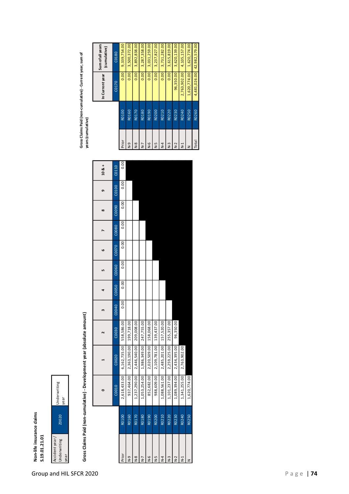# **Non-life insurance claims** Non-life insurance claims<br>S.19.01.21.01



### $\ddot{\cdot}$ **Gross Claims Paid (non-cumulative) - Development year (absolute amount)** $\frac{1}{2}$ ن<br>ماه<br>با ÷ J. نہ<br>دامشندا یا اماده<br>ما Claim ఠ

| ross Claims Paid (non-cumulative) - Development year (absolute amount) |  |
|------------------------------------------------------------------------|--|
|                                                                        |  |
|                                                                        |  |
|                                                                        |  |

|                |       |              |                         |                   |       | 4     |       | ဖ     |       | $\infty$ | o     | $10 & 8 +$ |                |       | In Current year | sum or all years<br>(cumulative) |
|----------------|-------|--------------|-------------------------|-------------------|-------|-------|-------|-------|-------|----------|-------|------------|----------------|-------|-----------------|----------------------------------|
|                |       | C0010        | C0020                   | C <sub>0030</sub> | C0040 | C0050 | C0060 | C0070 | C0080 | C0090    | C0100 | C0110      |                |       | C0170           | C0180                            |
| Prior          | R0100 | 2,618,433.00 | 6,162,735.00            | 558,586.00        | 0.00  | 0.00  | 0.00  | 0.00  | 0.00  | 0.00     | 0.00  | 0.00       | Prior          | R0100 | 0.00            | 9,339,754.00                     |
| ი<br>ა         | R0160 | 937,464.00   | 2,363,190.00            | 199,718.00        |       |       |       |       |       |          |       |            | e-N            | R0160 | 0.00            | 3,500,372.00                     |
| $\frac{8}{2}$  | R0170 | 1,237,290.00 | 2,446,540.00            | 209,008.00        |       |       |       |       |       |          |       |            | $\frac{8}{5}$  | R0170 | 0.00            | 3,892,838.00                     |
| $\overline{R}$ | R0180 | 1,053,254.00 | 1,986,349.00            | 247,755.00        |       |       |       |       |       |          |       |            | $\overline{z}$ | R0180 | 0.00            | 3,287,358.00                     |
| $\frac{6}{2}$  | R0190 | 852,682.00   | 2,020,509.00            | 158,068.00        |       |       |       |       |       |          |       |            | $\frac{6}{5}$  | R0190 | 0.00            | 3,031,259.00                     |
| 5<br>N         | R0200 | 988,609.00   | 2,109,781.00            | 139,437.00        |       |       |       |       |       |          |       |            | Γ-N            | R0200 | 0.00            | 3,237,827.00                     |
| $\overline{R}$ | R0210 | 1,088,561.00 | 2,485,201.00 157,520.00 |                   |       |       |       |       |       |          |       |            | $\frac{1}{4}$  | R0210 | 0.00            | 3,731,282.00                     |
| $\overline{2}$ | R0220 | 1,101,237.00 | 2,259,225.00            | 255,357.00        |       |       |       |       |       |          |       |            | $\frac{3}{2}$  | R0220 | 0.00            | 3,615,819.00                     |
| $\sim$         | R0230 | 1,089,394.00 | 2,434,395.00            | 96,350.00         |       |       |       |       |       |          |       |            | $N-2$          | R0230 | 96,350.00       | 3,620,139.00                     |
| $\vec{z}$      | R0240 | 1,341,255.00 | 2,763,902.00            |                   |       |       |       |       |       |          |       |            | $\frac{1}{2}$  | R0240 |                 | 2,763,902.00 4,105,157.00        |
|                | R0250 | 1,620,774.00 |                         |                   |       |       |       |       |       |          |       |            |                | R0250 |                 | 1,620,774.00   1,620,774.00      |
|                |       |              |                         |                   |       |       |       |       |       |          |       |            |                |       |                 |                                  |

Gross Claims Paid (non-cumulative) - Current year, sum of<br>years (cumulative) **Gross Claims Paid (non-cumulative) - Current year, sum of years (cumulative)**

**Sum of all years** 

Sum of all years

|                   |       | U.U.I.u.yeal      | (cumulative)  |
|-------------------|-------|-------------------|---------------|
|                   |       | C0170             | C0180         |
| Prior             | R0100 | 0.00 <sub>1</sub> | 9,339,754.00  |
| $\overline{R}$ -D | R0160 | 0.00              | 3,500,372.00  |
| $N-8$             | R0170 | 0.00              | 3,892,838.00  |
| $\overline{R}$ -7 | R0180 | 0.00              | 3,287,358.00  |
| $\frac{6}{5}$     | R0190 | 0.00              | 3,031,259.00  |
| Γ-N               | R0200 | 0.00              | 3,237,827.00  |
| $\overline{A}$    | R0210 | 0.00              | 3,731,282.00  |
| $\frac{3}{2}$     | R0220 | 0.00              | 3,615,819.00  |
| $N-2$             | R0230 | 96,350.00         | 3,620,139.00  |
| $\frac{1}{2}$     | R0240 | 2,763,902.00      | 4,105,157.00  |
| z                 | R0250 | 1,620,774.00      | 1,620,774.00  |
| Total             | R0260 | 4,481,026.00      | 42,982,579.00 |
|                   |       |                   |               |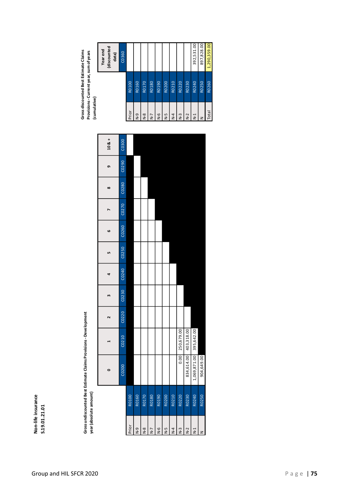## **Non-life insurance S.19.01.21.01**

Gross undiscounted Best Estimate Claims Provisions - Development<br>year (absolute amount) **Gross undiscounted Best Estimate Claims Provisions - Development year (absolute amount)**

|               | (discounted<br>Year end<br>data) | C0360              |       |               |               |                |               |               |       |            |                       | 392,531.00   | 897,828.00 |
|---------------|----------------------------------|--------------------|-------|---------------|---------------|----------------|---------------|---------------|-------|------------|-----------------------|--------------|------------|
|               |                                  |                    | R0100 | R0160         | R0170         | R0180          | R0190         | R0200         | R0210 | R0220      | R0230                 | R0240        | R0250      |
| Lanum Carrier |                                  |                    | Prior | ი<br>ა        | $\frac{8}{5}$ | $\overline{R}$ | $\frac{6}{5}$ | $N-5$         | $N-4$ | $N-3$      | $N-2$                 | $\geq$       | z          |
|               | $108 +$                          | C0300              |       |               |               |                |               |               |       |            |                       |              |            |
|               | თ                                | C <sub>0290</sub>  |       |               |               |                |               |               |       |            |                       |              |            |
|               | $\infty$                         | C0280              |       |               |               |                |               |               |       |            |                       |              |            |
|               |                                  | C0270              |       |               |               |                |               |               |       |            |                       |              |            |
|               | ဖ                                | C <sub>026</sub> 0 |       |               |               |                |               |               |       |            |                       |              |            |
|               | S                                | C0250              |       |               |               |                |               |               |       |            |                       |              |            |
|               | 4                                | C0240              |       |               |               |                |               |               |       |            |                       |              |            |
|               | m                                | CO <sub>230</sub>  |       |               |               |                |               |               |       |            |                       |              |            |
|               | $\mathbf{\tilde{z}}$             | C0220              |       |               |               |                |               |               |       |            |                       |              |            |
|               |                                  | C0210              |       |               |               |                |               |               |       | 250,679.00 | 834,614.00 403,318.00 | 395,642.00   |            |
|               | ۰                                | C0200              |       |               |               |                |               |               |       | 0.00       |                       | 1,069,871.00 | 904,649.00 |
|               |                                  |                    | R0100 | R0160         | R0170         | R0180          | R0190         | R0200         | R0210 | R0220      | R0230                 | R0240        | R0250      |
|               |                                  |                    | Prior | $\frac{9}{2}$ | $\frac{8}{5}$ | $N-7$          | $\frac{6}{5}$ | $\frac{5}{5}$ | $N-4$ | $N-3$      | $N-2$                 | $N-1$        | z          |

**Year end**  Gross discounted Best Estimate Claims<br>Provisions - Current year, sum of years<br>(cumulative) **Gross discounted Best Estimate Claims Provisions - Current year, sum of years**   $\mathbf{l}$ 

|                   |       | discounted<br>Year end<br>data) |
|-------------------|-------|---------------------------------|
|                   |       | C0360                           |
| Prior             | R0100 |                                 |
| $\overline{R}$ -D | R0160 |                                 |
| $\frac{8}{5}$     | R0170 |                                 |
| $N-7$             | R0180 |                                 |
| $\overline{R}$    | R0190 |                                 |
| $\overline{R}$    | R0200 |                                 |
| $N-4$             | R0210 |                                 |
| $N-3$             | R0220 |                                 |
| $N-2$             | R0230 |                                 |
| $N-1$             | R0240 | 392,531.00                      |

Total R0260 1,290,359.00

Total

897,828.00 1,290,359.00

R0250 R0260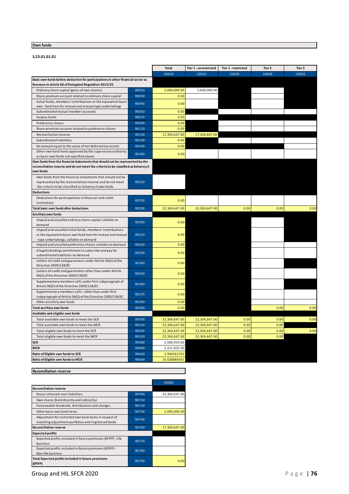#### **Own funds**

#### **S.23.01.01.01**

|                                                                                                                         |                | <b>Total</b>  | Tier 1 - unrestricted | Tier 1 - restricted | Tier 2 | Tier 3 |
|-------------------------------------------------------------------------------------------------------------------------|----------------|---------------|-----------------------|---------------------|--------|--------|
|                                                                                                                         |                | C0010         | C0020                 | C0030               | C0040  | C0050  |
| Basic own funds before deduction for participations in other financial sector as                                        |                |               |                       |                     |        |        |
| foreseen in article 68 of Delegated Regulation 2015/35                                                                  |                |               |                       |                     |        |        |
| Ordinary share capital (gross of own shares)                                                                            | R0010          | 5,000,000.00  | 5,000,000.00          |                     |        |        |
| Share premium account related to ordinary share capital                                                                 | R0030          | 0.00          |                       |                     |        |        |
| Initial funds, members' contributions or the equivalent basic                                                           | R0040          | 0.00          |                       |                     |        |        |
| own - fund item for mutual and mutual-type undertakings                                                                 |                |               |                       |                     |        |        |
| Subordinated mutual member accounts<br>Surplus funds                                                                    | R0050<br>R0070 | 0.00          |                       |                     |        |        |
|                                                                                                                         |                | 0.00          |                       |                     |        |        |
| Preference shares                                                                                                       | R0090          | 0.00          |                       |                     |        |        |
| Share premium account related to preference shares                                                                      | R0110          | 0.00          |                       |                     |        |        |
| Reconciliation reserve                                                                                                  | R0130          | 17,304,647.00 | 17,304,647.00         |                     |        |        |
| Subordinated liabilities                                                                                                | R0140          | 0.00          |                       |                     |        |        |
| An amount equal to the value of net deferred tax assets                                                                 | R0160          | 0.00          |                       |                     |        |        |
| Other own fund items approved by the supervisory authority                                                              | R0180          | 0.00          |                       |                     |        |        |
| as basic own funds not specified above<br>Own funds from the financial statements that should not be represented by the |                |               |                       |                     |        |        |
| reconciliation reserve and do not meet the criteria to be classified as Solvency II                                     |                |               |                       |                     |        |        |
| own funds                                                                                                               |                |               |                       |                     |        |        |
| Own funds from the financial statements that should not be                                                              |                |               |                       |                     |        |        |
| represented by the reconciliation reserve and do not meet                                                               | R0220          |               |                       |                     |        |        |
| the criteria to be classified as Solvency II own funds                                                                  |                |               |                       |                     |        |        |
| <b>Deductions</b>                                                                                                       |                |               |                       |                     |        |        |
| Deductions for participations in financial and credit<br>institutions                                                   | R0230          | 0.00          |                       |                     |        |        |
| Total basic own funds after deductions                                                                                  | R0290          | 22,304,647.00 | 22,304,647.00         | 0.00                | 0.00   | 0.00   |
| Ancillary own funds                                                                                                     |                |               |                       |                     |        |        |
| Unpaid and uncalled ordinary share capital callable on                                                                  | R0300          | 0.00          |                       |                     |        |        |
| demand                                                                                                                  |                |               |                       |                     |        |        |
| Unpaid and uncalled initial funds, members' contributions                                                               |                |               |                       |                     |        |        |
| or the equivalent basic own fund item for mutual and mutual                                                             | R0310          | 0.00          |                       |                     |        |        |
| -type undertakings, callable on demand<br>Unpaid and uncalled preference shares callable on demand                      | R0320          | 0.00          |                       |                     |        |        |
| A legally binding commitment to subscribe and pay for                                                                   |                |               |                       |                     |        |        |
| subordinated liabilities on demand                                                                                      | R0330          | 0.00          |                       |                     |        |        |
| Letters of credit and guarantees under Article 96(2) of the                                                             |                |               |                       |                     |        |        |
| Directive 2009/138/EC                                                                                                   | R0340          | 0.00          |                       |                     |        |        |
| Letters of credit and guarantees other than under Article                                                               | R0350          | 0.00          |                       |                     |        |        |
| 96(2) of the Directive 2009/138/EC                                                                                      |                |               |                       |                     |        |        |
| Supplementary members calls under first subparagraph of<br>Article 96(3) of the Directive 2009/138/EC                   | R0360          | 0.00          |                       |                     |        |        |
| Supplementary members calls - other than under first                                                                    | R0370          | 0.00          |                       |                     |        |        |
| subparagraph of Article 96(3) of the Directive 2009/138/EC                                                              |                |               |                       |                     |        |        |
| Other ancillary own funds                                                                                               | R0390          | 0.00          |                       |                     |        |        |
| Total ancillary own funds                                                                                               | R0400          | 0.00          |                       |                     | 0.00   | 0.00   |
| Available and eligible own funds                                                                                        |                |               |                       |                     |        |        |
| Total available own funds to meet the SCR                                                                               | <b>R0500</b>   | 22,304,647.00 | 22,304,647.00         | 0.00                | 0.00   | 0.00   |
| Total available own funds to meet the MCR                                                                               | R0510          | 22,304,647.00 | 22,304,647.00         | 0.00                | 0.00   |        |
| Total eligible own funds to meet the SCR                                                                                | R0540          | 22,304,647.00 | 22,304,647.00         | 0.00                | 0.00   | 0.00   |
| Total eligible own funds to meet the MCR                                                                                | <b>R0550</b>   | 22,304,647.00 | 22,304,647.00         | 0.00                | 0.00   |        |
| <b>SCR</b>                                                                                                              | <b>R0580</b>   | 5,580,959.00  |                       |                     |        |        |
| MCR                                                                                                                     | R0600          | 2,221,825.00  |                       |                     |        |        |
| Ratio of Eligible own funds to SCR                                                                                      | R0620          | 3.996561702   |                       |                     |        |        |
| Ratio of Eligible own funds to MCR                                                                                      | R0640          | 10.038885601  |                       |                     |        |        |

#### **Reconciliation reserve**

|                                                                                                                |              | C0060         |
|----------------------------------------------------------------------------------------------------------------|--------------|---------------|
| <b>Reconciliation reserve</b>                                                                                  |              |               |
| Excess of assets over liabilities                                                                              | R0700        | 22,304,647.00 |
| Own shares (held directly and indirectly)                                                                      | R0710        |               |
| Foreseeable dividends, distributions and charges                                                               | R0720        |               |
| Other basic own fund items                                                                                     | R0730        | 5,000,000.00  |
| Adjustment for restricted own fund items in respect of<br>matching adjustment portfolios and ring fenced funds | R0740        |               |
| <b>Reconciliation reserve</b>                                                                                  | R0760        | 17,304,647.00 |
| <b>Expected profits</b>                                                                                        |              |               |
| Expected profits included in future premiums (EPIFP) - Life<br>business                                        | <b>R0770</b> |               |
| Expected profits included in future premiums (EPIFP) -<br>Non-life business                                    | R0780        |               |
| Total Expected profits included in future premiums<br>(EPIFP)                                                  | R0790        | 0.00          |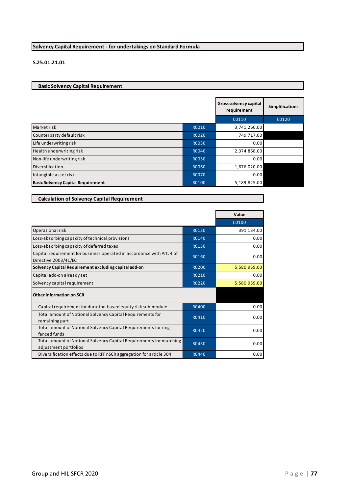#### **Solvency Capital Requirement - for undertakings on Standard Formula**

#### **S.25.01.21.01**

**Basic Solvency Capital Requirement** 

**Calculation of Solvency Capital Requirement**

|                                           |              | Gross solvency capital<br>requirement | <b>Simplifications</b> |
|-------------------------------------------|--------------|---------------------------------------|------------------------|
|                                           |              | C0110                                 | C0120                  |
| Market risk                               | R0010        | 3,741,260.00                          |                        |
| Counterparty default risk                 | R0020        | 749,717.00                            |                        |
| Life underwriting risk                    | R0030        | 0.00                                  |                        |
| Health underwriting risk                  | R0040        | 2,374,868.00                          |                        |
| Non-life underwriting risk                | <b>RO050</b> | 0.00                                  |                        |
| Diversification                           | R0060        | $-1,676,020.00$                       |                        |
| Intangible asset risk                     | <b>R0070</b> | 0.00                                  |                        |
| <b>Basic Solvency Capital Requirement</b> | R0100        | 5,189,825.00                          |                        |

|                                                                                                |       | Value        |
|------------------------------------------------------------------------------------------------|-------|--------------|
|                                                                                                |       | C0100        |
| Operational risk                                                                               | R0130 | 391,134.00   |
| Loss-absorbing capacity of technical provisions                                                | R0140 | 0.00         |
| Loss-absorbing capacity of deferred taxes                                                      | R0150 | 0.00         |
| Capital requirement for business operated in accordance with Art. 4 of<br>Directive 2003/41/EC | R0160 | 0.00         |
| Solvency Capital Requirement excluding capital add-on                                          | R0200 | 5,580,959.00 |
| Capital add-on already set                                                                     | R0210 | 0.00         |
| Solvency capital requirement                                                                   | R0220 | 5,580,959.00 |
| <b>Other information on SCR</b>                                                                |       |              |
| Capital requirement for duration-based equity risk sub-module                                  | R0400 | 0.00         |
| Total amount of Notional Solvency Capital Requirements for<br>remaining part                   | R0410 | 0.00         |
| Total amount of Notional Solvency Capital Requirements for ring<br>fenced funds                | R0420 | 0.00         |
| Total amount of Notional Solvency Capital Requirements for matching<br>adjustment portfolios   | R0430 | 0.00         |
| Diversification effects due to RFF nSCR aggregation for article 304                            | R0440 | 0.00         |